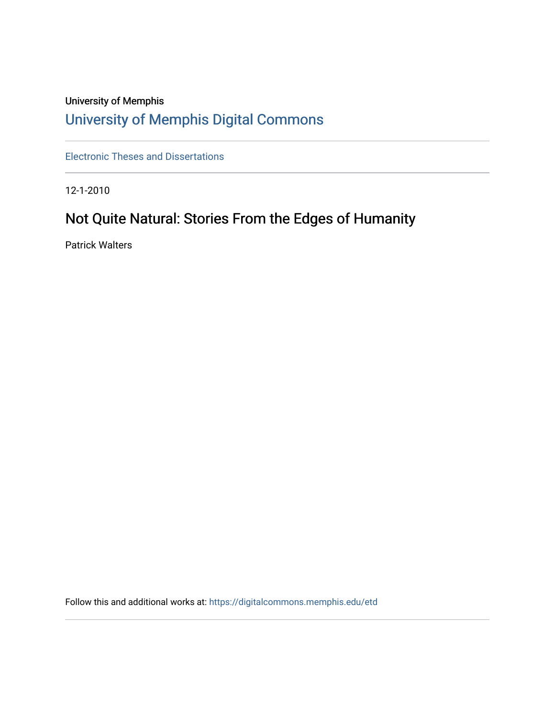# University of Memphis [University of Memphis Digital Commons](https://digitalcommons.memphis.edu/)

[Electronic Theses and Dissertations](https://digitalcommons.memphis.edu/etd)

12-1-2010

# Not Quite Natural: Stories From the Edges of Humanity

Patrick Walters

Follow this and additional works at: [https://digitalcommons.memphis.edu/etd](https://digitalcommons.memphis.edu/etd?utm_source=digitalcommons.memphis.edu%2Fetd%2F107&utm_medium=PDF&utm_campaign=PDFCoverPages)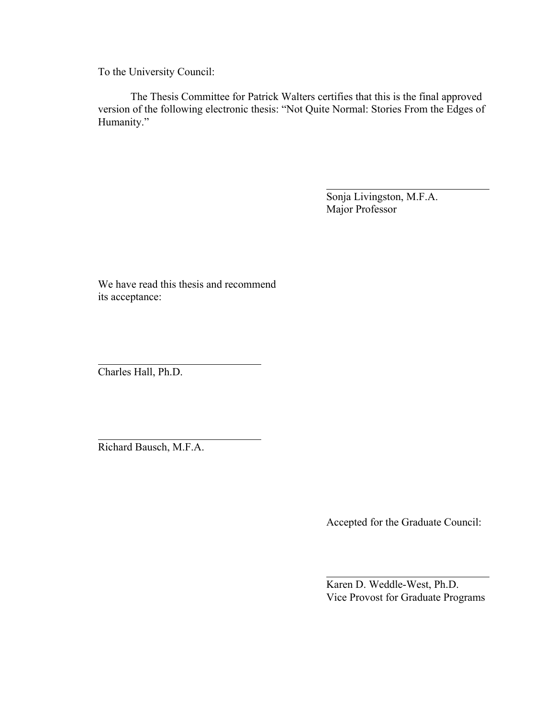To the University Council:

The Thesis Committee for Patrick Walters certifies that this is the final approved version of the following electronic thesis: "Not Quite Normal: Stories From the Edges of Humanity."

> Sonja Livingston, M.F.A. Major Professor

We have read this thesis and recommend its acceptance:

Charles Hall, Ph.D.

Richard Bausch, M.F.A.

Accepted for the Graduate Council:

Karen D. Weddle-West, Ph.D. Vice Provost for Graduate Programs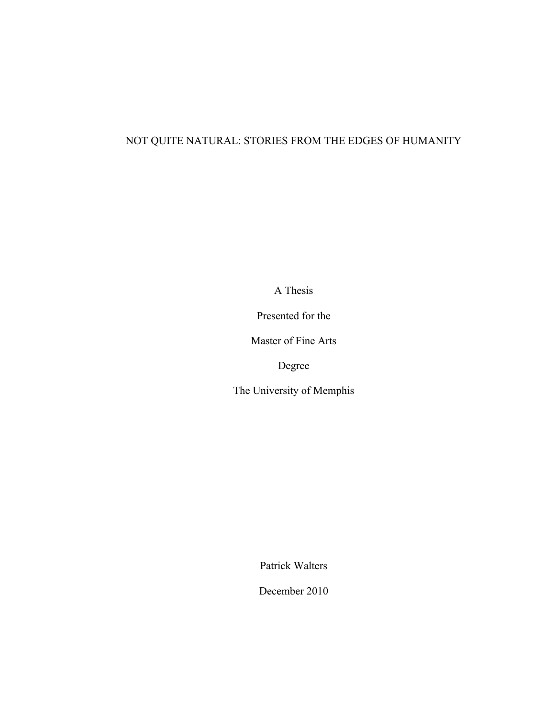## NOT QUITE NATURAL: STORIES FROM THE EDGES OF HUMANITY

A Thesis

Presented for the

Master of Fine Arts

Degree

The University of Memphis

Patrick Walters

December 2010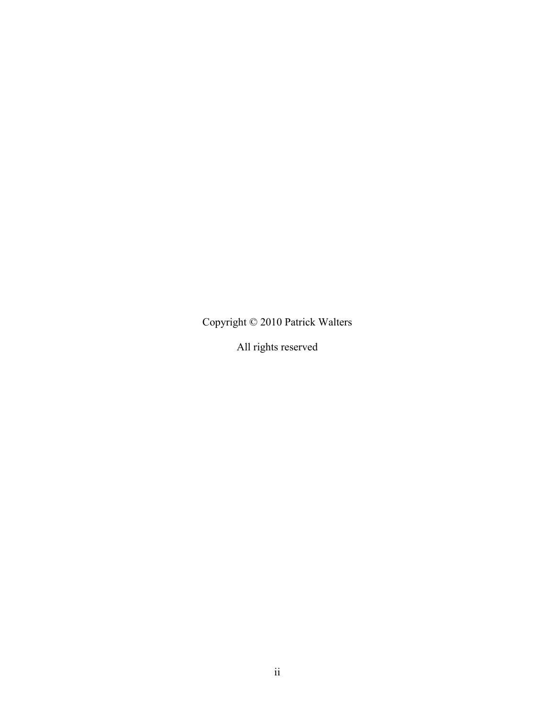Copyright © 2010 Patrick Walters

All rights reserved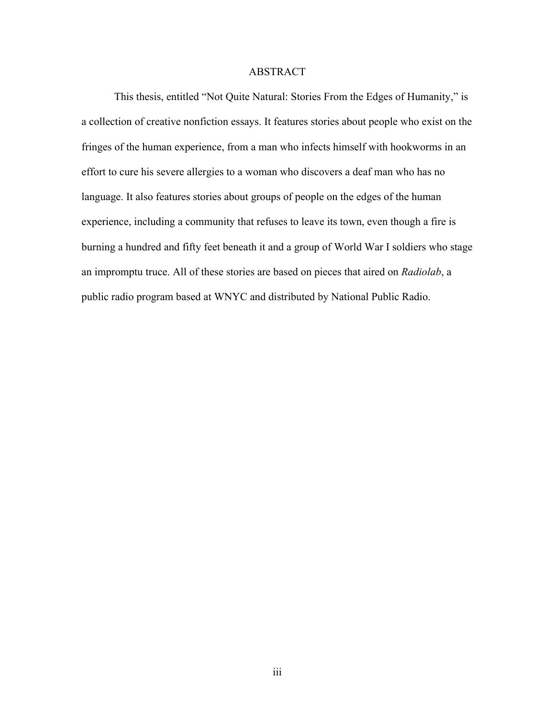### ABSTRACT

This thesis, entitled "Not Quite Natural: Stories From the Edges of Humanity," is a collection of creative nonfiction essays. It features stories about people who exist on the fringes of the human experience, from a man who infects himself with hookworms in an effort to cure his severe allergies to a woman who discovers a deaf man who has no language. It also features stories about groups of people on the edges of the human experience, including a community that refuses to leave its town, even though a fire is burning a hundred and fifty feet beneath it and a group of World War I soldiers who stage an impromptu truce. All of these stories are based on pieces that aired on *Radiolab*, a public radio program based at WNYC and distributed by National Public Radio.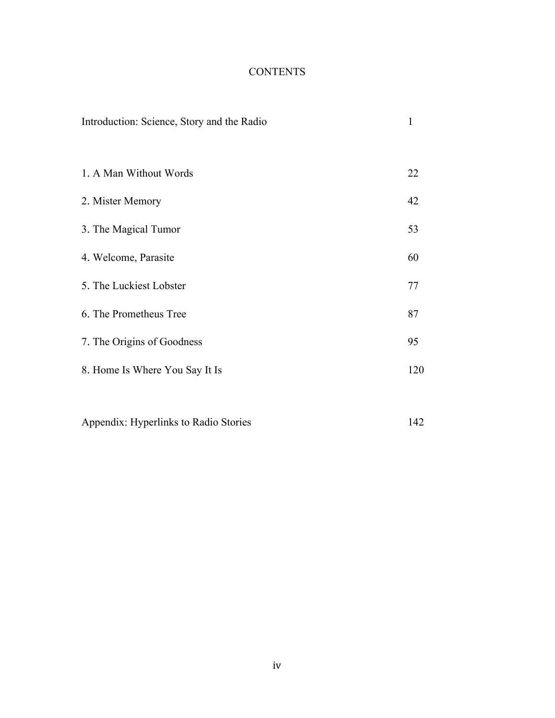## **CONTENTS**

| Introduction: Science, Story and the Radio | 1   |
|--------------------------------------------|-----|
| 1. A Man Without Words                     | 22  |
| 2. Mister Memory                           | 42  |
| 3. The Magical Tumor                       | 53  |
| 4. Welcome, Parasite                       | 60  |
| 5. The Luckiest Lobster                    | 77  |
| 6. The Prometheus Tree                     | 87  |
| 7. The Origins of Goodness                 | 95  |
| 8. Home Is Where You Say It Is             | 120 |
|                                            |     |
| Appendix: Hyperlinks to Radio Stories      | 142 |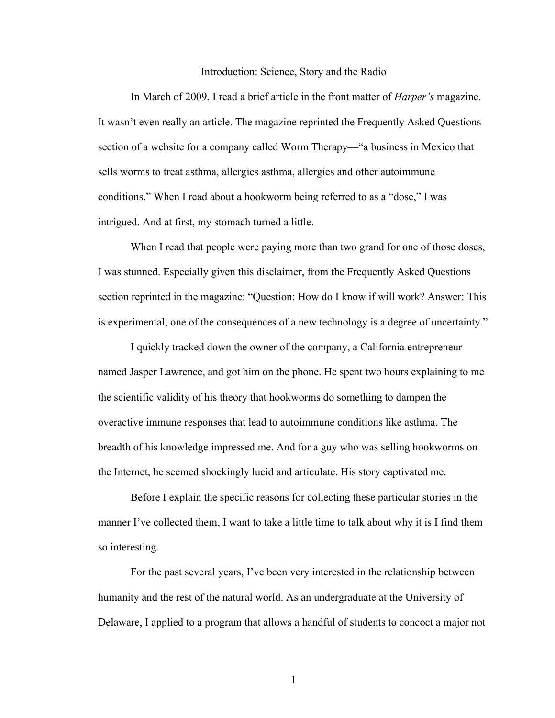### Introduction: Science, Story and the Radio

In March of 2009, I read a brief article in the front matter of *Harper's* magazine. It wasn't even really an article. The magazine reprinted the Frequently Asked Questions section of a website for a company called Worm Therapy—"a business in Mexico that sells worms to treat asthma, allergies asthma, allergies and other autoimmune conditions." When I read about a hookworm being referred to as a "dose," I was intrigued. And at first, my stomach turned a little.

When I read that people were paying more than two grand for one of those doses, I was stunned. Especially given this disclaimer, from the Frequently Asked Questions section reprinted in the magazine: "Question: How do I know if will work? Answer: This is experimental; one of the consequences of a new technology is a degree of uncertainty."

I quickly tracked down the owner of the company, a California entrepreneur named Jasper Lawrence, and got him on the phone. He spent two hours explaining to me the scientific validity of his theory that hookworms do something to dampen the overactive immune responses that lead to autoimmune conditions like asthma. The breadth of his knowledge impressed me. And for a guy who was selling hookworms on the Internet, he seemed shockingly lucid and articulate. His story captivated me.

Before I explain the specific reasons for collecting these particular stories in the manner I've collected them, I want to take a little time to talk about why it is I find them so interesting.

For the past several years, I've been very interested in the relationship between humanity and the rest of the natural world. As an undergraduate at the University of Delaware, I applied to a program that allows a handful of students to concoct a major not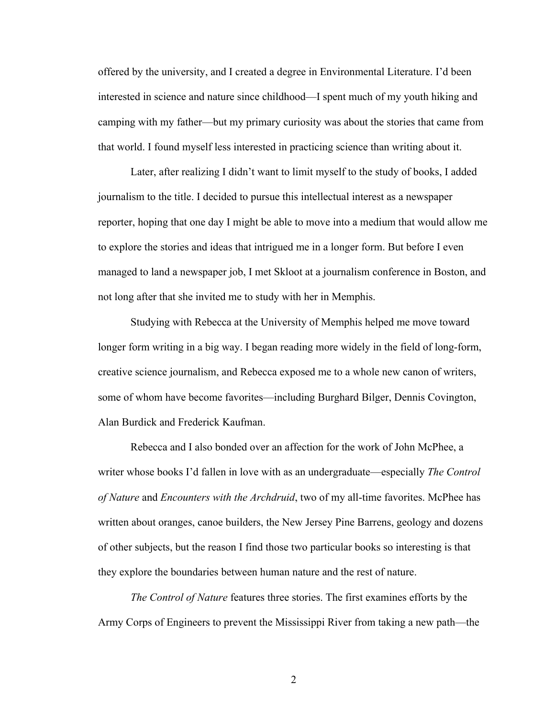offered by the university, and I created a degree in Environmental Literature. I'd been interested in science and nature since childhood—I spent much of my youth hiking and camping with my father—but my primary curiosity was about the stories that came from that world. I found myself less interested in practicing science than writing about it.

Later, after realizing I didn't want to limit myself to the study of books, I added journalism to the title. I decided to pursue this intellectual interest as a newspaper reporter, hoping that one day I might be able to move into a medium that would allow me to explore the stories and ideas that intrigued me in a longer form. But before I even managed to land a newspaper job, I met Skloot at a journalism conference in Boston, and not long after that she invited me to study with her in Memphis.

Studying with Rebecca at the University of Memphis helped me move toward longer form writing in a big way. I began reading more widely in the field of long-form, creative science journalism, and Rebecca exposed me to a whole new canon of writers, some of whom have become favorites—including Burghard Bilger, Dennis Covington, Alan Burdick and Frederick Kaufman.

Rebecca and I also bonded over an affection for the work of John McPhee, a writer whose books I'd fallen in love with as an undergraduate—especially *The Control of Nature* and *Encounters with the Archdruid*, two of my all-time favorites. McPhee has written about oranges, canoe builders, the New Jersey Pine Barrens, geology and dozens of other subjects, but the reason I find those two particular books so interesting is that they explore the boundaries between human nature and the rest of nature.

*The Control of Nature* features three stories. The first examines efforts by the Army Corps of Engineers to prevent the Mississippi River from taking a new path—the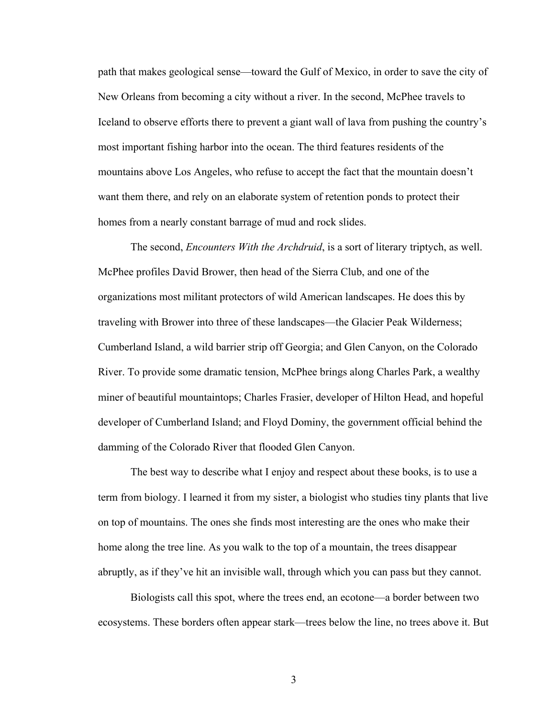path that makes geological sense—toward the Gulf of Mexico, in order to save the city of New Orleans from becoming a city without a river. In the second, McPhee travels to Iceland to observe efforts there to prevent a giant wall of lava from pushing the country's most important fishing harbor into the ocean. The third features residents of the mountains above Los Angeles, who refuse to accept the fact that the mountain doesn't want them there, and rely on an elaborate system of retention ponds to protect their homes from a nearly constant barrage of mud and rock slides.

The second, *Encounters With the Archdruid*, is a sort of literary triptych, as well. McPhee profiles David Brower, then head of the Sierra Club, and one of the organizations most militant protectors of wild American landscapes. He does this by traveling with Brower into three of these landscapes—the Glacier Peak Wilderness; Cumberland Island, a wild barrier strip off Georgia; and Glen Canyon, on the Colorado River. To provide some dramatic tension, McPhee brings along Charles Park, a wealthy miner of beautiful mountaintops; Charles Frasier, developer of Hilton Head, and hopeful developer of Cumberland Island; and Floyd Dominy, the government official behind the damming of the Colorado River that flooded Glen Canyon.

The best way to describe what I enjoy and respect about these books, is to use a term from biology. I learned it from my sister, a biologist who studies tiny plants that live on top of mountains. The ones she finds most interesting are the ones who make their home along the tree line. As you walk to the top of a mountain, the trees disappear abruptly, as if they've hit an invisible wall, through which you can pass but they cannot.

Biologists call this spot, where the trees end, an ecotone—a border between two ecosystems. These borders often appear stark—trees below the line, no trees above it. But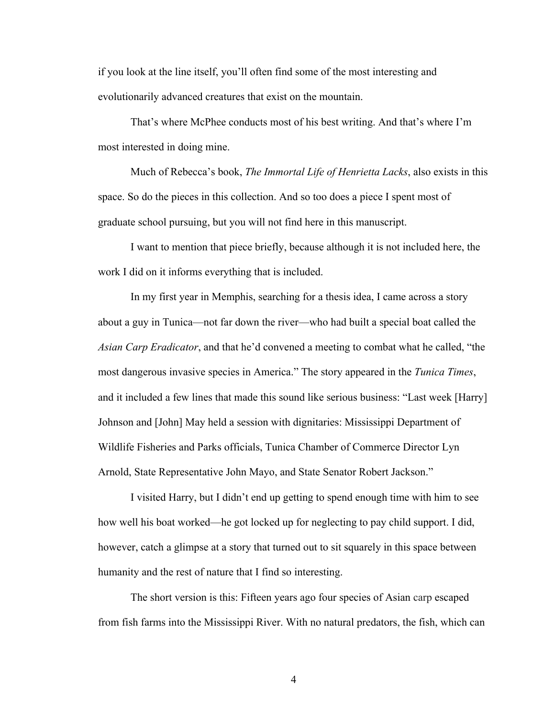if you look at the line itself, you'll often find some of the most interesting and evolutionarily advanced creatures that exist on the mountain.

That's where McPhee conducts most of his best writing. And that's where I'm most interested in doing mine.

Much of Rebecca's book, *The Immortal Life of Henrietta Lacks*, also exists in this space. So do the pieces in this collection. And so too does a piece I spent most of graduate school pursuing, but you will not find here in this manuscript.

I want to mention that piece briefly, because although it is not included here, the work I did on it informs everything that is included.

In my first year in Memphis, searching for a thesis idea, I came across a story about a guy in Tunica—not far down the river—who had built a special boat called the *Asian Carp Eradicator*, and that he'd convened a meeting to combat what he called, "the most dangerous invasive species in America." The story appeared in the *Tunica Times*, and it included a few lines that made this sound like serious business: "Last week [Harry] Johnson and [John] May held a session with dignitaries: Mississippi Department of Wildlife Fisheries and Parks officials, Tunica Chamber of Commerce Director Lyn Arnold, State Representative John Mayo, and State Senator Robert Jackson."

I visited Harry, but I didn't end up getting to spend enough time with him to see how well his boat worked—he got locked up for neglecting to pay child support. I did, however, catch a glimpse at a story that turned out to sit squarely in this space between humanity and the rest of nature that I find so interesting.

The short version is this: Fifteen years ago four species of Asian carp escaped from fish farms into the Mississippi River. With no natural predators, the fish, which can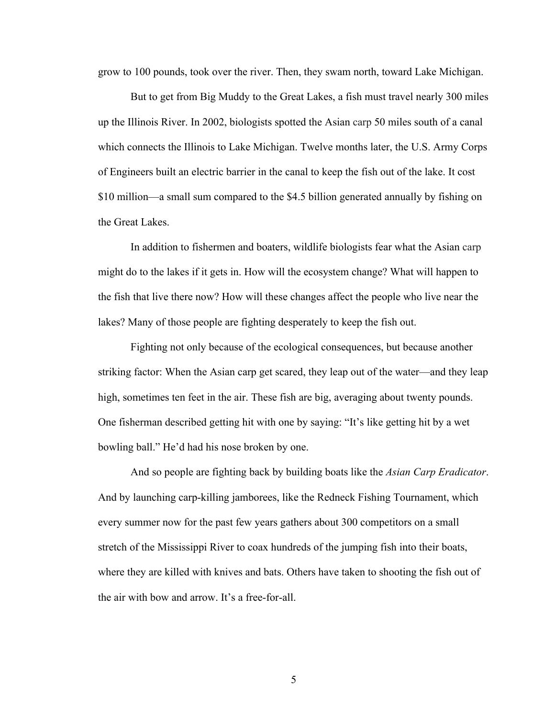grow to 100 pounds, took over the river. Then, they swam north, toward Lake Michigan.

But to get from Big Muddy to the Great Lakes, a fish must travel nearly 300 miles up the Illinois River. In 2002, biologists spotted the Asian carp 50 miles south of a canal which connects the Illinois to Lake Michigan. Twelve months later, the U.S. Army Corps of Engineers built an electric barrier in the canal to keep the fish out of the lake. It cost \$10 million—a small sum compared to the \$4.5 billion generated annually by fishing on the Great Lakes.

In addition to fishermen and boaters, wildlife biologists fear what the Asian carp might do to the lakes if it gets in. How will the ecosystem change? What will happen to the fish that live there now? How will these changes affect the people who live near the lakes? Many of those people are fighting desperately to keep the fish out.

Fighting not only because of the ecological consequences, but because another striking factor: When the Asian carp get scared, they leap out of the water—and they leap high, sometimes ten feet in the air. These fish are big, averaging about twenty pounds. One fisherman described getting hit with one by saying: "It's like getting hit by a wet bowling ball." He'd had his nose broken by one.

And so people are fighting back by building boats like the *Asian Carp Eradicator*. And by launching carp-killing jamborees, like the Redneck Fishing Tournament, which every summer now for the past few years gathers about 300 competitors on a small stretch of the Mississippi River to coax hundreds of the jumping fish into their boats, where they are killed with knives and bats. Others have taken to shooting the fish out of the air with bow and arrow. It's a free-for-all.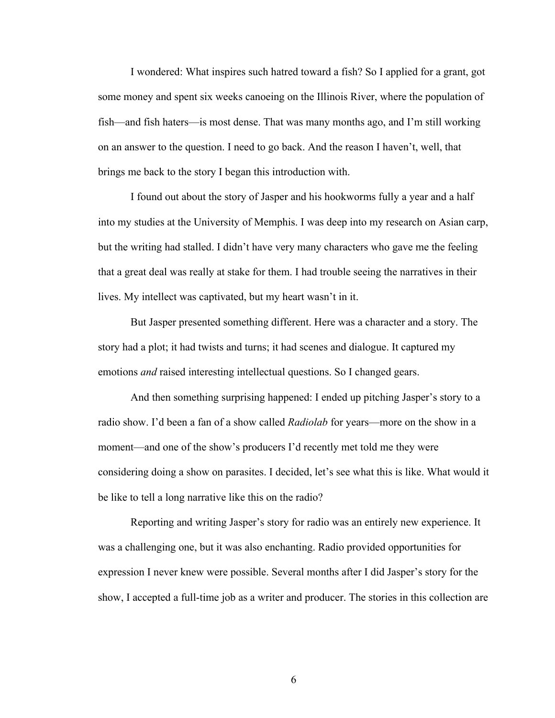I wondered: What inspires such hatred toward a fish? So I applied for a grant, got some money and spent six weeks canoeing on the Illinois River, where the population of fish—and fish haters—is most dense. That was many months ago, and I'm still working on an answer to the question. I need to go back. And the reason I haven't, well, that brings me back to the story I began this introduction with.

I found out about the story of Jasper and his hookworms fully a year and a half into my studies at the University of Memphis. I was deep into my research on Asian carp, but the writing had stalled. I didn't have very many characters who gave me the feeling that a great deal was really at stake for them. I had trouble seeing the narratives in their lives. My intellect was captivated, but my heart wasn't in it.

But Jasper presented something different. Here was a character and a story. The story had a plot; it had twists and turns; it had scenes and dialogue. It captured my emotions *and* raised interesting intellectual questions. So I changed gears.

And then something surprising happened: I ended up pitching Jasper's story to a radio show. I'd been a fan of a show called *Radiolab* for years—more on the show in a moment—and one of the show's producers I'd recently met told me they were considering doing a show on parasites. I decided, let's see what this is like. What would it be like to tell a long narrative like this on the radio?

Reporting and writing Jasper's story for radio was an entirely new experience. It was a challenging one, but it was also enchanting. Radio provided opportunities for expression I never knew were possible. Several months after I did Jasper's story for the show, I accepted a full-time job as a writer and producer. The stories in this collection are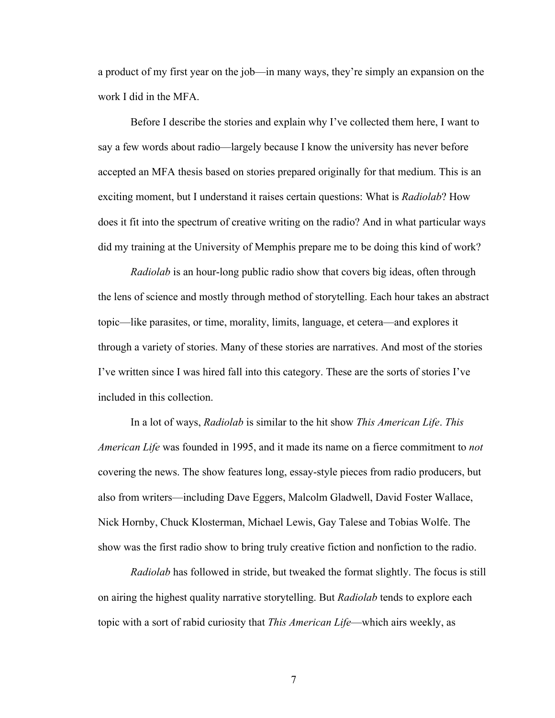a product of my first year on the job—in many ways, they're simply an expansion on the work I did in the MFA.

Before I describe the stories and explain why I've collected them here, I want to say a few words about radio—largely because I know the university has never before accepted an MFA thesis based on stories prepared originally for that medium. This is an exciting moment, but I understand it raises certain questions: What is *Radiolab*? How does it fit into the spectrum of creative writing on the radio? And in what particular ways did my training at the University of Memphis prepare me to be doing this kind of work?

*Radiolab* is an hour-long public radio show that covers big ideas, often through the lens of science and mostly through method of storytelling. Each hour takes an abstract topic—like parasites, or time, morality, limits, language, et cetera—and explores it through a variety of stories. Many of these stories are narratives. And most of the stories I've written since I was hired fall into this category. These are the sorts of stories I've included in this collection.

In a lot of ways, *Radiolab* is similar to the hit show *This American Life*. *This American Life* was founded in 1995, and it made its name on a fierce commitment to *not* covering the news. The show features long, essay-style pieces from radio producers, but also from writers—including Dave Eggers, Malcolm Gladwell, David Foster Wallace, Nick Hornby, Chuck Klosterman, Michael Lewis, Gay Talese and Tobias Wolfe. The show was the first radio show to bring truly creative fiction and nonfiction to the radio.

*Radiolab* has followed in stride, but tweaked the format slightly. The focus is still on airing the highest quality narrative storytelling. But *Radiolab* tends to explore each topic with a sort of rabid curiosity that *This American Life*—which airs weekly, as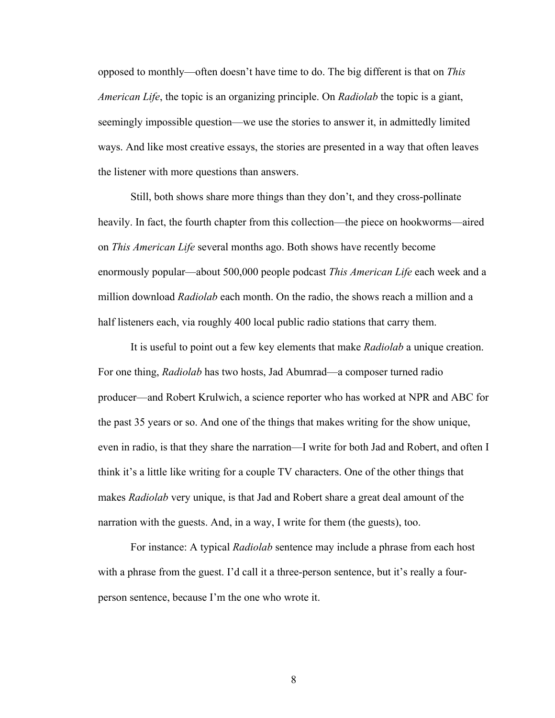opposed to monthly—often doesn't have time to do. The big different is that on *This American Life*, the topic is an organizing principle. On *Radiolab* the topic is a giant, seemingly impossible question—we use the stories to answer it, in admittedly limited ways. And like most creative essays, the stories are presented in a way that often leaves the listener with more questions than answers.

Still, both shows share more things than they don't, and they cross-pollinate heavily. In fact, the fourth chapter from this collection—the piece on hookworms—aired on *This American Life* several months ago. Both shows have recently become enormously popular—about 500,000 people podcast *This American Life* each week and a million download *Radiolab* each month. On the radio, the shows reach a million and a half listeners each, via roughly 400 local public radio stations that carry them.

It is useful to point out a few key elements that make *Radiolab* a unique creation. For one thing, *Radiolab* has two hosts, Jad Abumrad—a composer turned radio producer—and Robert Krulwich, a science reporter who has worked at NPR and ABC for the past 35 years or so. And one of the things that makes writing for the show unique, even in radio, is that they share the narration—I write for both Jad and Robert, and often I think it's a little like writing for a couple TV characters. One of the other things that makes *Radiolab* very unique, is that Jad and Robert share a great deal amount of the narration with the guests. And, in a way, I write for them (the guests), too.

For instance: A typical *Radiolab* sentence may include a phrase from each host with a phrase from the guest. I'd call it a three-person sentence, but it's really a fourperson sentence, because I'm the one who wrote it.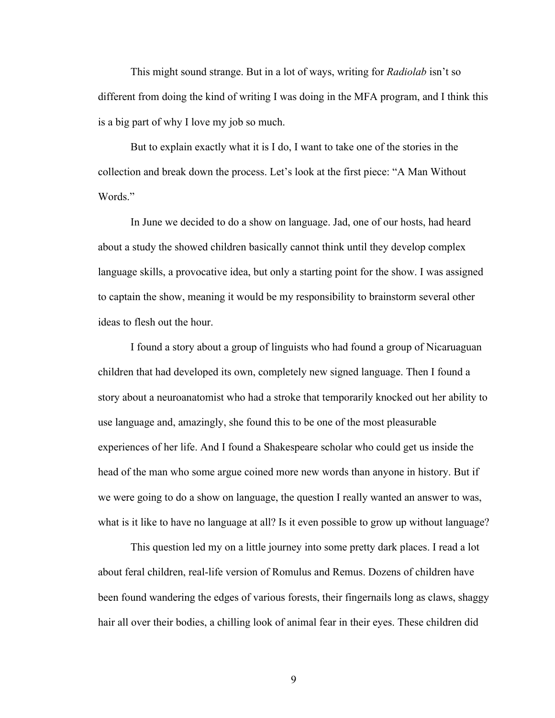This might sound strange. But in a lot of ways, writing for *Radiolab* isn't so different from doing the kind of writing I was doing in the MFA program, and I think this is a big part of why I love my job so much.

But to explain exactly what it is I do, I want to take one of the stories in the collection and break down the process. Let's look at the first piece: "A Man Without Words."

In June we decided to do a show on language. Jad, one of our hosts, had heard about a study the showed children basically cannot think until they develop complex language skills, a provocative idea, but only a starting point for the show. I was assigned to captain the show, meaning it would be my responsibility to brainstorm several other ideas to flesh out the hour.

I found a story about a group of linguists who had found a group of Nicaruaguan children that had developed its own, completely new signed language. Then I found a story about a neuroanatomist who had a stroke that temporarily knocked out her ability to use language and, amazingly, she found this to be one of the most pleasurable experiences of her life. And I found a Shakespeare scholar who could get us inside the head of the man who some argue coined more new words than anyone in history. But if we were going to do a show on language, the question I really wanted an answer to was, what is it like to have no language at all? Is it even possible to grow up without language?

This question led my on a little journey into some pretty dark places. I read a lot about feral children, real-life version of Romulus and Remus. Dozens of children have been found wandering the edges of various forests, their fingernails long as claws, shaggy hair all over their bodies, a chilling look of animal fear in their eyes. These children did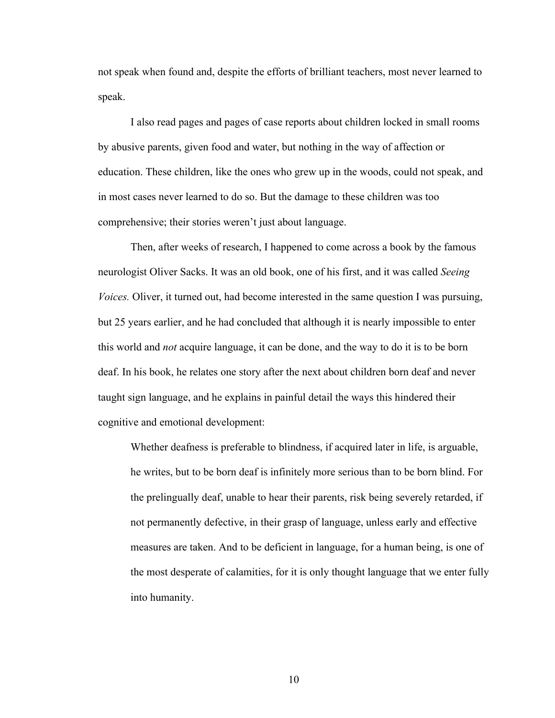not speak when found and, despite the efforts of brilliant teachers, most never learned to speak.

I also read pages and pages of case reports about children locked in small rooms by abusive parents, given food and water, but nothing in the way of affection or education. These children, like the ones who grew up in the woods, could not speak, and in most cases never learned to do so. But the damage to these children was too comprehensive; their stories weren't just about language.

Then, after weeks of research, I happened to come across a book by the famous neurologist Oliver Sacks. It was an old book, one of his first, and it was called *Seeing Voices.* Oliver, it turned out, had become interested in the same question I was pursuing, but 25 years earlier, and he had concluded that although it is nearly impossible to enter this world and *not* acquire language, it can be done, and the way to do it is to be born deaf. In his book, he relates one story after the next about children born deaf and never taught sign language, and he explains in painful detail the ways this hindered their cognitive and emotional development:

Whether deafness is preferable to blindness, if acquired later in life, is arguable, he writes, but to be born deaf is infinitely more serious than to be born blind. For the prelingually deaf, unable to hear their parents, risk being severely retarded, if not permanently defective, in their grasp of language, unless early and effective measures are taken. And to be deficient in language, for a human being, is one of the most desperate of calamities, for it is only thought language that we enter fully into humanity.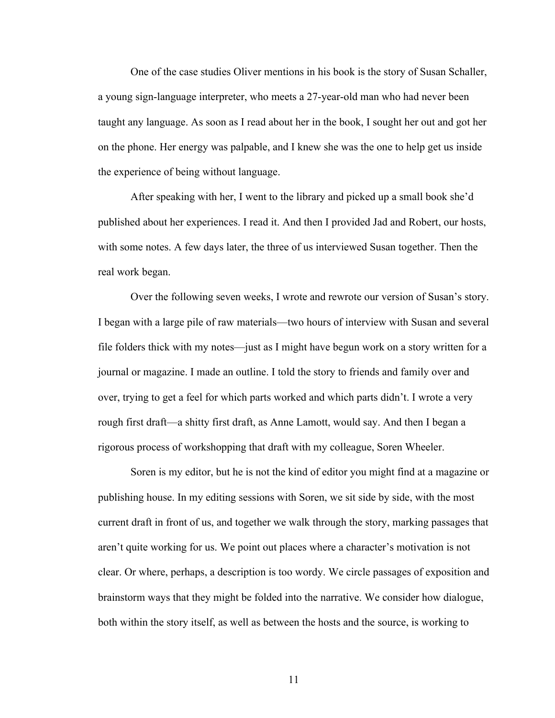One of the case studies Oliver mentions in his book is the story of Susan Schaller, a young sign-language interpreter, who meets a 27-year-old man who had never been taught any language. As soon as I read about her in the book, I sought her out and got her on the phone. Her energy was palpable, and I knew she was the one to help get us inside the experience of being without language.

After speaking with her, I went to the library and picked up a small book she'd published about her experiences. I read it. And then I provided Jad and Robert, our hosts, with some notes. A few days later, the three of us interviewed Susan together. Then the real work began.

Over the following seven weeks, I wrote and rewrote our version of Susan's story. I began with a large pile of raw materials—two hours of interview with Susan and several file folders thick with my notes—just as I might have begun work on a story written for a journal or magazine. I made an outline. I told the story to friends and family over and over, trying to get a feel for which parts worked and which parts didn't. I wrote a very rough first draft—a shitty first draft, as Anne Lamott, would say. And then I began a rigorous process of workshopping that draft with my colleague, Soren Wheeler.

Soren is my editor, but he is not the kind of editor you might find at a magazine or publishing house. In my editing sessions with Soren, we sit side by side, with the most current draft in front of us, and together we walk through the story, marking passages that aren't quite working for us. We point out places where a character's motivation is not clear. Or where, perhaps, a description is too wordy. We circle passages of exposition and brainstorm ways that they might be folded into the narrative. We consider how dialogue, both within the story itself, as well as between the hosts and the source, is working to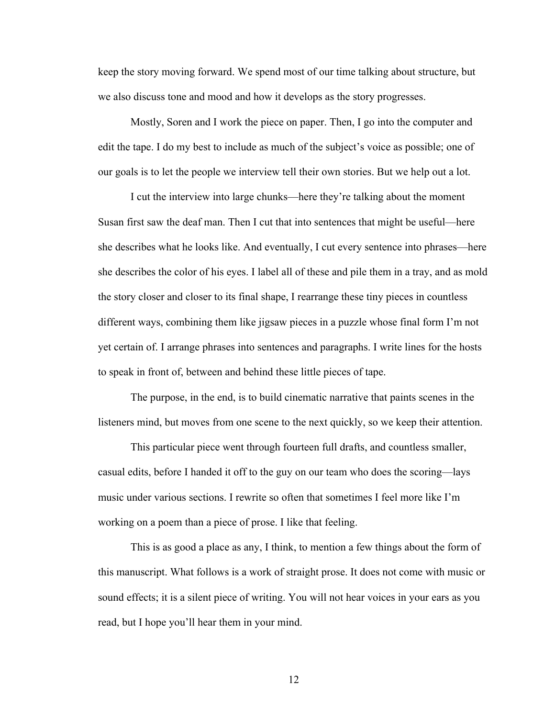keep the story moving forward. We spend most of our time talking about structure, but we also discuss tone and mood and how it develops as the story progresses.

Mostly, Soren and I work the piece on paper. Then, I go into the computer and edit the tape. I do my best to include as much of the subject's voice as possible; one of our goals is to let the people we interview tell their own stories. But we help out a lot.

I cut the interview into large chunks—here they're talking about the moment Susan first saw the deaf man. Then I cut that into sentences that might be useful—here she describes what he looks like. And eventually, I cut every sentence into phrases—here she describes the color of his eyes. I label all of these and pile them in a tray, and as mold the story closer and closer to its final shape, I rearrange these tiny pieces in countless different ways, combining them like jigsaw pieces in a puzzle whose final form I'm not yet certain of. I arrange phrases into sentences and paragraphs. I write lines for the hosts to speak in front of, between and behind these little pieces of tape.

The purpose, in the end, is to build cinematic narrative that paints scenes in the listeners mind, but moves from one scene to the next quickly, so we keep their attention.

This particular piece went through fourteen full drafts, and countless smaller, casual edits, before I handed it off to the guy on our team who does the scoring—lays music under various sections. I rewrite so often that sometimes I feel more like I'm working on a poem than a piece of prose. I like that feeling.

This is as good a place as any, I think, to mention a few things about the form of this manuscript. What follows is a work of straight prose. It does not come with music or sound effects; it is a silent piece of writing. You will not hear voices in your ears as you read, but I hope you'll hear them in your mind.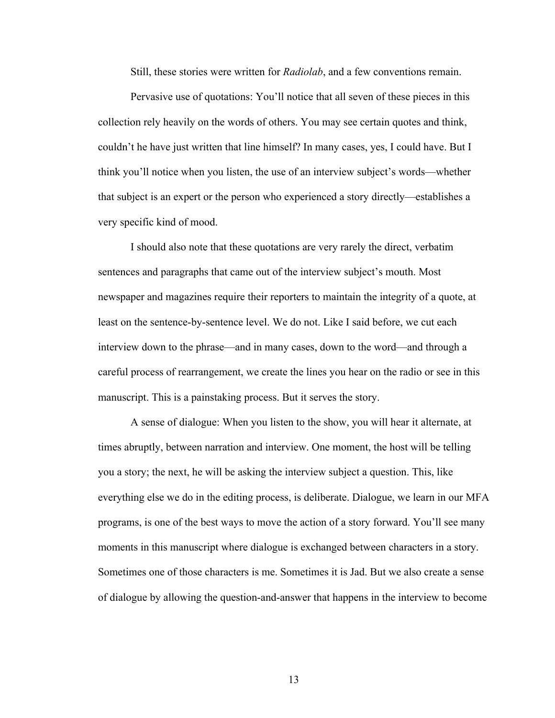Still, these stories were written for *Radiolab*, and a few conventions remain.

Pervasive use of quotations: You'll notice that all seven of these pieces in this collection rely heavily on the words of others. You may see certain quotes and think, couldn't he have just written that line himself? In many cases, yes, I could have. But I think you'll notice when you listen, the use of an interview subject's words—whether that subject is an expert or the person who experienced a story directly—establishes a very specific kind of mood.

I should also note that these quotations are very rarely the direct, verbatim sentences and paragraphs that came out of the interview subject's mouth. Most newspaper and magazines require their reporters to maintain the integrity of a quote, at least on the sentence-by-sentence level. We do not. Like I said before, we cut each interview down to the phrase—and in many cases, down to the word—and through a careful process of rearrangement, we create the lines you hear on the radio or see in this manuscript. This is a painstaking process. But it serves the story.

A sense of dialogue: When you listen to the show, you will hear it alternate, at times abruptly, between narration and interview. One moment, the host will be telling you a story; the next, he will be asking the interview subject a question. This, like everything else we do in the editing process, is deliberate. Dialogue, we learn in our MFA programs, is one of the best ways to move the action of a story forward. You'll see many moments in this manuscript where dialogue is exchanged between characters in a story. Sometimes one of those characters is me. Sometimes it is Jad. But we also create a sense of dialogue by allowing the question-and-answer that happens in the interview to become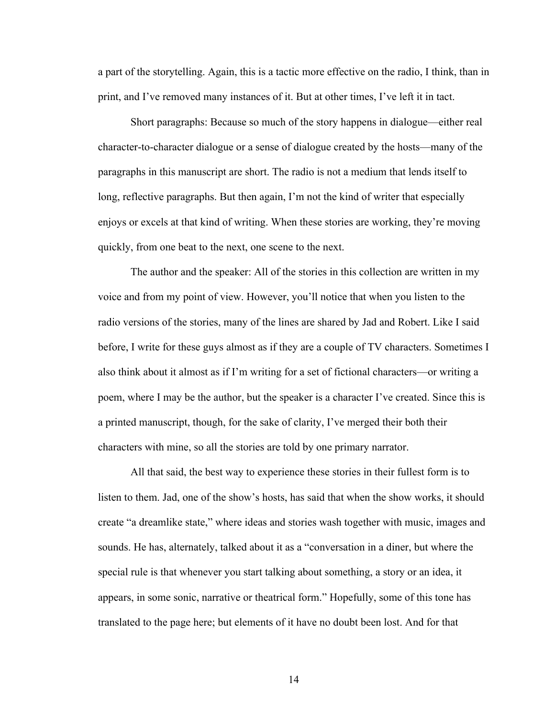a part of the storytelling. Again, this is a tactic more effective on the radio, I think, than in print, and I've removed many instances of it. But at other times, I've left it in tact.

Short paragraphs: Because so much of the story happens in dialogue—either real character-to-character dialogue or a sense of dialogue created by the hosts—many of the paragraphs in this manuscript are short. The radio is not a medium that lends itself to long, reflective paragraphs. But then again, I'm not the kind of writer that especially enjoys or excels at that kind of writing. When these stories are working, they're moving quickly, from one beat to the next, one scene to the next.

The author and the speaker: All of the stories in this collection are written in my voice and from my point of view. However, you'll notice that when you listen to the radio versions of the stories, many of the lines are shared by Jad and Robert. Like I said before, I write for these guys almost as if they are a couple of TV characters. Sometimes I also think about it almost as if I'm writing for a set of fictional characters—or writing a poem, where I may be the author, but the speaker is a character I've created. Since this is a printed manuscript, though, for the sake of clarity, I've merged their both their characters with mine, so all the stories are told by one primary narrator.

All that said, the best way to experience these stories in their fullest form is to listen to them. Jad, one of the show's hosts, has said that when the show works, it should create "a dreamlike state," where ideas and stories wash together with music, images and sounds. He has, alternately, talked about it as a "conversation in a diner, but where the special rule is that whenever you start talking about something, a story or an idea, it appears, in some sonic, narrative or theatrical form." Hopefully, some of this tone has translated to the page here; but elements of it have no doubt been lost. And for that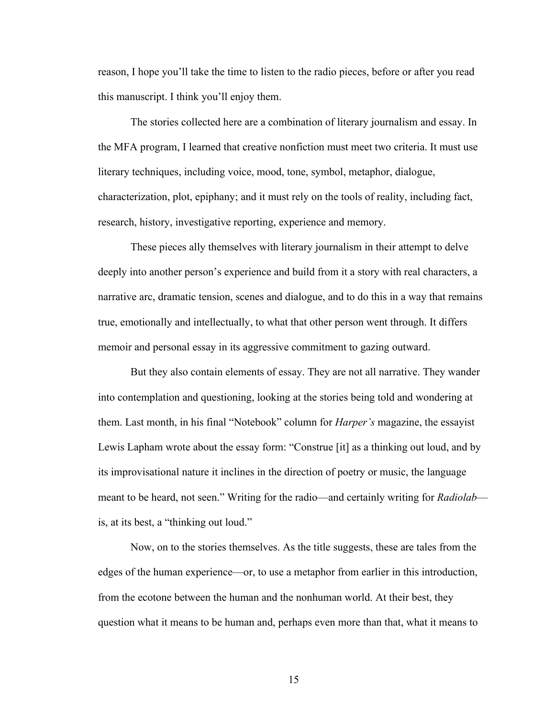reason, I hope you'll take the time to listen to the radio pieces, before or after you read this manuscript. I think you'll enjoy them.

The stories collected here are a combination of literary journalism and essay. In the MFA program, I learned that creative nonfiction must meet two criteria. It must use literary techniques, including voice, mood, tone, symbol, metaphor, dialogue, characterization, plot, epiphany; and it must rely on the tools of reality, including fact, research, history, investigative reporting, experience and memory.

These pieces ally themselves with literary journalism in their attempt to delve deeply into another person's experience and build from it a story with real characters, a narrative arc, dramatic tension, scenes and dialogue, and to do this in a way that remains true, emotionally and intellectually, to what that other person went through. It differs memoir and personal essay in its aggressive commitment to gazing outward.

But they also contain elements of essay. They are not all narrative. They wander into contemplation and questioning, looking at the stories being told and wondering at them. Last month, in his final "Notebook" column for *Harper's* magazine, the essayist Lewis Lapham wrote about the essay form: "Construe [it] as a thinking out loud, and by its improvisational nature it inclines in the direction of poetry or music, the language meant to be heard, not seen." Writing for the radio—and certainly writing for *Radiolab* is, at its best, a "thinking out loud."

Now, on to the stories themselves. As the title suggests, these are tales from the edges of the human experience—or, to use a metaphor from earlier in this introduction, from the ecotone between the human and the nonhuman world. At their best, they question what it means to be human and, perhaps even more than that, what it means to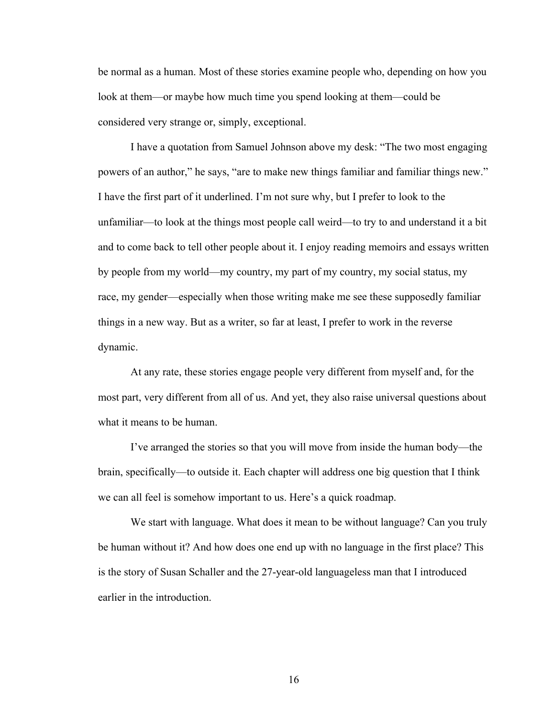be normal as a human. Most of these stories examine people who, depending on how you look at them—or maybe how much time you spend looking at them—could be considered very strange or, simply, exceptional.

I have a quotation from Samuel Johnson above my desk: "The two most engaging powers of an author," he says, "are to make new things familiar and familiar things new." I have the first part of it underlined. I'm not sure why, but I prefer to look to the unfamiliar—to look at the things most people call weird—to try to and understand it a bit and to come back to tell other people about it. I enjoy reading memoirs and essays written by people from my world—my country, my part of my country, my social status, my race, my gender—especially when those writing make me see these supposedly familiar things in a new way. But as a writer, so far at least, I prefer to work in the reverse dynamic.

At any rate, these stories engage people very different from myself and, for the most part, very different from all of us. And yet, they also raise universal questions about what it means to be human.

I've arranged the stories so that you will move from inside the human body—the brain, specifically—to outside it. Each chapter will address one big question that I think we can all feel is somehow important to us. Here's a quick roadmap.

We start with language. What does it mean to be without language? Can you truly be human without it? And how does one end up with no language in the first place? This is the story of Susan Schaller and the 27-year-old languageless man that I introduced earlier in the introduction.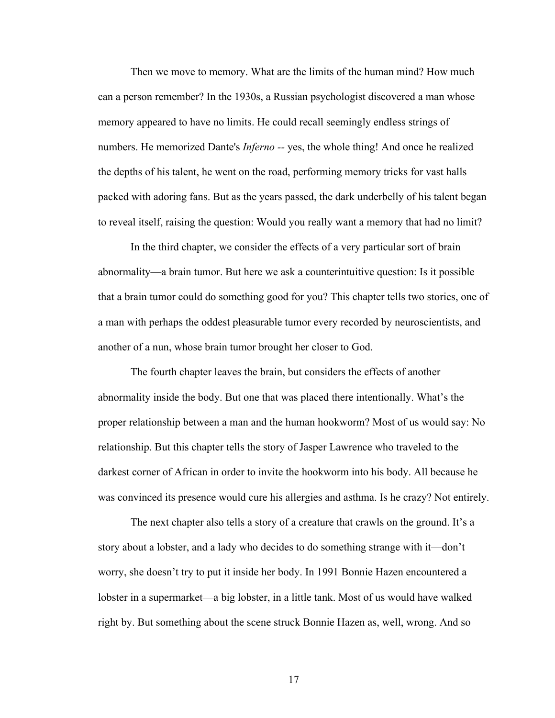Then we move to memory. What are the limits of the human mind? How much can a person remember? In the 1930s, a Russian psychologist discovered a man whose memory appeared to have no limits. He could recall seemingly endless strings of numbers. He memorized Dante's *Inferno --* yes, the whole thing! And once he realized the depths of his talent, he went on the road, performing memory tricks for vast halls packed with adoring fans. But as the years passed, the dark underbelly of his talent began to reveal itself, raising the question: Would you really want a memory that had no limit?

In the third chapter, we consider the effects of a very particular sort of brain abnormality—a brain tumor. But here we ask a counterintuitive question: Is it possible that a brain tumor could do something good for you? This chapter tells two stories, one of a man with perhaps the oddest pleasurable tumor every recorded by neuroscientists, and another of a nun, whose brain tumor brought her closer to God.

The fourth chapter leaves the brain, but considers the effects of another abnormality inside the body. But one that was placed there intentionally. What's the proper relationship between a man and the human hookworm? Most of us would say: No relationship. But this chapter tells the story of Jasper Lawrence who traveled to the darkest corner of African in order to invite the hookworm into his body. All because he was convinced its presence would cure his allergies and asthma. Is he crazy? Not entirely.

The next chapter also tells a story of a creature that crawls on the ground. It's a story about a lobster, and a lady who decides to do something strange with it—don't worry, she doesn't try to put it inside her body. In 1991 Bonnie Hazen encountered a lobster in a supermarket—a big lobster, in a little tank. Most of us would have walked right by. But something about the scene struck Bonnie Hazen as, well, wrong. And so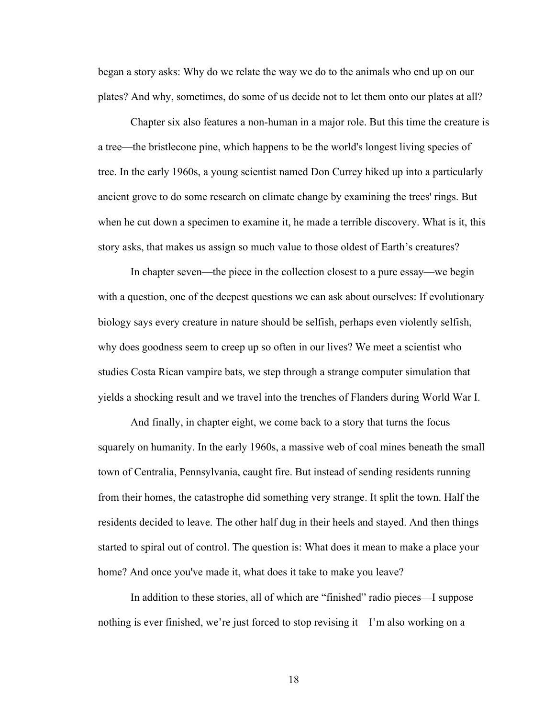began a story asks: Why do we relate the way we do to the animals who end up on our plates? And why, sometimes, do some of us decide not to let them onto our plates at all?

Chapter six also features a non-human in a major role. But this time the creature is a tree—the bristlecone pine, which happens to be the world's longest living species of tree. In the early 1960s, a young scientist named Don Currey hiked up into a particularly ancient grove to do some research on climate change by examining the trees' rings. But when he cut down a specimen to examine it, he made a terrible discovery. What is it, this story asks, that makes us assign so much value to those oldest of Earth's creatures?

In chapter seven—the piece in the collection closest to a pure essay—we begin with a question, one of the deepest questions we can ask about ourselves: If evolutionary biology says every creature in nature should be selfish, perhaps even violently selfish, why does goodness seem to creep up so often in our lives? We meet a scientist who studies Costa Rican vampire bats, we step through a strange computer simulation that yields a shocking result and we travel into the trenches of Flanders during World War I.

And finally, in chapter eight, we come back to a story that turns the focus squarely on humanity. In the early 1960s, a massive web of coal mines beneath the small town of Centralia, Pennsylvania, caught fire. But instead of sending residents running from their homes, the catastrophe did something very strange. It split the town. Half the residents decided to leave. The other half dug in their heels and stayed. And then things started to spiral out of control. The question is: What does it mean to make a place your home? And once you've made it, what does it take to make you leave?

In addition to these stories, all of which are "finished" radio pieces—I suppose nothing is ever finished, we're just forced to stop revising it—I'm also working on a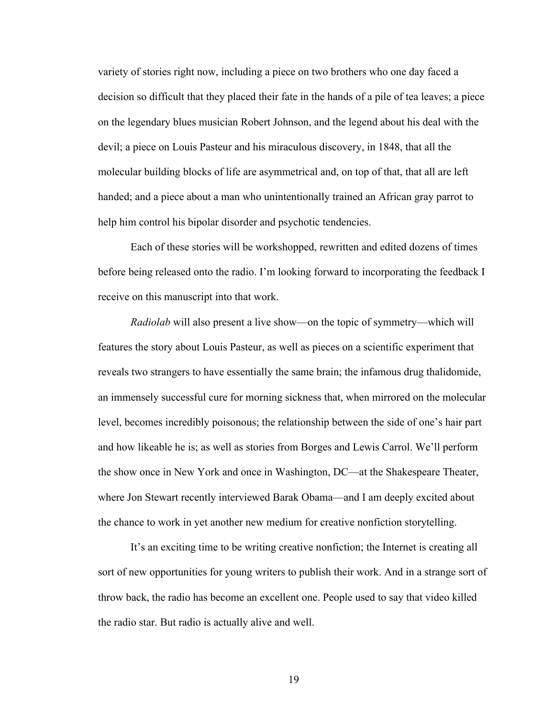variety of stories right now, including a piece on two brothers who one day faced a decision so difficult that they placed their fate in the hands of a pile of tea leaves; a piece on the legendary blues musician Robert Johnson, and the legend about his deal with the devil; a piece on Louis Pasteur and his miraculous discovery, in 1848, that all the molecular building blocks of life are asymmetrical and, on top of that, that all are left handed; and a piece about a man who unintentionally trained an African gray parrot to help him control his bipolar disorder and psychotic tendencies.

Each of these stories will be workshopped, rewritten and edited dozens of times before being released onto the radio. I'm looking forward to incorporating the feedback I receive on this manuscript into that work.

*Radiolab* will also present a live show—on the topic of symmetry—which will features the story about Louis Pasteur, as well as pieces on a scientific experiment that reveals two strangers to have essentially the same brain; the infamous drug thalidomide, an immensely successful cure for morning sickness that, when mirrored on the molecular level, becomes incredibly poisonous; the relationship between the side of one's hair part and how likeable he is; as well as stories from Borges and Lewis Carrol. We'll perform the show once in New York and once in Washington, DC—at the Shakespeare Theater, where Jon Stewart recently interviewed Barak Obama—and I am deeply excited about the chance to work in yet another new medium for creative nonfiction storytelling.

It's an exciting time to be writing creative nonfiction; the Internet is creating all sort of new opportunities for young writers to publish their work. And in a strange sort of throw back, the radio has become an excellent one. People used to say that video killed the radio star. But radio is actually alive and well.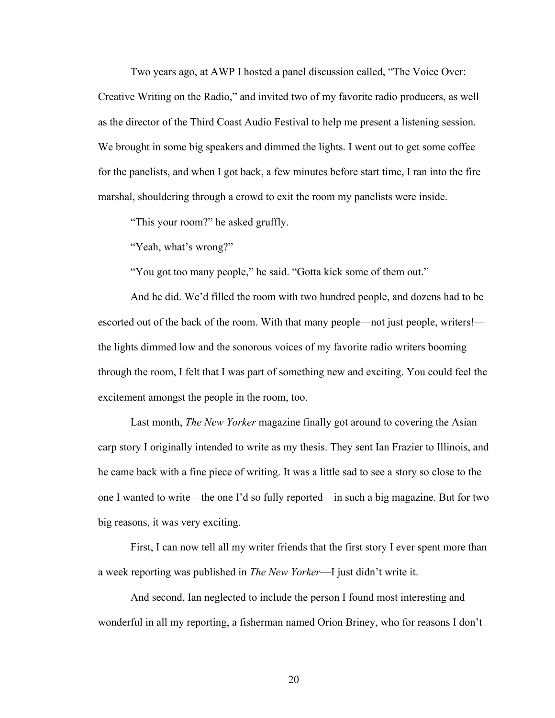Two years ago, at AWP I hosted a panel discussion called, "The Voice Over: Creative Writing on the Radio," and invited two of my favorite radio producers, as well as the director of the Third Coast Audio Festival to help me present a listening session. We brought in some big speakers and dimmed the lights. I went out to get some coffee for the panelists, and when I got back, a few minutes before start time, I ran into the fire marshal, shouldering through a crowd to exit the room my panelists were inside.

"This your room?" he asked gruffly.

"Yeah, what's wrong?"

"You got too many people," he said. "Gotta kick some of them out."

And he did. We'd filled the room with two hundred people, and dozens had to be escorted out of the back of the room. With that many people—not just people, writers! the lights dimmed low and the sonorous voices of my favorite radio writers booming through the room, I felt that I was part of something new and exciting. You could feel the excitement amongst the people in the room, too.

Last month, *The New Yorker* magazine finally got around to covering the Asian carp story I originally intended to write as my thesis. They sent Ian Frazier to Illinois, and he came back with a fine piece of writing. It was a little sad to see a story so close to the one I wanted to write—the one I'd so fully reported—in such a big magazine. But for two big reasons, it was very exciting.

First, I can now tell all my writer friends that the first story I ever spent more than a week reporting was published in *The New Yorker*—I just didn't write it.

And second, Ian neglected to include the person I found most interesting and wonderful in all my reporting, a fisherman named Orion Briney, who for reasons I don't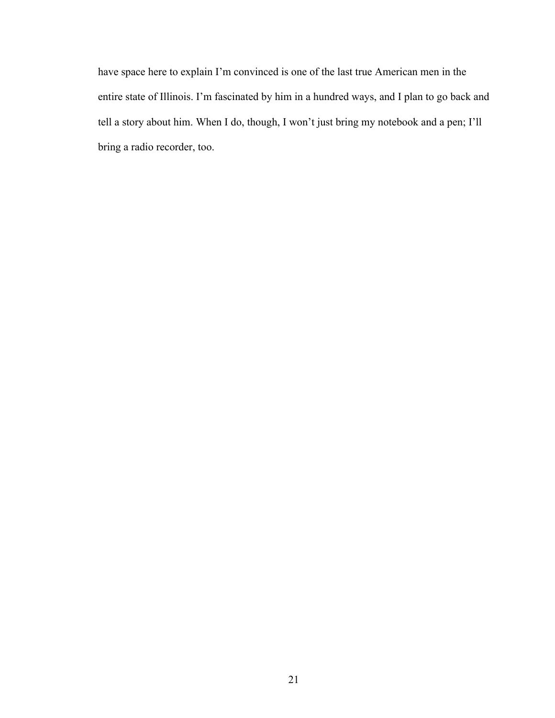have space here to explain I'm convinced is one of the last true American men in the entire state of Illinois. I'm fascinated by him in a hundred ways, and I plan to go back and tell a story about him. When I do, though, I won't just bring my notebook and a pen; I'll bring a radio recorder, too.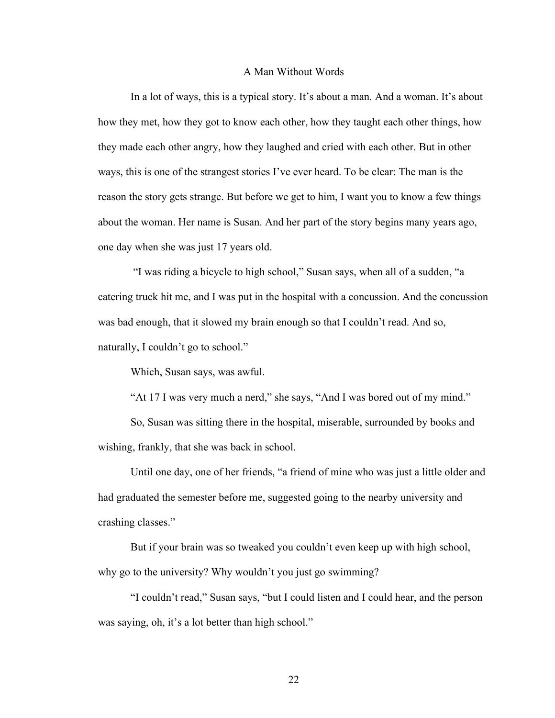#### A Man Without Words

In a lot of ways, this is a typical story. It's about a man. And a woman. It's about how they met, how they got to know each other, how they taught each other things, how they made each other angry, how they laughed and cried with each other. But in other ways, this is one of the strangest stories I've ever heard. To be clear: The man is the reason the story gets strange. But before we get to him, I want you to know a few things about the woman. Her name is Susan. And her part of the story begins many years ago, one day when she was just 17 years old.

"I was riding a bicycle to high school," Susan says, when all of a sudden, "a catering truck hit me, and I was put in the hospital with a concussion. And the concussion was bad enough, that it slowed my brain enough so that I couldn't read. And so, naturally, I couldn't go to school."

Which, Susan says, was awful.

"At 17 I was very much a nerd," she says, "And I was bored out of my mind."

So, Susan was sitting there in the hospital, miserable, surrounded by books and wishing, frankly, that she was back in school.

Until one day, one of her friends, "a friend of mine who was just a little older and had graduated the semester before me, suggested going to the nearby university and crashing classes."

But if your brain was so tweaked you couldn't even keep up with high school, why go to the university? Why wouldn't you just go swimming?

"I couldn't read," Susan says, "but I could listen and I could hear, and the person was saying, oh, it's a lot better than high school."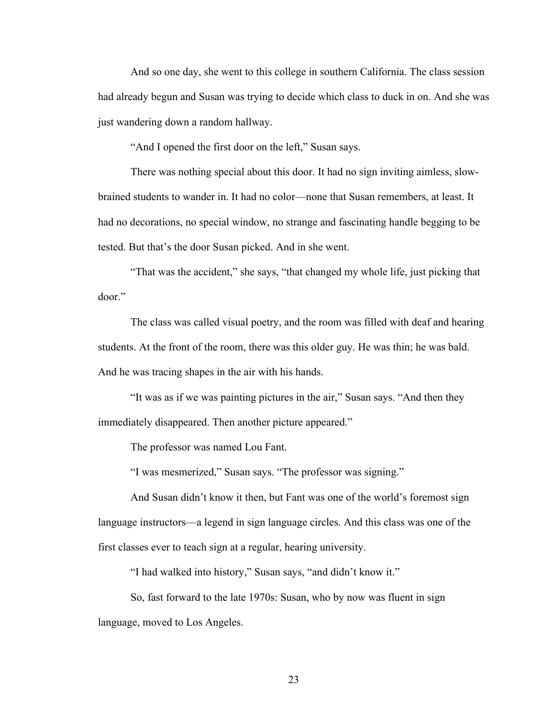And so one day, she went to this college in southern California. The class session had already begun and Susan was trying to decide which class to duck in on. And she was just wandering down a random hallway.

"And I opened the first door on the left," Susan says.

There was nothing special about this door. It had no sign inviting aimless, slowbrained students to wander in. It had no color—none that Susan remembers, at least. It had no decorations, no special window, no strange and fascinating handle begging to be tested. But that's the door Susan picked. And in she went.

"That was the accident," she says, "that changed my whole life, just picking that door."

The class was called visual poetry, and the room was filled with deaf and hearing students. At the front of the room, there was this older guy. He was thin; he was bald. And he was tracing shapes in the air with his hands.

"It was as if we was painting pictures in the air," Susan says. "And then they immediately disappeared. Then another picture appeared."

The professor was named Lou Fant.

"I was mesmerized," Susan says. "The professor was signing."

And Susan didn't know it then, but Fant was one of the world's foremost sign language instructors—a legend in sign language circles. And this class was one of the first classes ever to teach sign at a regular, hearing university.

"I had walked into history," Susan says, "and didn't know it."

So, fast forward to the late 1970s: Susan, who by now was fluent in sign language, moved to Los Angeles.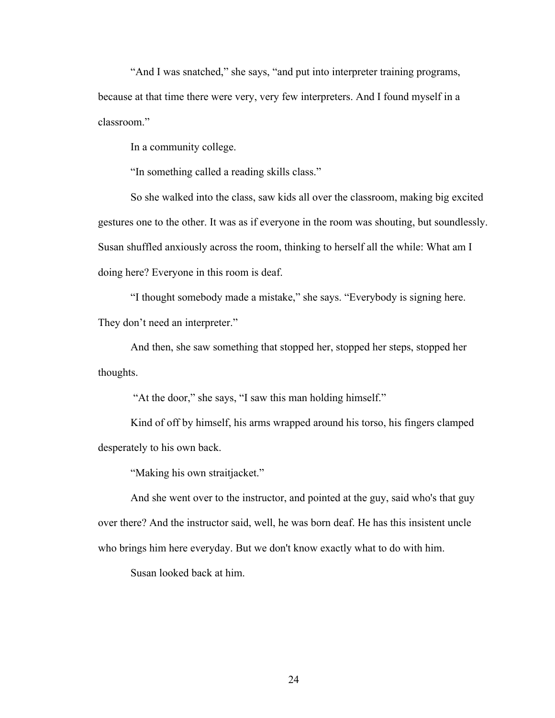"And I was snatched," she says, "and put into interpreter training programs, because at that time there were very, very few interpreters. And I found myself in a classroom."

In a community college.

"In something called a reading skills class."

So she walked into the class, saw kids all over the classroom, making big excited gestures one to the other. It was as if everyone in the room was shouting, but soundlessly. Susan shuffled anxiously across the room, thinking to herself all the while: What am I doing here? Everyone in this room is deaf.

"I thought somebody made a mistake," she says. "Everybody is signing here. They don't need an interpreter."

And then, she saw something that stopped her, stopped her steps, stopped her thoughts.

"At the door," she says, "I saw this man holding himself."

Kind of off by himself, his arms wrapped around his torso, his fingers clamped desperately to his own back.

"Making his own straitjacket."

And she went over to the instructor, and pointed at the guy, said who's that guy over there? And the instructor said, well, he was born deaf. He has this insistent uncle who brings him here everyday. But we don't know exactly what to do with him.

Susan looked back at him.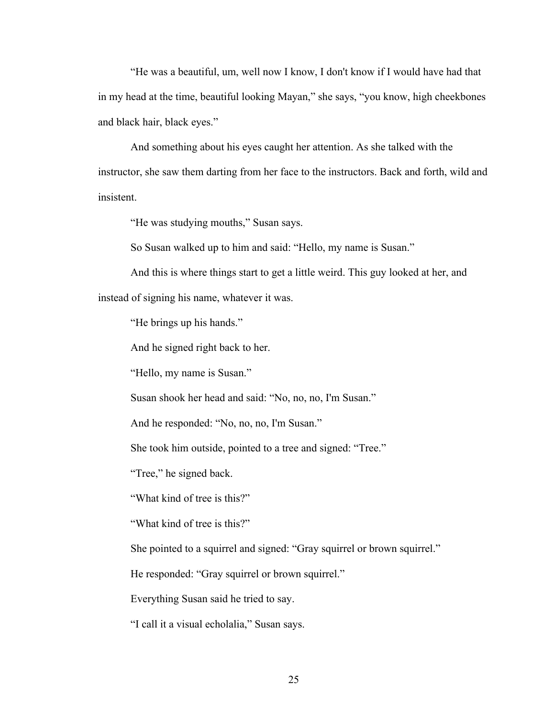"He was a beautiful, um, well now I know, I don't know if I would have had that in my head at the time, beautiful looking Mayan," she says, "you know, high cheekbones and black hair, black eyes."

And something about his eyes caught her attention. As she talked with the instructor, she saw them darting from her face to the instructors. Back and forth, wild and insistent.

"He was studying mouths," Susan says.

So Susan walked up to him and said: "Hello, my name is Susan."

And this is where things start to get a little weird. This guy looked at her, and instead of signing his name, whatever it was.

"He brings up his hands."

And he signed right back to her.

"Hello, my name is Susan."

Susan shook her head and said: "No, no, no, I'm Susan."

And he responded: "No, no, no, I'm Susan."

She took him outside, pointed to a tree and signed: "Tree."

"Tree," he signed back.

"What kind of tree is this?"

"What kind of tree is this?"

She pointed to a squirrel and signed: "Gray squirrel or brown squirrel."

He responded: "Gray squirrel or brown squirrel."

Everything Susan said he tried to say.

"I call it a visual echolalia," Susan says.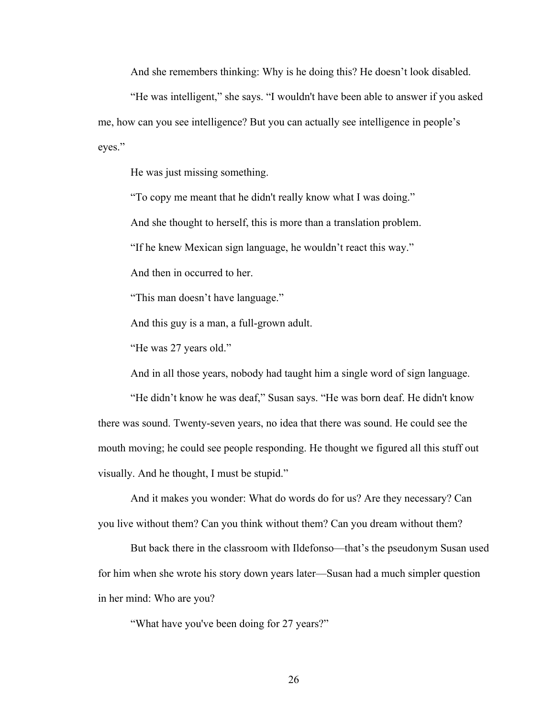And she remembers thinking: Why is he doing this? He doesn't look disabled.

"He was intelligent," she says. "I wouldn't have been able to answer if you asked me, how can you see intelligence? But you can actually see intelligence in people's eyes."

He was just missing something.

"To copy me meant that he didn't really know what I was doing."

And she thought to herself, this is more than a translation problem.

"If he knew Mexican sign language, he wouldn't react this way."

And then in occurred to her.

"This man doesn't have language."

And this guy is a man, a full-grown adult.

"He was 27 years old."

And in all those years, nobody had taught him a single word of sign language.

"He didn't know he was deaf," Susan says. "He was born deaf. He didn't know there was sound. Twenty-seven years, no idea that there was sound. He could see the mouth moving; he could see people responding. He thought we figured all this stuff out visually. And he thought, I must be stupid."

And it makes you wonder: What do words do for us? Are they necessary? Can you live without them? Can you think without them? Can you dream without them?

But back there in the classroom with Ildefonso—that's the pseudonym Susan used for him when she wrote his story down years later—Susan had a much simpler question in her mind: Who are you?

"What have you've been doing for 27 years?"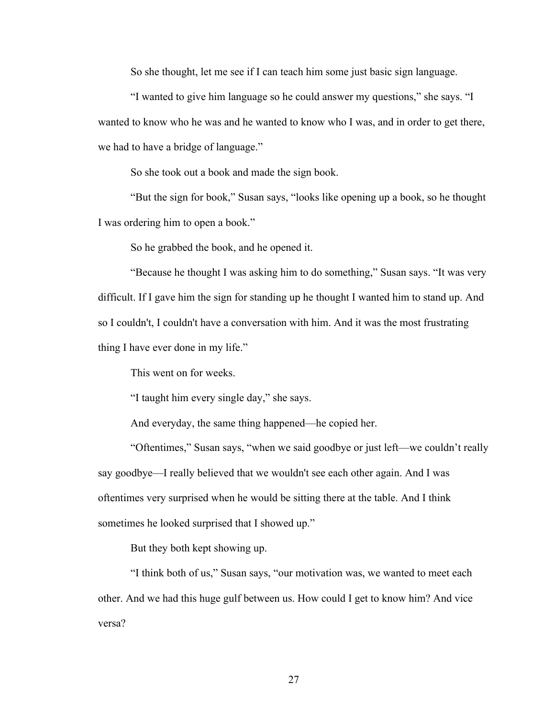So she thought, let me see if I can teach him some just basic sign language.

"I wanted to give him language so he could answer my questions," she says. "I wanted to know who he was and he wanted to know who I was, and in order to get there, we had to have a bridge of language."

So she took out a book and made the sign book.

"But the sign for book," Susan says, "looks like opening up a book, so he thought I was ordering him to open a book."

So he grabbed the book, and he opened it.

"Because he thought I was asking him to do something," Susan says. "It was very difficult. If I gave him the sign for standing up he thought I wanted him to stand up. And so I couldn't, I couldn't have a conversation with him. And it was the most frustrating thing I have ever done in my life."

This went on for weeks.

"I taught him every single day," she says.

And everyday, the same thing happened—he copied her.

"Oftentimes," Susan says, "when we said goodbye or just left—we couldn't really say goodbye—I really believed that we wouldn't see each other again. And I was oftentimes very surprised when he would be sitting there at the table. And I think sometimes he looked surprised that I showed up."

But they both kept showing up.

"I think both of us," Susan says, "our motivation was, we wanted to meet each other. And we had this huge gulf between us. How could I get to know him? And vice versa?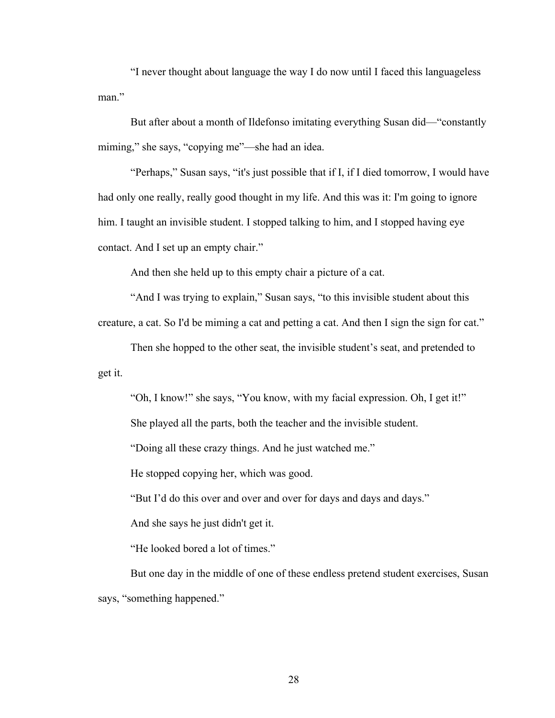"I never thought about language the way I do now until I faced this languageless man."

But after about a month of Ildefonso imitating everything Susan did—"constantly miming," she says, "copying me"—she had an idea.

"Perhaps," Susan says, "it's just possible that if I, if I died tomorrow, I would have had only one really, really good thought in my life. And this was it: I'm going to ignore him. I taught an invisible student. I stopped talking to him, and I stopped having eye contact. And I set up an empty chair."

And then she held up to this empty chair a picture of a cat.

"And I was trying to explain," Susan says, "to this invisible student about this creature, a cat. So I'd be miming a cat and petting a cat. And then I sign the sign for cat."

Then she hopped to the other seat, the invisible student's seat, and pretended to get it.

"Oh, I know!" she says, "You know, with my facial expression. Oh, I get it!"

She played all the parts, both the teacher and the invisible student.

"Doing all these crazy things. And he just watched me."

He stopped copying her, which was good.

"But I'd do this over and over and over for days and days and days."

And she says he just didn't get it.

"He looked bored a lot of times."

But one day in the middle of one of these endless pretend student exercises, Susan says, "something happened."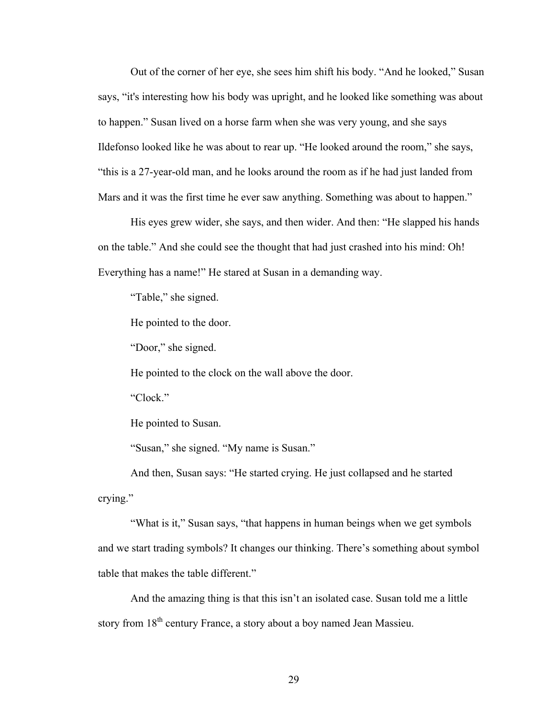Out of the corner of her eye, she sees him shift his body. "And he looked," Susan says, "it's interesting how his body was upright, and he looked like something was about to happen." Susan lived on a horse farm when she was very young, and she says Ildefonso looked like he was about to rear up. "He looked around the room," she says, "this is a 27-year-old man, and he looks around the room as if he had just landed from Mars and it was the first time he ever saw anything. Something was about to happen."

His eyes grew wider, she says, and then wider. And then: "He slapped his hands on the table." And she could see the thought that had just crashed into his mind: Oh! Everything has a name!" He stared at Susan in a demanding way.

"Table," she signed.

He pointed to the door.

"Door," she signed.

He pointed to the clock on the wall above the door.

"Clock."

He pointed to Susan.

"Susan," she signed. "My name is Susan."

And then, Susan says: "He started crying. He just collapsed and he started crying."

"What is it," Susan says, "that happens in human beings when we get symbols and we start trading symbols? It changes our thinking. There's something about symbol table that makes the table different."

And the amazing thing is that this isn't an isolated case. Susan told me a little story from 18<sup>th</sup> century France, a story about a boy named Jean Massieu.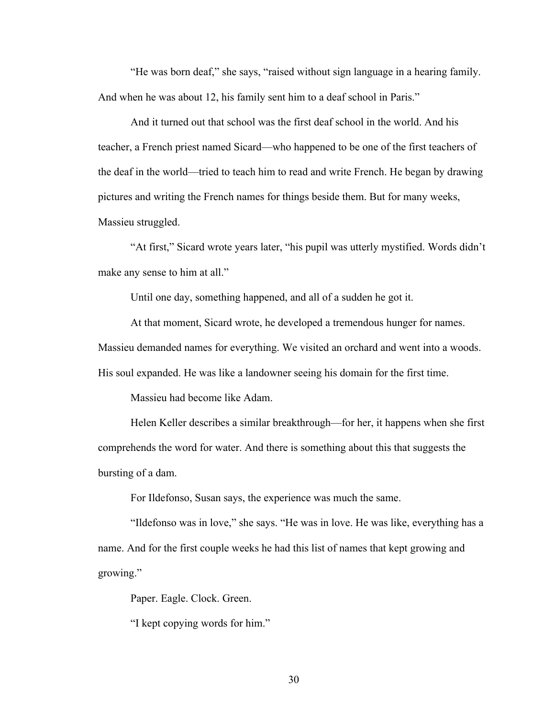"He was born deaf," she says, "raised without sign language in a hearing family. And when he was about 12, his family sent him to a deaf school in Paris."

And it turned out that school was the first deaf school in the world. And his teacher, a French priest named Sicard—who happened to be one of the first teachers of the deaf in the world—tried to teach him to read and write French. He began by drawing pictures and writing the French names for things beside them. But for many weeks, Massieu struggled.

"At first," Sicard wrote years later, "his pupil was utterly mystified. Words didn't make any sense to him at all."

Until one day, something happened, and all of a sudden he got it.

At that moment, Sicard wrote, he developed a tremendous hunger for names. Massieu demanded names for everything. We visited an orchard and went into a woods. His soul expanded. He was like a landowner seeing his domain for the first time.

Massieu had become like Adam.

Helen Keller describes a similar breakthrough—for her, it happens when she first comprehends the word for water. And there is something about this that suggests the bursting of a dam.

For Ildefonso, Susan says, the experience was much the same.

"Ildefonso was in love," she says. "He was in love. He was like, everything has a name. And for the first couple weeks he had this list of names that kept growing and growing."

Paper. Eagle. Clock. Green.

"I kept copying words for him."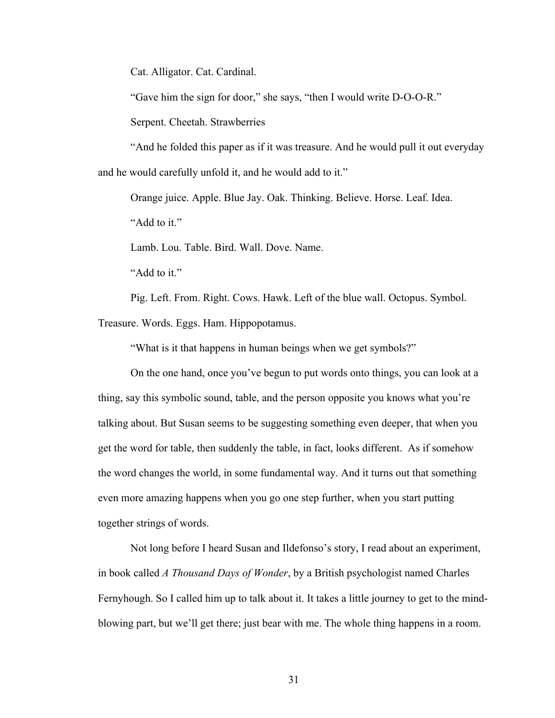Cat. Alligator. Cat. Cardinal.

"Gave him the sign for door," she says, "then I would write D-O-O-R."

Serpent. Cheetah. Strawberries

"And he folded this paper as if it was treasure. And he would pull it out everyday and he would carefully unfold it, and he would add to it."

Orange juice. Apple. Blue Jay. Oak. Thinking. Believe. Horse. Leaf. Idea. "Add to it."

Lamb. Lou. Table. Bird. Wall. Dove. Name.

"Add to it."

Pig. Left. From. Right. Cows. Hawk. Left of the blue wall. Octopus. Symbol. Treasure. Words. Eggs. Ham. Hippopotamus.

"What is it that happens in human beings when we get symbols?"

On the one hand, once you've begun to put words onto things, you can look at a thing, say this symbolic sound, table, and the person opposite you knows what you're talking about. But Susan seems to be suggesting something even deeper, that when you get the word for table, then suddenly the table, in fact, looks different. As if somehow the word changes the world, in some fundamental way. And it turns out that something even more amazing happens when you go one step further, when you start putting together strings of words.

Not long before I heard Susan and Ildefonso's story, I read about an experiment, in book called *A Thousand Days of Wonder*, by a British psychologist named Charles Fernyhough. So I called him up to talk about it. It takes a little journey to get to the mindblowing part, but we'll get there; just bear with me. The whole thing happens in a room.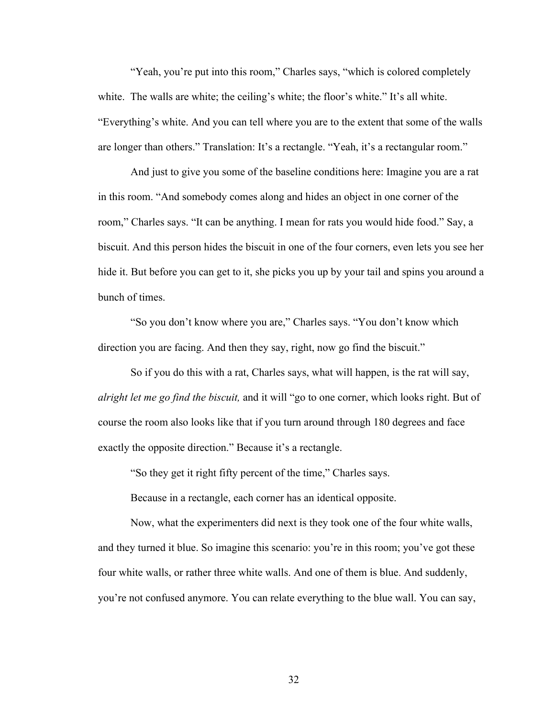"Yeah, you're put into this room," Charles says, "which is colored completely white. The walls are white; the ceiling's white; the floor's white." It's all white. "Everything's white. And you can tell where you are to the extent that some of the walls are longer than others." Translation: It's a rectangle. "Yeah, it's a rectangular room."

And just to give you some of the baseline conditions here: Imagine you are a rat in this room. "And somebody comes along and hides an object in one corner of the room," Charles says. "It can be anything. I mean for rats you would hide food." Say, a biscuit. And this person hides the biscuit in one of the four corners, even lets you see her hide it. But before you can get to it, she picks you up by your tail and spins you around a bunch of times.

"So you don't know where you are," Charles says. "You don't know which direction you are facing. And then they say, right, now go find the biscuit."

So if you do this with a rat, Charles says, what will happen, is the rat will say, *alright let me go find the biscuit,* and it will "go to one corner, which looks right. But of course the room also looks like that if you turn around through 180 degrees and face exactly the opposite direction." Because it's a rectangle.

"So they get it right fifty percent of the time," Charles says.

Because in a rectangle, each corner has an identical opposite.

Now, what the experimenters did next is they took one of the four white walls, and they turned it blue. So imagine this scenario: you're in this room; you've got these four white walls, or rather three white walls. And one of them is blue. And suddenly, you're not confused anymore. You can relate everything to the blue wall. You can say,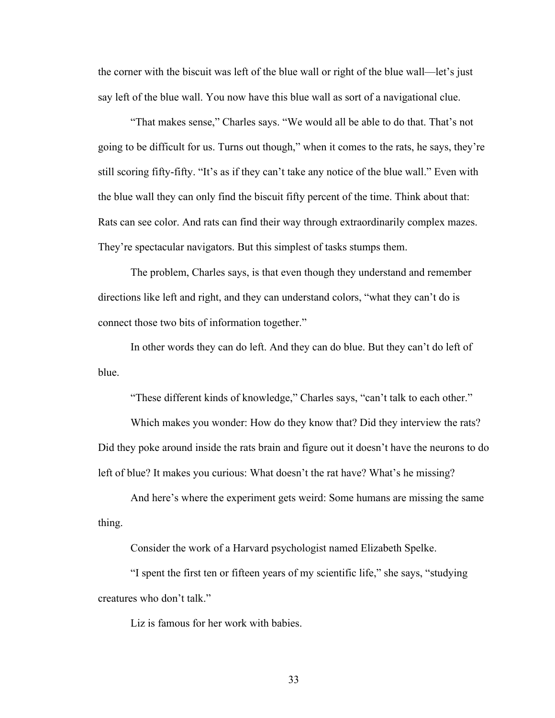the corner with the biscuit was left of the blue wall or right of the blue wall—let's just say left of the blue wall. You now have this blue wall as sort of a navigational clue.

"That makes sense," Charles says. "We would all be able to do that. That's not going to be difficult for us. Turns out though," when it comes to the rats, he says, they're still scoring fifty-fifty. "It's as if they can't take any notice of the blue wall." Even with the blue wall they can only find the biscuit fifty percent of the time. Think about that: Rats can see color. And rats can find their way through extraordinarily complex mazes. They're spectacular navigators. But this simplest of tasks stumps them.

The problem, Charles says, is that even though they understand and remember directions like left and right, and they can understand colors, "what they can't do is connect those two bits of information together."

In other words they can do left. And they can do blue. But they can't do left of blue.

"These different kinds of knowledge," Charles says, "can't talk to each other."

Which makes you wonder: How do they know that? Did they interview the rats? Did they poke around inside the rats brain and figure out it doesn't have the neurons to do left of blue? It makes you curious: What doesn't the rat have? What's he missing?

And here's where the experiment gets weird: Some humans are missing the same thing.

Consider the work of a Harvard psychologist named Elizabeth Spelke.

"I spent the first ten or fifteen years of my scientific life," she says, "studying creatures who don't talk."

Liz is famous for her work with babies.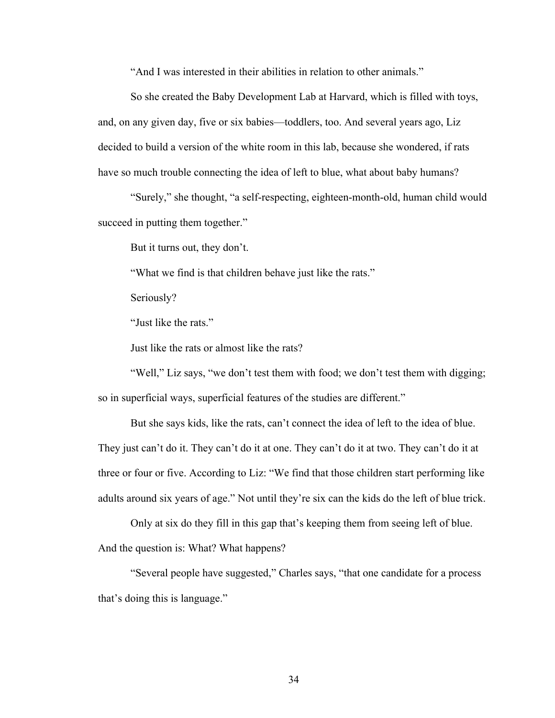"And I was interested in their abilities in relation to other animals."

So she created the Baby Development Lab at Harvard, which is filled with toys, and, on any given day, five or six babies—toddlers, too. And several years ago, Liz decided to build a version of the white room in this lab, because she wondered, if rats have so much trouble connecting the idea of left to blue, what about baby humans?

"Surely," she thought, "a self-respecting, eighteen-month-old, human child would succeed in putting them together."

But it turns out, they don't.

"What we find is that children behave just like the rats."

Seriously?

"Just like the rats."

Just like the rats or almost like the rats?

"Well," Liz says, "we don't test them with food; we don't test them with digging; so in superficial ways, superficial features of the studies are different."

But she says kids, like the rats, can't connect the idea of left to the idea of blue. They just can't do it. They can't do it at one. They can't do it at two. They can't do it at three or four or five. According to Liz: "We find that those children start performing like adults around six years of age." Not until they're six can the kids do the left of blue trick.

Only at six do they fill in this gap that's keeping them from seeing left of blue. And the question is: What? What happens?

"Several people have suggested," Charles says, "that one candidate for a process that's doing this is language."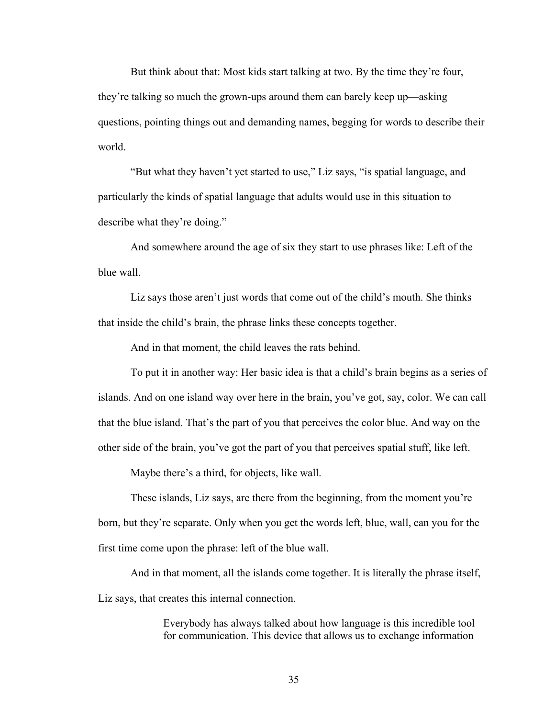But think about that: Most kids start talking at two. By the time they're four, they're talking so much the grown-ups around them can barely keep up—asking questions, pointing things out and demanding names, begging for words to describe their world.

"But what they haven't yet started to use," Liz says, "is spatial language, and particularly the kinds of spatial language that adults would use in this situation to describe what they're doing."

And somewhere around the age of six they start to use phrases like: Left of the blue wall.

Liz says those aren't just words that come out of the child's mouth. She thinks that inside the child's brain, the phrase links these concepts together.

And in that moment, the child leaves the rats behind.

To put it in another way: Her basic idea is that a child's brain begins as a series of islands. And on one island way over here in the brain, you've got, say, color. We can call that the blue island. That's the part of you that perceives the color blue. And way on the other side of the brain, you've got the part of you that perceives spatial stuff, like left.

Maybe there's a third, for objects, like wall.

These islands, Liz says, are there from the beginning, from the moment you're born, but they're separate. Only when you get the words left, blue, wall, can you for the first time come upon the phrase: left of the blue wall.

And in that moment, all the islands come together. It is literally the phrase itself, Liz says, that creates this internal connection.

> Everybody has always talked about how language is this incredible tool for communication. This device that allows us to exchange information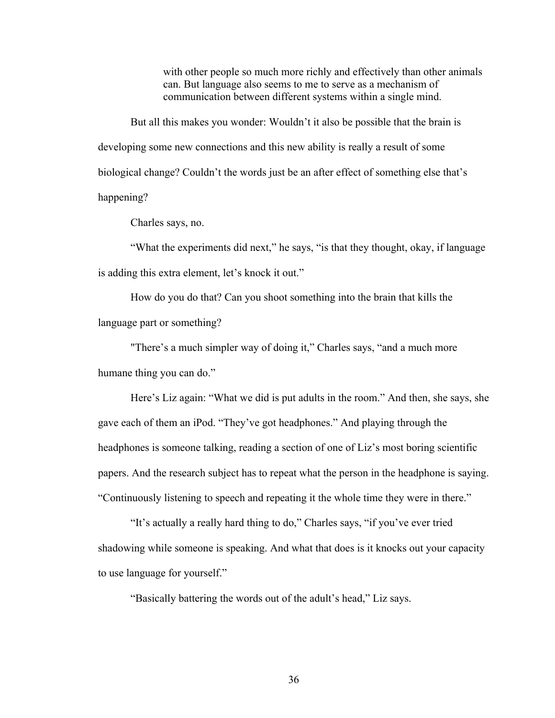with other people so much more richly and effectively than other animals can. But language also seems to me to serve as a mechanism of communication between different systems within a single mind.

But all this makes you wonder: Wouldn't it also be possible that the brain is developing some new connections and this new ability is really a result of some biological change? Couldn't the words just be an after effect of something else that's happening?

Charles says, no.

"What the experiments did next," he says, "is that they thought, okay, if language is adding this extra element, let's knock it out."

How do you do that? Can you shoot something into the brain that kills the language part or something?

"There's a much simpler way of doing it," Charles says, "and a much more humane thing you can do."

Here's Liz again: "What we did is put adults in the room." And then, she says, she gave each of them an iPod. "They've got headphones." And playing through the headphones is someone talking, reading a section of one of Liz's most boring scientific papers. And the research subject has to repeat what the person in the headphone is saying. "Continuously listening to speech and repeating it the whole time they were in there."

"It's actually a really hard thing to do," Charles says, "if you've ever tried shadowing while someone is speaking. And what that does is it knocks out your capacity to use language for yourself."

"Basically battering the words out of the adult's head," Liz says.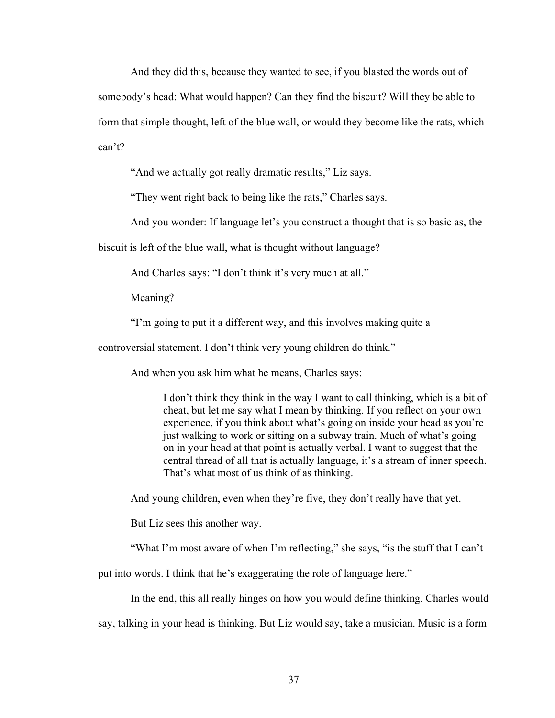And they did this, because they wanted to see, if you blasted the words out of somebody's head: What would happen? Can they find the biscuit? Will they be able to form that simple thought, left of the blue wall, or would they become like the rats, which can't?

"And we actually got really dramatic results," Liz says.

"They went right back to being like the rats," Charles says.

And you wonder: If language let's you construct a thought that is so basic as, the

biscuit is left of the blue wall, what is thought without language?

And Charles says: "I don't think it's very much at all."

Meaning?

"I'm going to put it a different way, and this involves making quite a

controversial statement. I don't think very young children do think."

And when you ask him what he means, Charles says:

I don't think they think in the way I want to call thinking, which is a bit of cheat, but let me say what I mean by thinking. If you reflect on your own experience, if you think about what's going on inside your head as you're just walking to work or sitting on a subway train. Much of what's going on in your head at that point is actually verbal. I want to suggest that the central thread of all that is actually language, it's a stream of inner speech. That's what most of us think of as thinking.

And young children, even when they're five, they don't really have that yet.

But Liz sees this another way.

"What I'm most aware of when I'm reflecting," she says, "is the stuff that I can't

put into words. I think that he's exaggerating the role of language here."

In the end, this all really hinges on how you would define thinking. Charles would

say, talking in your head is thinking. But Liz would say, take a musician. Music is a form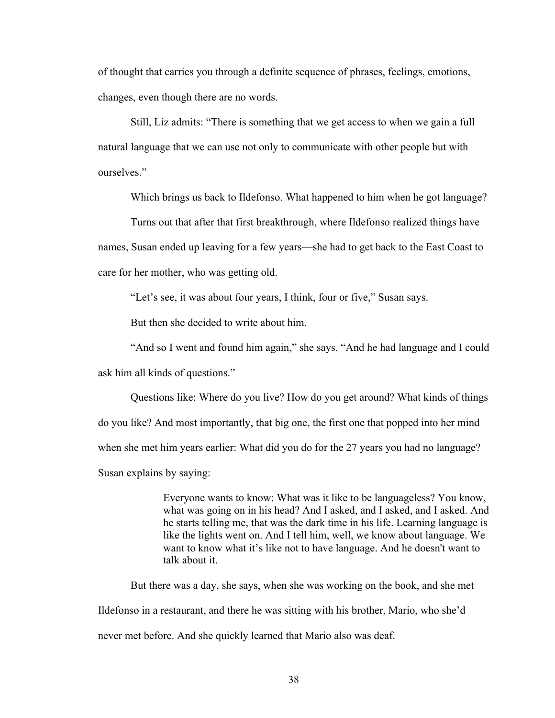of thought that carries you through a definite sequence of phrases, feelings, emotions, changes, even though there are no words.

Still, Liz admits: "There is something that we get access to when we gain a full natural language that we can use not only to communicate with other people but with ourselves."

Which brings us back to Ildefonso. What happened to him when he got language?

Turns out that after that first breakthrough, where Ildefonso realized things have names, Susan ended up leaving for a few years—she had to get back to the East Coast to care for her mother, who was getting old.

"Let's see, it was about four years, I think, four or five," Susan says.

But then she decided to write about him.

"And so I went and found him again," she says. "And he had language and I could ask him all kinds of questions."

Questions like: Where do you live? How do you get around? What kinds of things do you like? And most importantly, that big one, the first one that popped into her mind when she met him years earlier: What did you do for the 27 years you had no language? Susan explains by saying:

> Everyone wants to know: What was it like to be languageless? You know, what was going on in his head? And I asked, and I asked, and I asked. And he starts telling me, that was the dark time in his life. Learning language is like the lights went on. And I tell him, well, we know about language. We want to know what it's like not to have language. And he doesn't want to talk about it.

But there was a day, she says, when she was working on the book, and she met Ildefonso in a restaurant, and there he was sitting with his brother, Mario, who she'd never met before. And she quickly learned that Mario also was deaf.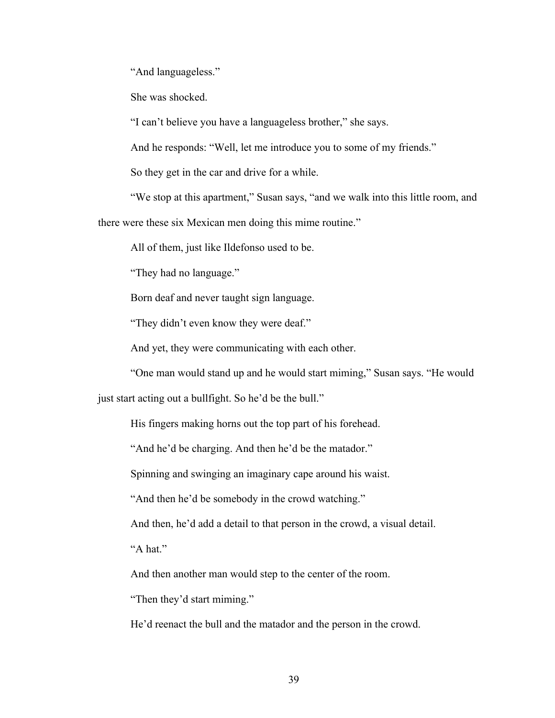"And languageless."

She was shocked.

"I can't believe you have a languageless brother," she says.

And he responds: "Well, let me introduce you to some of my friends."

So they get in the car and drive for a while.

"We stop at this apartment," Susan says, "and we walk into this little room, and

there were these six Mexican men doing this mime routine."

All of them, just like Ildefonso used to be.

"They had no language."

Born deaf and never taught sign language.

"They didn't even know they were deaf."

And yet, they were communicating with each other.

"One man would stand up and he would start miming," Susan says. "He would

just start acting out a bullfight. So he'd be the bull."

His fingers making horns out the top part of his forehead.

"And he'd be charging. And then he'd be the matador."

Spinning and swinging an imaginary cape around his waist.

"And then he'd be somebody in the crowd watching."

And then, he'd add a detail to that person in the crowd, a visual detail.

"A hat."

And then another man would step to the center of the room.

"Then they'd start miming."

He'd reenact the bull and the matador and the person in the crowd.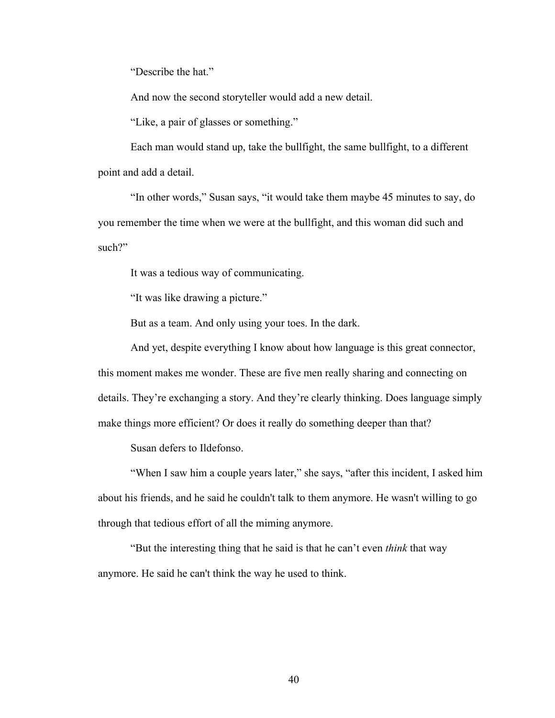"Describe the hat."

And now the second storyteller would add a new detail.

"Like, a pair of glasses or something."

Each man would stand up, take the bullfight, the same bullfight, to a different point and add a detail.

"In other words," Susan says, "it would take them maybe 45 minutes to say, do you remember the time when we were at the bullfight, and this woman did such and such?"

It was a tedious way of communicating.

"It was like drawing a picture."

But as a team. And only using your toes. In the dark.

And yet, despite everything I know about how language is this great connector, this moment makes me wonder. These are five men really sharing and connecting on details. They're exchanging a story. And they're clearly thinking. Does language simply make things more efficient? Or does it really do something deeper than that?

Susan defers to Ildefonso.

"When I saw him a couple years later," she says, "after this incident, I asked him about his friends, and he said he couldn't talk to them anymore. He wasn't willing to go through that tedious effort of all the miming anymore.

"But the interesting thing that he said is that he can't even *think* that way anymore. He said he can't think the way he used to think.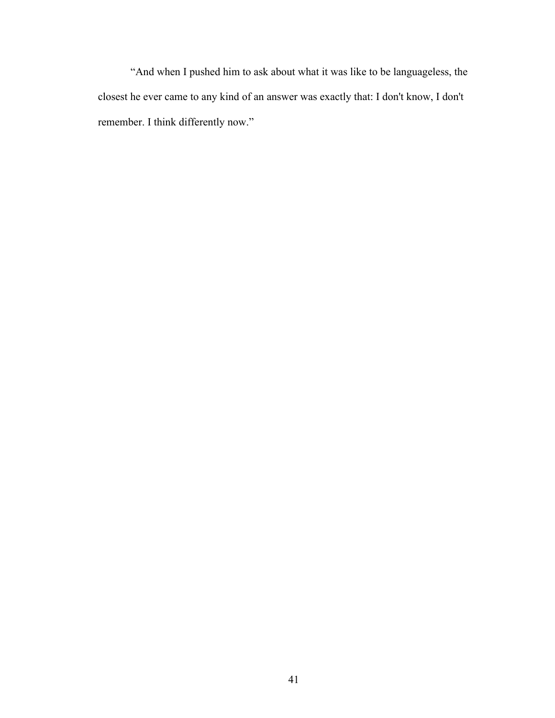"And when I pushed him to ask about what it was like to be languageless, the closest he ever came to any kind of an answer was exactly that: I don't know, I don't remember. I think differently now."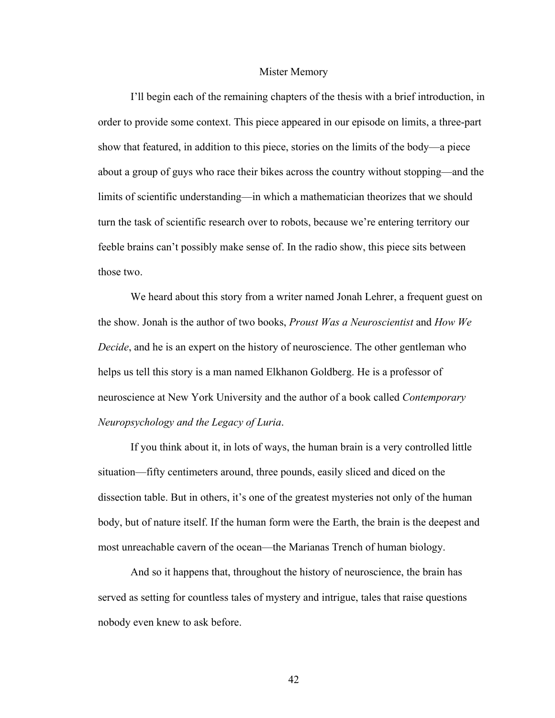## Mister Memory

I'll begin each of the remaining chapters of the thesis with a brief introduction, in order to provide some context. This piece appeared in our episode on limits, a three-part show that featured, in addition to this piece, stories on the limits of the body—a piece about a group of guys who race their bikes across the country without stopping—and the limits of scientific understanding—in which a mathematician theorizes that we should turn the task of scientific research over to robots, because we're entering territory our feeble brains can't possibly make sense of. In the radio show, this piece sits between those two.

We heard about this story from a writer named Jonah Lehrer, a frequent guest on the show. Jonah is the author of two books, *Proust Was a Neuroscientist* and *How We Decide*, and he is an expert on the history of neuroscience. The other gentleman who helps us tell this story is a man named Elkhanon Goldberg. He is a professor of neuroscience at New York University and the author of a book called *Contemporary Neuropsychology and the Legacy of Luria*.

If you think about it, in lots of ways, the human brain is a very controlled little situation—fifty centimeters around, three pounds, easily sliced and diced on the dissection table. But in others, it's one of the greatest mysteries not only of the human body, but of nature itself. If the human form were the Earth, the brain is the deepest and most unreachable cavern of the ocean—the Marianas Trench of human biology.

And so it happens that, throughout the history of neuroscience, the brain has served as setting for countless tales of mystery and intrigue, tales that raise questions nobody even knew to ask before.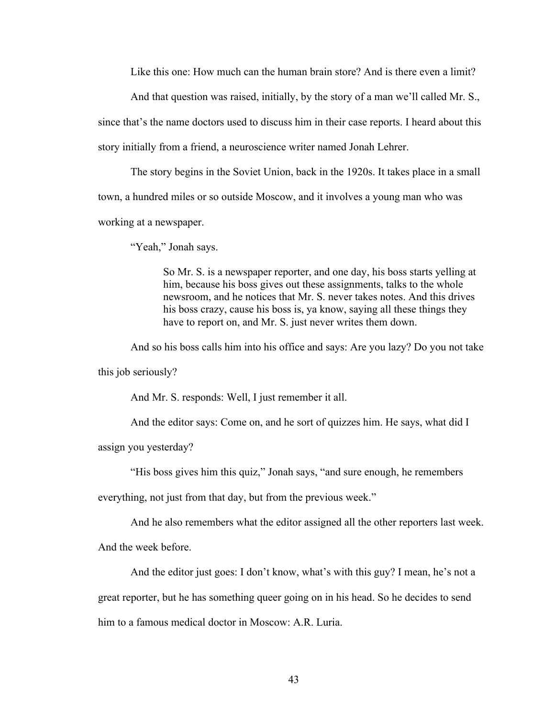Like this one: How much can the human brain store? And is there even a limit?

And that question was raised, initially, by the story of a man we'll called Mr. S.,

since that's the name doctors used to discuss him in their case reports. I heard about this story initially from a friend, a neuroscience writer named Jonah Lehrer.

The story begins in the Soviet Union, back in the 1920s. It takes place in a small town, a hundred miles or so outside Moscow, and it involves a young man who was working at a newspaper.

"Yeah," Jonah says.

So Mr. S. is a newspaper reporter, and one day, his boss starts yelling at him, because his boss gives out these assignments, talks to the whole newsroom, and he notices that Mr. S. never takes notes. And this drives his boss crazy, cause his boss is, ya know, saying all these things they have to report on, and Mr. S. just never writes them down.

And so his boss calls him into his office and says: Are you lazy? Do you not take this job seriously?

And Mr. S. responds: Well, I just remember it all.

And the editor says: Come on, and he sort of quizzes him. He says, what did I

assign you yesterday?

"His boss gives him this quiz," Jonah says, "and sure enough, he remembers

everything, not just from that day, but from the previous week."

And he also remembers what the editor assigned all the other reporters last week.

And the week before.

And the editor just goes: I don't know, what's with this guy? I mean, he's not a

great reporter, but he has something queer going on in his head. So he decides to send him to a famous medical doctor in Moscow: A.R. Luria.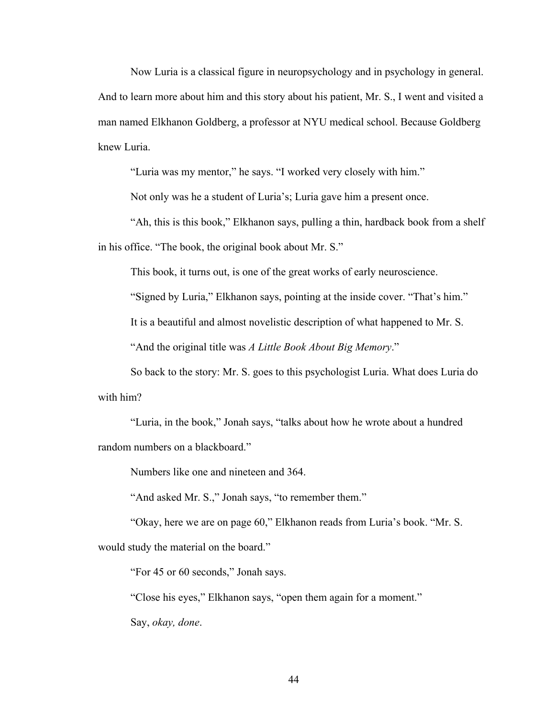Now Luria is a classical figure in neuropsychology and in psychology in general. And to learn more about him and this story about his patient, Mr. S., I went and visited a man named Elkhanon Goldberg, a professor at NYU medical school. Because Goldberg knew Luria.

"Luria was my mentor," he says. "I worked very closely with him."

Not only was he a student of Luria's; Luria gave him a present once.

"Ah, this is this book," Elkhanon says, pulling a thin, hardback book from a shelf in his office. "The book, the original book about Mr. S."

This book, it turns out, is one of the great works of early neuroscience.

"Signed by Luria," Elkhanon says, pointing at the inside cover. "That's him."

It is a beautiful and almost novelistic description of what happened to Mr. S.

"And the original title was *A Little Book About Big Memory*."

So back to the story: Mr. S. goes to this psychologist Luria. What does Luria do with him?

"Luria, in the book," Jonah says, "talks about how he wrote about a hundred random numbers on a blackboard."

Numbers like one and nineteen and 364.

"And asked Mr. S.," Jonah says, "to remember them."

"Okay, here we are on page 60," Elkhanon reads from Luria's book. "Mr. S. would study the material on the board."

"For 45 or 60 seconds," Jonah says.

"Close his eyes," Elkhanon says, "open them again for a moment." Say, *okay, done*.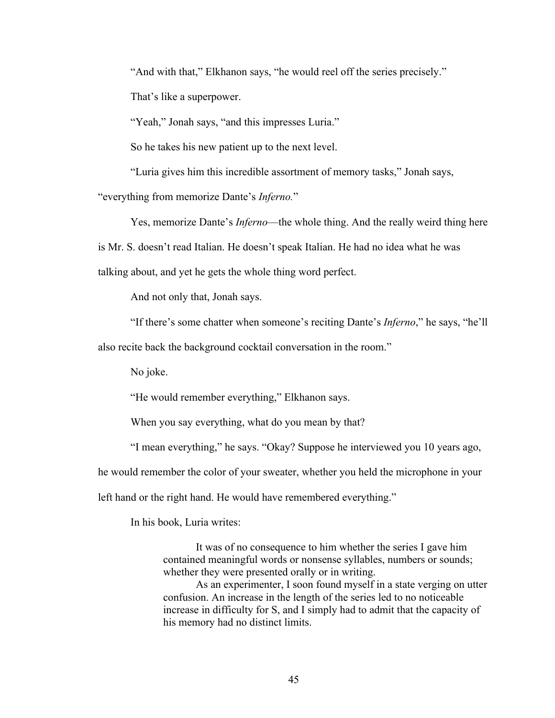"And with that," Elkhanon says, "he would reel off the series precisely."

That's like a superpower.

"Yeah," Jonah says, "and this impresses Luria."

So he takes his new patient up to the next level.

"Luria gives him this incredible assortment of memory tasks," Jonah says,

"everything from memorize Dante's *Inferno.*"

Yes, memorize Dante's *Inferno*—the whole thing. And the really weird thing here is Mr. S. doesn't read Italian. He doesn't speak Italian. He had no idea what he was talking about, and yet he gets the whole thing word perfect.

And not only that, Jonah says.

"If there's some chatter when someone's reciting Dante's *Inferno*," he says, "he'll

also recite back the background cocktail conversation in the room."

No joke.

"He would remember everything," Elkhanon says.

When you say everything, what do you mean by that?

"I mean everything," he says. "Okay? Suppose he interviewed you 10 years ago,

he would remember the color of your sweater, whether you held the microphone in your

left hand or the right hand. He would have remembered everything."

In his book, Luria writes:

It was of no consequence to him whether the series I gave him contained meaningful words or nonsense syllables, numbers or sounds; whether they were presented orally or in writing.

As an experimenter, I soon found myself in a state verging on utter confusion. An increase in the length of the series led to no noticeable increase in difficulty for S, and I simply had to admit that the capacity of his memory had no distinct limits.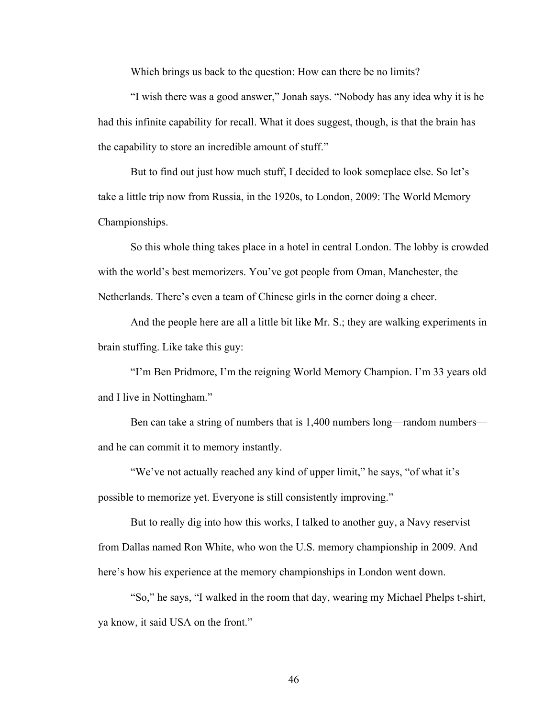Which brings us back to the question: How can there be no limits?

"I wish there was a good answer," Jonah says. "Nobody has any idea why it is he had this infinite capability for recall. What it does suggest, though, is that the brain has the capability to store an incredible amount of stuff."

But to find out just how much stuff, I decided to look someplace else. So let's take a little trip now from Russia, in the 1920s, to London, 2009: The World Memory Championships.

So this whole thing takes place in a hotel in central London. The lobby is crowded with the world's best memorizers. You've got people from Oman, Manchester, the Netherlands. There's even a team of Chinese girls in the corner doing a cheer.

And the people here are all a little bit like Mr. S.; they are walking experiments in brain stuffing. Like take this guy:

"I'm Ben Pridmore, I'm the reigning World Memory Champion. I'm 33 years old and I live in Nottingham."

Ben can take a string of numbers that is 1,400 numbers long—random numbers and he can commit it to memory instantly.

"We've not actually reached any kind of upper limit," he says, "of what it's possible to memorize yet. Everyone is still consistently improving."

But to really dig into how this works, I talked to another guy, a Navy reservist from Dallas named Ron White, who won the U.S. memory championship in 2009. And here's how his experience at the memory championships in London went down.

"So," he says, "I walked in the room that day, wearing my Michael Phelps t-shirt, ya know, it said USA on the front."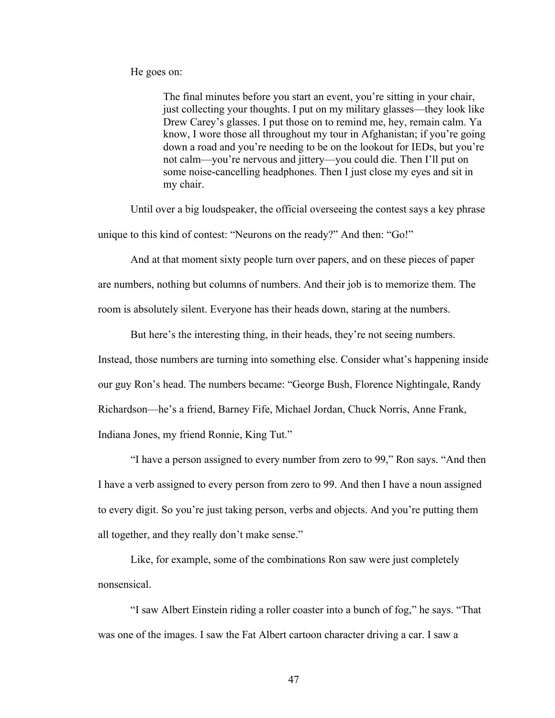He goes on:

The final minutes before you start an event, you're sitting in your chair, just collecting your thoughts. I put on my military glasses—they look like Drew Carey's glasses. I put those on to remind me, hey, remain calm. Ya know, I wore those all throughout my tour in Afghanistan; if you're going down a road and you're needing to be on the lookout for IEDs, but you're not calm—you're nervous and jittery—you could die. Then I'll put on some noise-cancelling headphones. Then I just close my eyes and sit in my chair.

Until over a big loudspeaker, the official overseeing the contest says a key phrase unique to this kind of contest: "Neurons on the ready?" And then: "Go!"

And at that moment sixty people turn over papers, and on these pieces of paper are numbers, nothing but columns of numbers. And their job is to memorize them. The room is absolutely silent. Everyone has their heads down, staring at the numbers.

But here's the interesting thing, in their heads, they're not seeing numbers.

Instead, those numbers are turning into something else. Consider what's happening inside our guy Ron's head. The numbers became: "George Bush, Florence Nightingale, Randy Richardson—he's a friend, Barney Fife, Michael Jordan, Chuck Norris, Anne Frank, Indiana Jones, my friend Ronnie, King Tut."

"I have a person assigned to every number from zero to 99," Ron says. "And then I have a verb assigned to every person from zero to 99. And then I have a noun assigned to every digit. So you're just taking person, verbs and objects. And you're putting them all together, and they really don't make sense."

Like, for example, some of the combinations Ron saw were just completely nonsensical.

"I saw Albert Einstein riding a roller coaster into a bunch of fog," he says. "That was one of the images. I saw the Fat Albert cartoon character driving a car. I saw a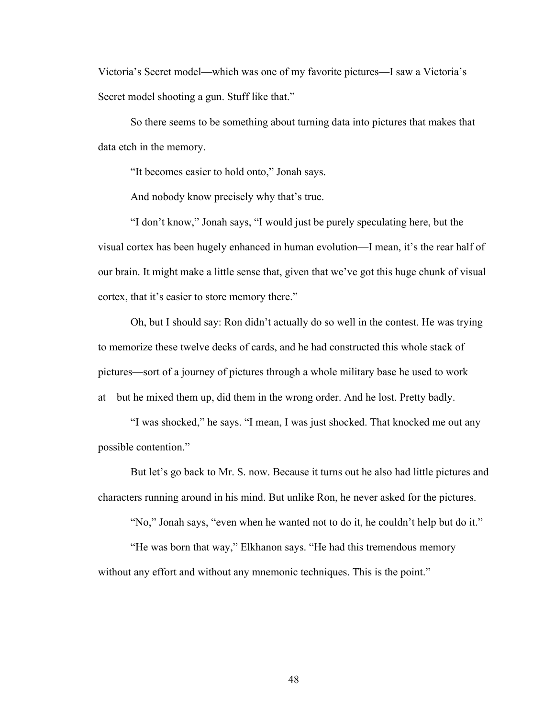Victoria's Secret model—which was one of my favorite pictures—I saw a Victoria's Secret model shooting a gun. Stuff like that."

So there seems to be something about turning data into pictures that makes that data etch in the memory.

"It becomes easier to hold onto," Jonah says.

And nobody know precisely why that's true.

"I don't know," Jonah says, "I would just be purely speculating here, but the visual cortex has been hugely enhanced in human evolution—I mean, it's the rear half of our brain. It might make a little sense that, given that we've got this huge chunk of visual cortex, that it's easier to store memory there."

Oh, but I should say: Ron didn't actually do so well in the contest. He was trying to memorize these twelve decks of cards, and he had constructed this whole stack of pictures—sort of a journey of pictures through a whole military base he used to work at—but he mixed them up, did them in the wrong order. And he lost. Pretty badly.

"I was shocked," he says. "I mean, I was just shocked. That knocked me out any possible contention."

But let's go back to Mr. S. now. Because it turns out he also had little pictures and characters running around in his mind. But unlike Ron, he never asked for the pictures.

"No," Jonah says, "even when he wanted not to do it, he couldn't help but do it."

"He was born that way," Elkhanon says. "He had this tremendous memory without any effort and without any mnemonic techniques. This is the point."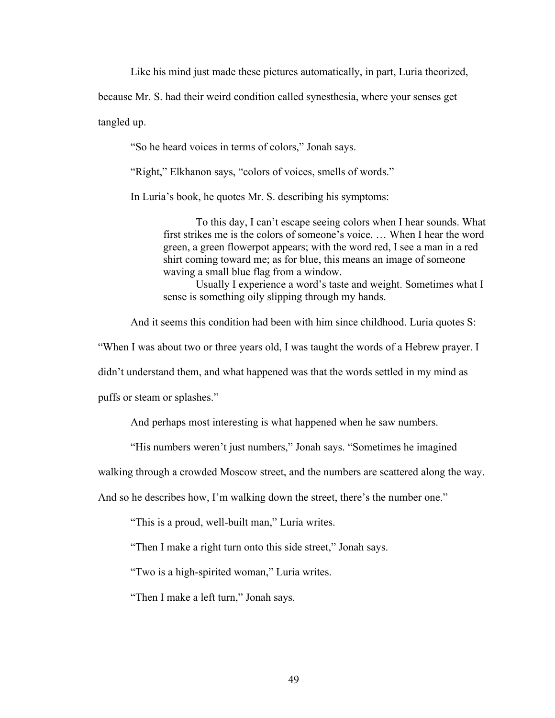Like his mind just made these pictures automatically, in part, Luria theorized,

because Mr. S. had their weird condition called synesthesia, where your senses get

tangled up.

"So he heard voices in terms of colors," Jonah says.

"Right," Elkhanon says, "colors of voices, smells of words."

In Luria's book, he quotes Mr. S. describing his symptoms:

To this day, I can't escape seeing colors when I hear sounds. What first strikes me is the colors of someone's voice. … When I hear the word green, a green flowerpot appears; with the word red, I see a man in a red shirt coming toward me; as for blue, this means an image of someone waving a small blue flag from a window.

Usually I experience a word's taste and weight. Sometimes what I sense is something oily slipping through my hands.

And it seems this condition had been with him since childhood. Luria quotes S:

"When I was about two or three years old, I was taught the words of a Hebrew prayer. I

didn't understand them, and what happened was that the words settled in my mind as

puffs or steam or splashes."

And perhaps most interesting is what happened when he saw numbers.

"His numbers weren't just numbers," Jonah says. "Sometimes he imagined

walking through a crowded Moscow street, and the numbers are scattered along the way.

And so he describes how, I'm walking down the street, there's the number one."

"This is a proud, well-built man," Luria writes.

"Then I make a right turn onto this side street," Jonah says.

"Two is a high-spirited woman," Luria writes.

"Then I make a left turn," Jonah says.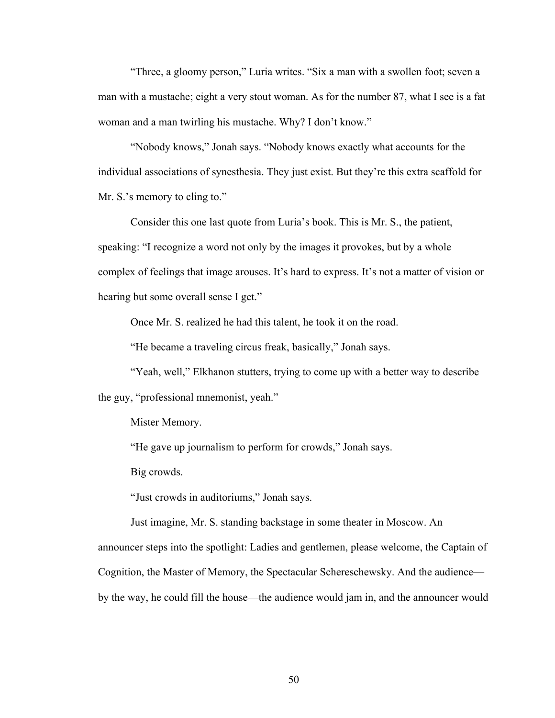"Three, a gloomy person," Luria writes. "Six a man with a swollen foot; seven a man with a mustache; eight a very stout woman. As for the number 87, what I see is a fat woman and a man twirling his mustache. Why? I don't know."

"Nobody knows," Jonah says. "Nobody knows exactly what accounts for the individual associations of synesthesia. They just exist. But they're this extra scaffold for Mr. S.'s memory to cling to."

Consider this one last quote from Luria's book. This is Mr. S., the patient, speaking: "I recognize a word not only by the images it provokes, but by a whole complex of feelings that image arouses. It's hard to express. It's not a matter of vision or hearing but some overall sense I get."

Once Mr. S. realized he had this talent, he took it on the road.

"He became a traveling circus freak, basically," Jonah says.

"Yeah, well," Elkhanon stutters, trying to come up with a better way to describe the guy, "professional mnemonist, yeah."

Mister Memory.

"He gave up journalism to perform for crowds," Jonah says.

Big crowds.

"Just crowds in auditoriums," Jonah says.

Just imagine, Mr. S. standing backstage in some theater in Moscow. An

announcer steps into the spotlight: Ladies and gentlemen, please welcome, the Captain of

Cognition, the Master of Memory, the Spectacular Schereschewsky. And the audience—

by the way, he could fill the house—the audience would jam in, and the announcer would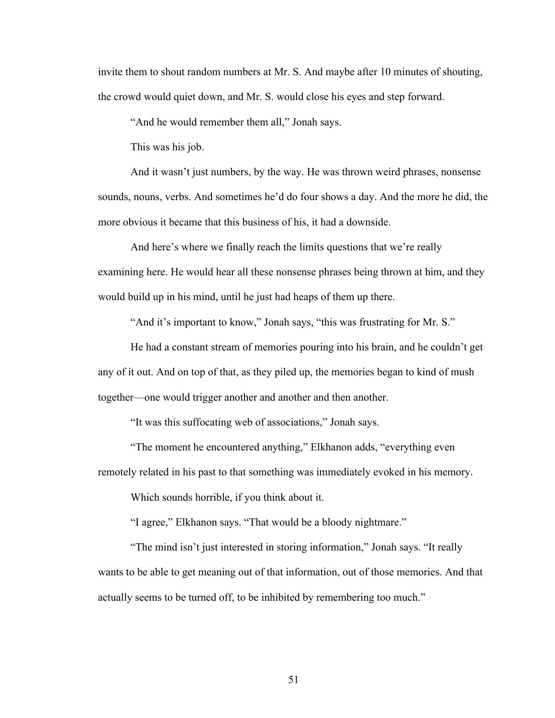invite them to shout random numbers at Mr. S. And maybe after 10 minutes of shouting, the crowd would quiet down, and Mr. S. would close his eyes and step forward.

"And he would remember them all," Jonah says.

This was his job.

And it wasn't just numbers, by the way. He was thrown weird phrases, nonsense sounds, nouns, verbs. And sometimes he'd do four shows a day. And the more he did, the more obvious it became that this business of his, it had a downside.

And here's where we finally reach the limits questions that we're really examining here. He would hear all these nonsense phrases being thrown at him, and they would build up in his mind, until he just had heaps of them up there.

"And it's important to know," Jonah says, "this was frustrating for Mr. S."

He had a constant stream of memories pouring into his brain, and he couldn't get any of it out. And on top of that, as they piled up, the memories began to kind of mush together—one would trigger another and another and then another.

"It was this suffocating web of associations," Jonah says.

"The moment he encountered anything," Elkhanon adds, "everything even remotely related in his past to that something was immediately evoked in his memory.

Which sounds horrible, if you think about it.

"I agree," Elkhanon says. "That would be a bloody nightmare."

"The mind isn't just interested in storing information," Jonah says. "It really wants to be able to get meaning out of that information, out of those memories. And that actually seems to be turned off, to be inhibited by remembering too much."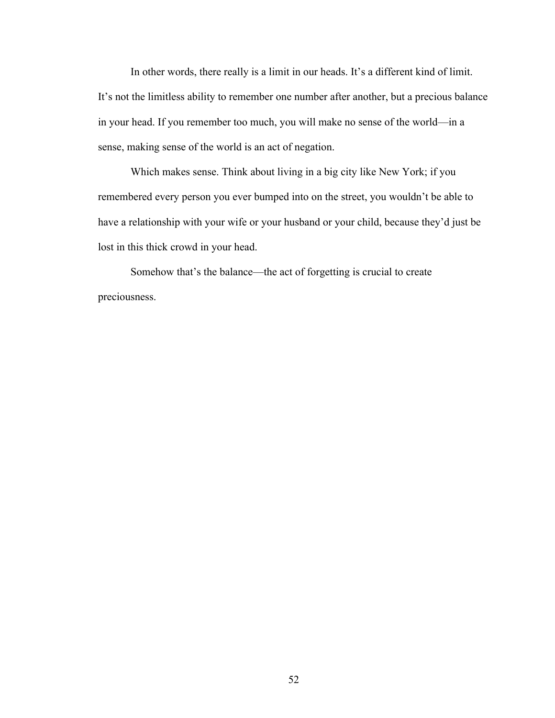In other words, there really is a limit in our heads. It's a different kind of limit. It's not the limitless ability to remember one number after another, but a precious balance in your head. If you remember too much, you will make no sense of the world—in a sense, making sense of the world is an act of negation.

Which makes sense. Think about living in a big city like New York; if you remembered every person you ever bumped into on the street, you wouldn't be able to have a relationship with your wife or your husband or your child, because they'd just be lost in this thick crowd in your head.

Somehow that's the balance—the act of forgetting is crucial to create preciousness.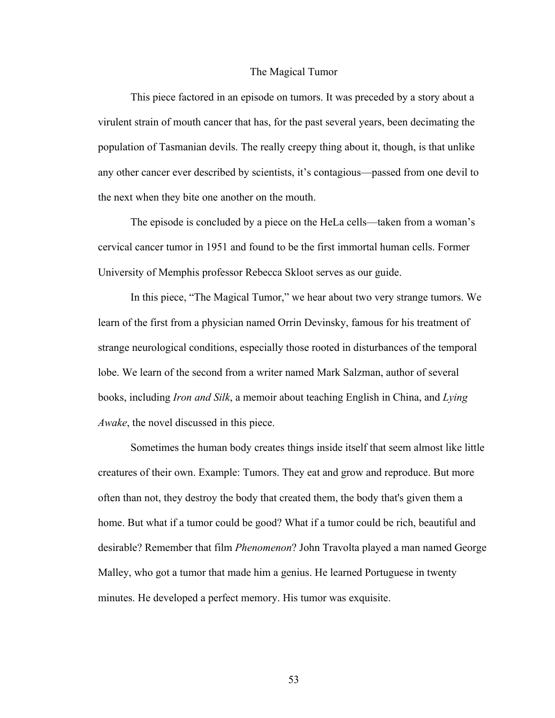## The Magical Tumor

This piece factored in an episode on tumors. It was preceded by a story about a virulent strain of mouth cancer that has, for the past several years, been decimating the population of Tasmanian devils. The really creepy thing about it, though, is that unlike any other cancer ever described by scientists, it's contagious—passed from one devil to the next when they bite one another on the mouth.

The episode is concluded by a piece on the HeLa cells—taken from a woman's cervical cancer tumor in 1951 and found to be the first immortal human cells. Former University of Memphis professor Rebecca Skloot serves as our guide.

In this piece, "The Magical Tumor," we hear about two very strange tumors. We learn of the first from a physician named Orrin Devinsky, famous for his treatment of strange neurological conditions, especially those rooted in disturbances of the temporal lobe. We learn of the second from a writer named Mark Salzman, author of several books, including *Iron and Silk*, a memoir about teaching English in China, and *Lying Awake*, the novel discussed in this piece.

Sometimes the human body creates things inside itself that seem almost like little creatures of their own. Example: Tumors. They eat and grow and reproduce. But more often than not, they destroy the body that created them, the body that's given them a home. But what if a tumor could be good? What if a tumor could be rich, beautiful and desirable? Remember that film *Phenomenon*? John Travolta played a man named George Malley, who got a tumor that made him a genius. He learned Portuguese in twenty minutes. He developed a perfect memory. His tumor was exquisite.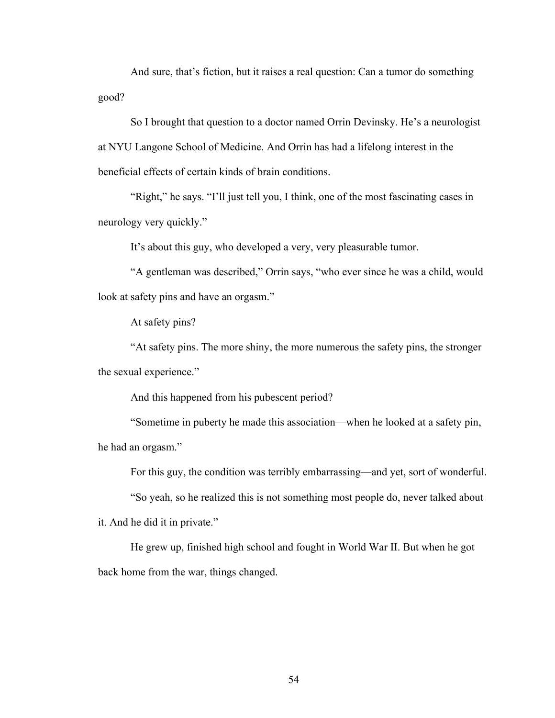And sure, that's fiction, but it raises a real question: Can a tumor do something good?

So I brought that question to a doctor named Orrin Devinsky. He's a neurologist at NYU Langone School of Medicine. And Orrin has had a lifelong interest in the beneficial effects of certain kinds of brain conditions.

"Right," he says. "I'll just tell you, I think, one of the most fascinating cases in neurology very quickly."

It's about this guy, who developed a very, very pleasurable tumor.

"A gentleman was described," Orrin says, "who ever since he was a child, would look at safety pins and have an orgasm."

At safety pins?

"At safety pins. The more shiny, the more numerous the safety pins, the stronger the sexual experience."

And this happened from his pubescent period?

"Sometime in puberty he made this association—when he looked at a safety pin, he had an orgasm."

For this guy, the condition was terribly embarrassing—and yet, sort of wonderful.

"So yeah, so he realized this is not something most people do, never talked about

it. And he did it in private."

He grew up, finished high school and fought in World War II. But when he got back home from the war, things changed.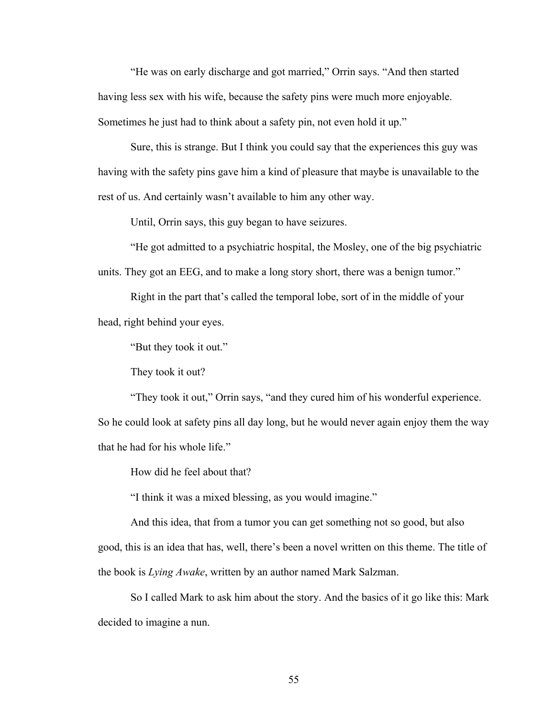"He was on early discharge and got married," Orrin says. "And then started having less sex with his wife, because the safety pins were much more enjoyable. Sometimes he just had to think about a safety pin, not even hold it up."

Sure, this is strange. But I think you could say that the experiences this guy was having with the safety pins gave him a kind of pleasure that maybe is unavailable to the rest of us. And certainly wasn't available to him any other way.

Until, Orrin says, this guy began to have seizures.

"He got admitted to a psychiatric hospital, the Mosley, one of the big psychiatric units. They got an EEG, and to make a long story short, there was a benign tumor."

Right in the part that's called the temporal lobe, sort of in the middle of your

head, right behind your eyes.

"But they took it out."

They took it out?

"They took it out," Orrin says, "and they cured him of his wonderful experience. So he could look at safety pins all day long, but he would never again enjoy them the way that he had for his whole life."

How did he feel about that?

"I think it was a mixed blessing, as you would imagine."

And this idea, that from a tumor you can get something not so good, but also good, this is an idea that has, well, there's been a novel written on this theme. The title of the book is *Lying Awake*, written by an author named Mark Salzman.

So I called Mark to ask him about the story. And the basics of it go like this: Mark decided to imagine a nun.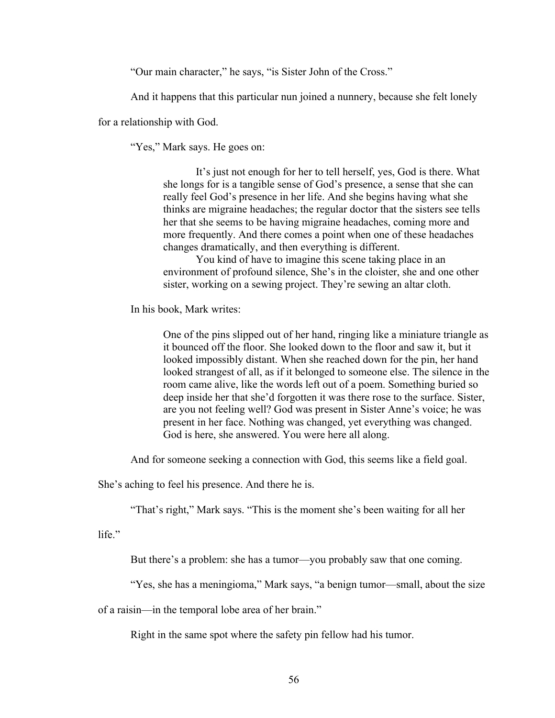"Our main character," he says, "is Sister John of the Cross."

And it happens that this particular nun joined a nunnery, because she felt lonely

for a relationship with God.

"Yes," Mark says. He goes on:

It's just not enough for her to tell herself, yes, God is there. What she longs for is a tangible sense of God's presence, a sense that she can really feel God's presence in her life. And she begins having what she thinks are migraine headaches; the regular doctor that the sisters see tells her that she seems to be having migraine headaches, coming more and more frequently. And there comes a point when one of these headaches changes dramatically, and then everything is different.

You kind of have to imagine this scene taking place in an environment of profound silence, She's in the cloister, she and one other sister, working on a sewing project. They're sewing an altar cloth.

In his book, Mark writes:

One of the pins slipped out of her hand, ringing like a miniature triangle as it bounced off the floor. She looked down to the floor and saw it, but it looked impossibly distant. When she reached down for the pin, her hand looked strangest of all, as if it belonged to someone else. The silence in the room came alive, like the words left out of a poem. Something buried so deep inside her that she'd forgotten it was there rose to the surface. Sister, are you not feeling well? God was present in Sister Anne's voice; he was present in her face. Nothing was changed, yet everything was changed. God is here, she answered. You were here all along.

And for someone seeking a connection with God, this seems like a field goal.

She's aching to feel his presence. And there he is.

"That's right," Mark says. "This is the moment she's been waiting for all her

life."

But there's a problem: she has a tumor—you probably saw that one coming.

"Yes, she has a meningioma," Mark says, "a benign tumor—small, about the size

of a raisin—in the temporal lobe area of her brain."

Right in the same spot where the safety pin fellow had his tumor.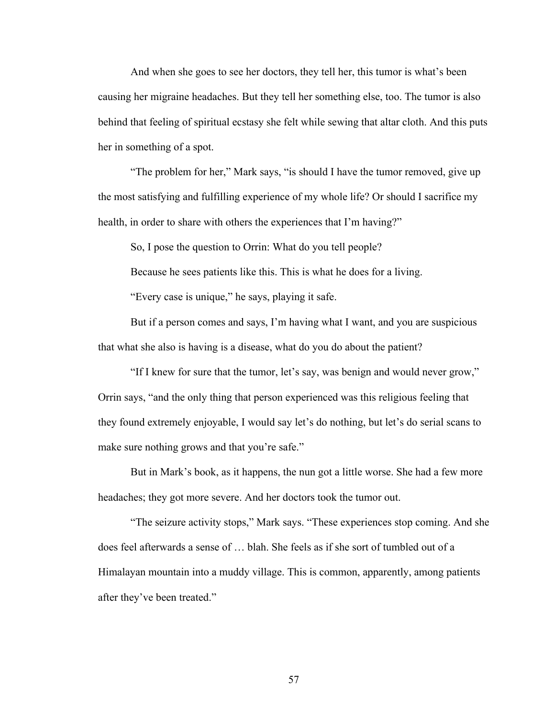And when she goes to see her doctors, they tell her, this tumor is what's been causing her migraine headaches. But they tell her something else, too. The tumor is also behind that feeling of spiritual ecstasy she felt while sewing that altar cloth. And this puts her in something of a spot.

"The problem for her," Mark says, "is should I have the tumor removed, give up the most satisfying and fulfilling experience of my whole life? Or should I sacrifice my health, in order to share with others the experiences that I'm having?"

So, I pose the question to Orrin: What do you tell people?

Because he sees patients like this. This is what he does for a living.

"Every case is unique," he says, playing it safe.

But if a person comes and says, I'm having what I want, and you are suspicious that what she also is having is a disease, what do you do about the patient?

"If I knew for sure that the tumor, let's say, was benign and would never grow," Orrin says, "and the only thing that person experienced was this religious feeling that they found extremely enjoyable, I would say let's do nothing, but let's do serial scans to make sure nothing grows and that you're safe."

But in Mark's book, as it happens, the nun got a little worse. She had a few more headaches; they got more severe. And her doctors took the tumor out.

"The seizure activity stops," Mark says. "These experiences stop coming. And she does feel afterwards a sense of … blah. She feels as if she sort of tumbled out of a Himalayan mountain into a muddy village. This is common, apparently, among patients after they've been treated."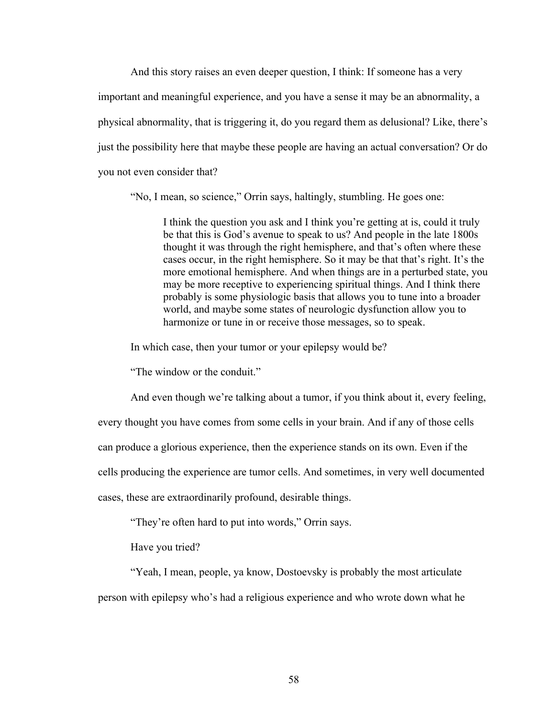And this story raises an even deeper question, I think: If someone has a very important and meaningful experience, and you have a sense it may be an abnormality, a physical abnormality, that is triggering it, do you regard them as delusional? Like, there's just the possibility here that maybe these people are having an actual conversation? Or do you not even consider that?

"No, I mean, so science," Orrin says, haltingly, stumbling. He goes one:

I think the question you ask and I think you're getting at is, could it truly be that this is God's avenue to speak to us? And people in the late 1800s thought it was through the right hemisphere, and that's often where these cases occur, in the right hemisphere. So it may be that that's right. It's the more emotional hemisphere. And when things are in a perturbed state, you may be more receptive to experiencing spiritual things. And I think there probably is some physiologic basis that allows you to tune into a broader world, and maybe some states of neurologic dysfunction allow you to harmonize or tune in or receive those messages, so to speak.

In which case, then your tumor or your epilepsy would be?

"The window or the conduit."

And even though we're talking about a tumor, if you think about it, every feeling, every thought you have comes from some cells in your brain. And if any of those cells can produce a glorious experience, then the experience stands on its own. Even if the cells producing the experience are tumor cells. And sometimes, in very well documented cases, these are extraordinarily profound, desirable things.

"They're often hard to put into words," Orrin says.

Have you tried?

"Yeah, I mean, people, ya know, Dostoevsky is probably the most articulate

person with epilepsy who's had a religious experience and who wrote down what he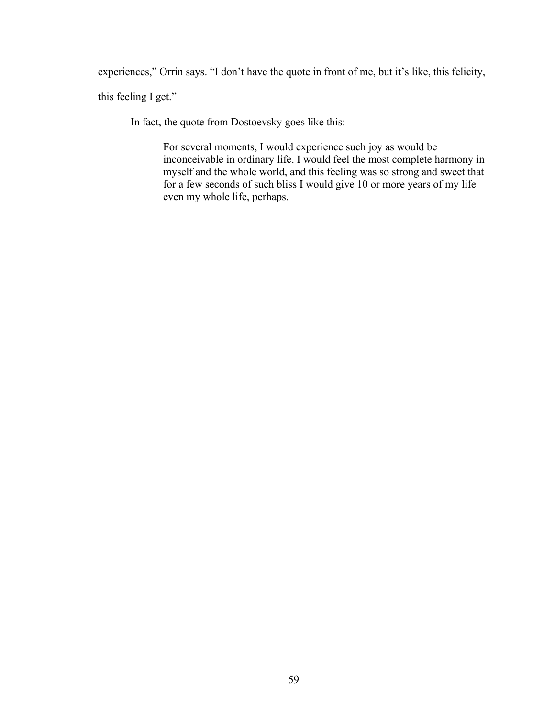experiences," Orrin says. "I don't have the quote in front of me, but it's like, this felicity,

this feeling I get."

In fact, the quote from Dostoevsky goes like this:

For several moments, I would experience such joy as would be inconceivable in ordinary life. I would feel the most complete harmony in myself and the whole world, and this feeling was so strong and sweet that for a few seconds of such bliss I would give 10 or more years of my life even my whole life, perhaps.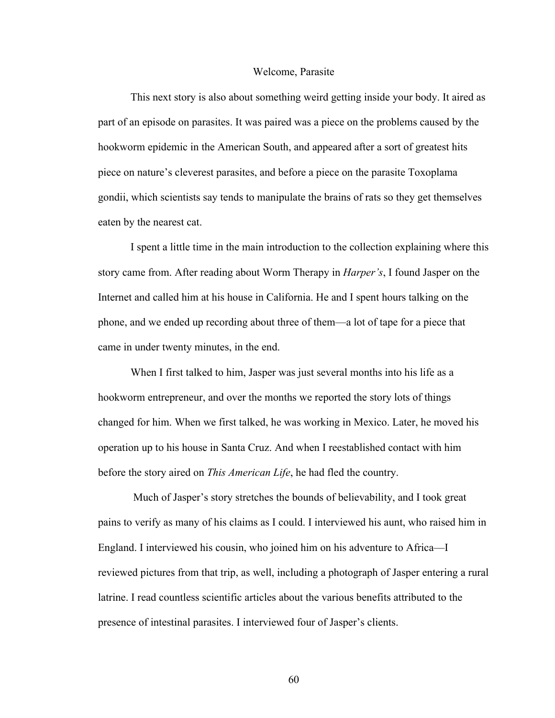## Welcome, Parasite

This next story is also about something weird getting inside your body. It aired as part of an episode on parasites. It was paired was a piece on the problems caused by the hookworm epidemic in the American South, and appeared after a sort of greatest hits piece on nature's cleverest parasites, and before a piece on the parasite Toxoplama gondii, which scientists say tends to manipulate the brains of rats so they get themselves eaten by the nearest cat.

I spent a little time in the main introduction to the collection explaining where this story came from. After reading about Worm Therapy in *Harper's*, I found Jasper on the Internet and called him at his house in California. He and I spent hours talking on the phone, and we ended up recording about three of them—a lot of tape for a piece that came in under twenty minutes, in the end.

When I first talked to him, Jasper was just several months into his life as a hookworm entrepreneur, and over the months we reported the story lots of things changed for him. When we first talked, he was working in Mexico. Later, he moved his operation up to his house in Santa Cruz. And when I reestablished contact with him before the story aired on *This American Life*, he had fled the country.

 Much of Jasper's story stretches the bounds of believability, and I took great pains to verify as many of his claims as I could. I interviewed his aunt, who raised him in England. I interviewed his cousin, who joined him on his adventure to Africa—I reviewed pictures from that trip, as well, including a photograph of Jasper entering a rural latrine. I read countless scientific articles about the various benefits attributed to the presence of intestinal parasites. I interviewed four of Jasper's clients.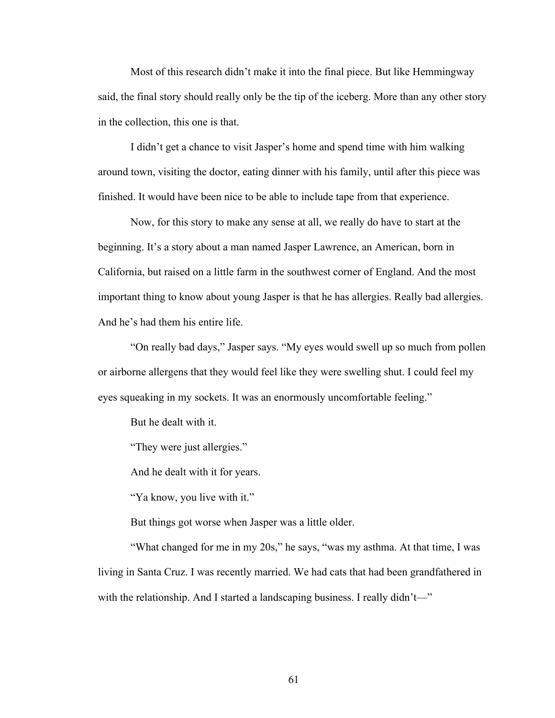Most of this research didn't make it into the final piece. But like Hemmingway said, the final story should really only be the tip of the iceberg. More than any other story in the collection, this one is that.

I didn't get a chance to visit Jasper's home and spend time with him walking around town, visiting the doctor, eating dinner with his family, until after this piece was finished. It would have been nice to be able to include tape from that experience.

Now, for this story to make any sense at all, we really do have to start at the beginning. It's a story about a man named Jasper Lawrence, an American, born in California, but raised on a little farm in the southwest corner of England. And the most important thing to know about young Jasper is that he has allergies. Really bad allergies. And he's had them his entire life.

"On really bad days," Jasper says. "My eyes would swell up so much from pollen or airborne allergens that they would feel like they were swelling shut. I could feel my eyes squeaking in my sockets. It was an enormously uncomfortable feeling."

But he dealt with it.

"They were just allergies."

And he dealt with it for years.

"Ya know, you live with it."

But things got worse when Jasper was a little older.

"What changed for me in my 20s," he says, "was my asthma. At that time, I was living in Santa Cruz. I was recently married. We had cats that had been grandfathered in with the relationship. And I started a landscaping business. I really didn't—"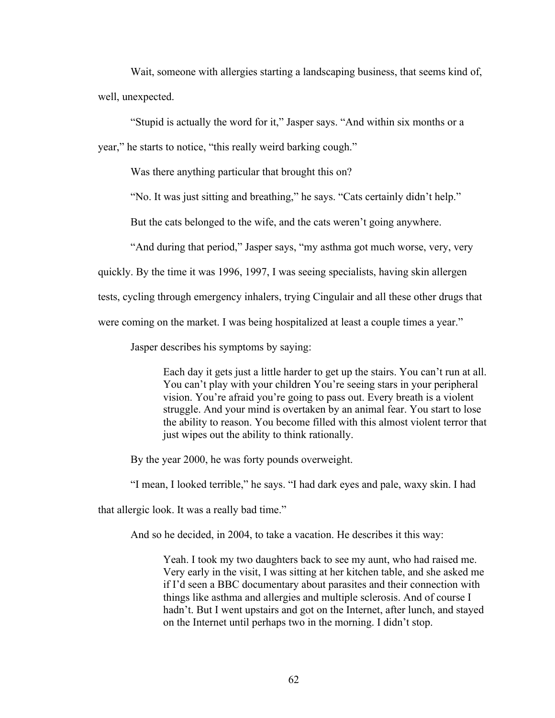Wait, someone with allergies starting a landscaping business, that seems kind of, well, unexpected.

"Stupid is actually the word for it," Jasper says. "And within six months or a year," he starts to notice, "this really weird barking cough."

Was there anything particular that brought this on?

"No. It was just sitting and breathing," he says. "Cats certainly didn't help."

But the cats belonged to the wife, and the cats weren't going anywhere.

"And during that period," Jasper says, "my asthma got much worse, very, very

quickly. By the time it was 1996, 1997, I was seeing specialists, having skin allergen

tests, cycling through emergency inhalers, trying Cingulair and all these other drugs that

were coming on the market. I was being hospitalized at least a couple times a year."

Jasper describes his symptoms by saying:

Each day it gets just a little harder to get up the stairs. You can't run at all. You can't play with your children You're seeing stars in your peripheral vision. You're afraid you're going to pass out. Every breath is a violent struggle. And your mind is overtaken by an animal fear. You start to lose the ability to reason. You become filled with this almost violent terror that just wipes out the ability to think rationally.

By the year 2000, he was forty pounds overweight.

"I mean, I looked terrible," he says. "I had dark eyes and pale, waxy skin. I had

that allergic look. It was a really bad time."

And so he decided, in 2004, to take a vacation. He describes it this way:

Yeah. I took my two daughters back to see my aunt, who had raised me. Very early in the visit, I was sitting at her kitchen table, and she asked me if I'd seen a BBC documentary about parasites and their connection with things like asthma and allergies and multiple sclerosis. And of course I hadn't. But I went upstairs and got on the Internet, after lunch, and stayed on the Internet until perhaps two in the morning. I didn't stop.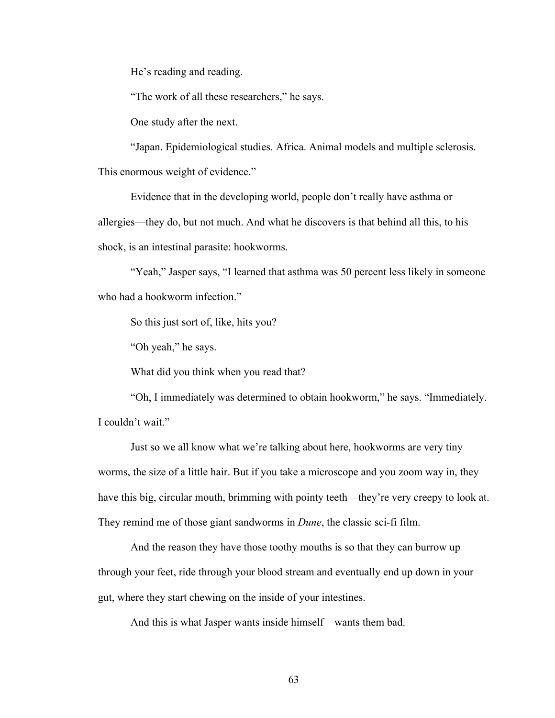He's reading and reading.

"The work of all these researchers," he says.

One study after the next.

"Japan. Epidemiological studies. Africa. Animal models and multiple sclerosis. This enormous weight of evidence."

Evidence that in the developing world, people don't really have asthma or allergies—they do, but not much. And what he discovers is that behind all this, to his shock, is an intestinal parasite: hookworms.

"Yeah," Jasper says, "I learned that asthma was 50 percent less likely in someone who had a hookworm infection."

So this just sort of, like, hits you?

"Oh yeah," he says.

What did you think when you read that?

"Oh, I immediately was determined to obtain hookworm," he says. "Immediately. I couldn't wait."

Just so we all know what we're talking about here, hookworms are very tiny worms, the size of a little hair. But if you take a microscope and you zoom way in, they have this big, circular mouth, brimming with pointy teeth—they're very creepy to look at. They remind me of those giant sandworms in *Dune*, the classic sci-fi film.

And the reason they have those toothy mouths is so that they can burrow up through your feet, ride through your blood stream and eventually end up down in your gut, where they start chewing on the inside of your intestines.

And this is what Jasper wants inside himself—wants them bad.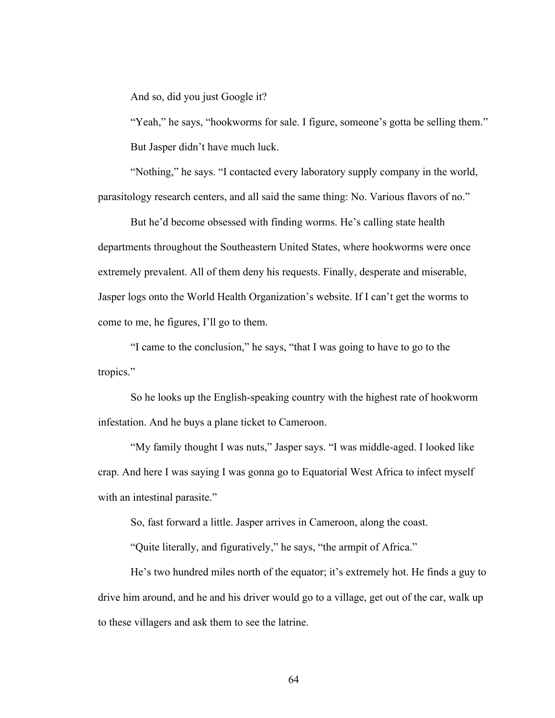And so, did you just Google it?

"Yeah," he says, "hookworms for sale. I figure, someone's gotta be selling them." But Jasper didn't have much luck.

"Nothing," he says. "I contacted every laboratory supply company in the world, parasitology research centers, and all said the same thing: No. Various flavors of no."

But he'd become obsessed with finding worms. He's calling state health departments throughout the Southeastern United States, where hookworms were once extremely prevalent. All of them deny his requests. Finally, desperate and miserable, Jasper logs onto the World Health Organization's website. If I can't get the worms to come to me, he figures, I'll go to them.

"I came to the conclusion," he says, "that I was going to have to go to the tropics."

So he looks up the English-speaking country with the highest rate of hookworm infestation. And he buys a plane ticket to Cameroon.

"My family thought I was nuts," Jasper says. "I was middle-aged. I looked like crap. And here I was saying I was gonna go to Equatorial West Africa to infect myself with an intestinal parasite."

So, fast forward a little. Jasper arrives in Cameroon, along the coast.

"Quite literally, and figuratively," he says, "the armpit of Africa."

He's two hundred miles north of the equator; it's extremely hot. He finds a guy to drive him around, and he and his driver would go to a village, get out of the car, walk up to these villagers and ask them to see the latrine.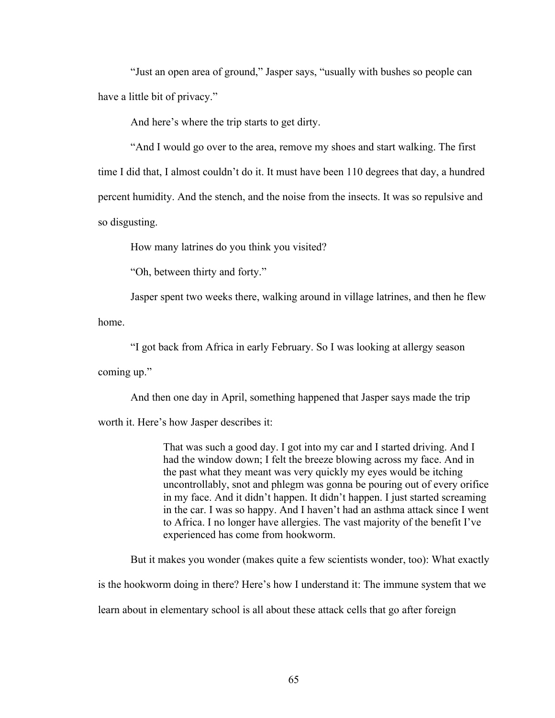"Just an open area of ground," Jasper says, "usually with bushes so people can have a little bit of privacy."

And here's where the trip starts to get dirty.

"And I would go over to the area, remove my shoes and start walking. The first time I did that, I almost couldn't do it. It must have been 110 degrees that day, a hundred percent humidity. And the stench, and the noise from the insects. It was so repulsive and so disgusting.

How many latrines do you think you visited?

"Oh, between thirty and forty."

Jasper spent two weeks there, walking around in village latrines, and then he flew

home.

"I got back from Africa in early February. So I was looking at allergy season

coming up."

And then one day in April, something happened that Jasper says made the trip

worth it. Here's how Jasper describes it:

That was such a good day. I got into my car and I started driving. And I had the window down; I felt the breeze blowing across my face. And in the past what they meant was very quickly my eyes would be itching uncontrollably, snot and phlegm was gonna be pouring out of every orifice in my face. And it didn't happen. It didn't happen. I just started screaming in the car. I was so happy. And I haven't had an asthma attack since I went to Africa. I no longer have allergies. The vast majority of the benefit I've experienced has come from hookworm.

But it makes you wonder (makes quite a few scientists wonder, too): What exactly

is the hookworm doing in there? Here's how I understand it: The immune system that we

learn about in elementary school is all about these attack cells that go after foreign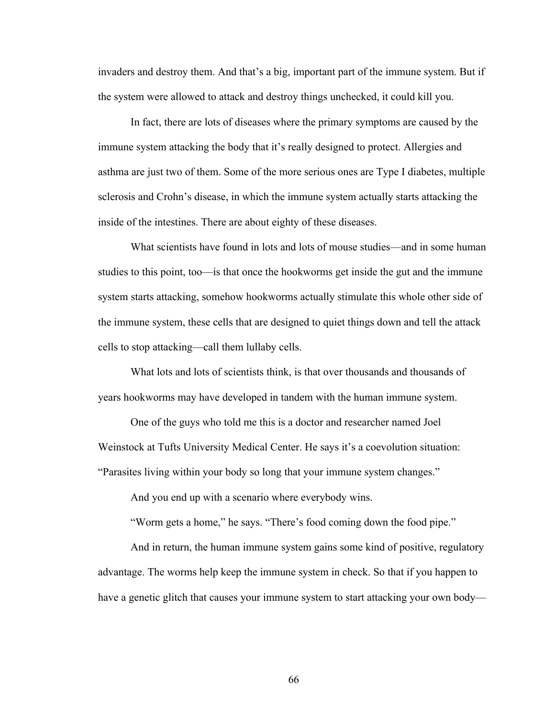invaders and destroy them. And that's a big, important part of the immune system. But if the system were allowed to attack and destroy things unchecked, it could kill you.

In fact, there are lots of diseases where the primary symptoms are caused by the immune system attacking the body that it's really designed to protect. Allergies and asthma are just two of them. Some of the more serious ones are Type I diabetes, multiple sclerosis and Crohn's disease, in which the immune system actually starts attacking the inside of the intestines. There are about eighty of these diseases.

What scientists have found in lots and lots of mouse studies—and in some human studies to this point, too—is that once the hookworms get inside the gut and the immune system starts attacking, somehow hookworms actually stimulate this whole other side of the immune system, these cells that are designed to quiet things down and tell the attack cells to stop attacking—call them lullaby cells.

What lots and lots of scientists think, is that over thousands and thousands of years hookworms may have developed in tandem with the human immune system.

One of the guys who told me this is a doctor and researcher named Joel Weinstock at Tufts University Medical Center. He says it's a coevolution situation: "Parasites living within your body so long that your immune system changes."

And you end up with a scenario where everybody wins.

"Worm gets a home," he says. "There's food coming down the food pipe."

And in return, the human immune system gains some kind of positive, regulatory advantage. The worms help keep the immune system in check. So that if you happen to have a genetic glitch that causes your immune system to start attacking your own body—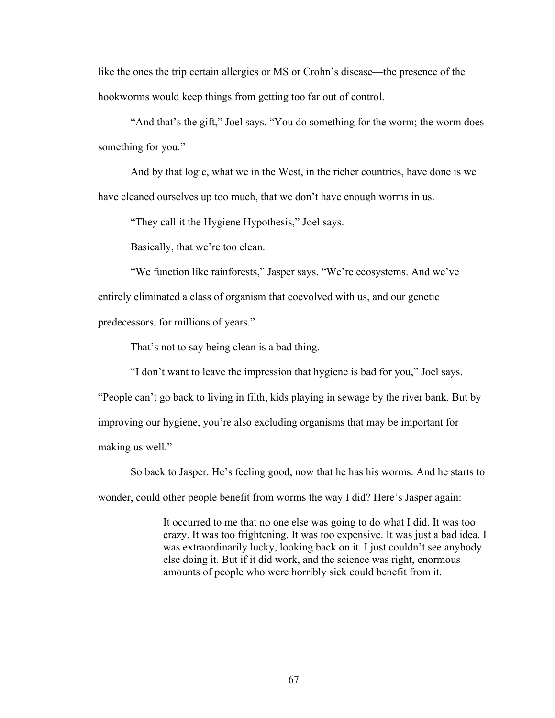like the ones the trip certain allergies or MS or Crohn's disease—the presence of the hookworms would keep things from getting too far out of control.

"And that's the gift," Joel says. "You do something for the worm; the worm does something for you."

And by that logic, what we in the West, in the richer countries, have done is we have cleaned ourselves up too much, that we don't have enough worms in us.

"They call it the Hygiene Hypothesis," Joel says.

Basically, that we're too clean.

"We function like rainforests," Jasper says. "We're ecosystems. And we've

entirely eliminated a class of organism that coevolved with us, and our genetic

predecessors, for millions of years."

That's not to say being clean is a bad thing.

"I don't want to leave the impression that hygiene is bad for you," Joel says.

"People can't go back to living in filth, kids playing in sewage by the river bank. But by improving our hygiene, you're also excluding organisms that may be important for making us well."

So back to Jasper. He's feeling good, now that he has his worms. And he starts to wonder, could other people benefit from worms the way I did? Here's Jasper again:

> It occurred to me that no one else was going to do what I did. It was too crazy. It was too frightening. It was too expensive. It was just a bad idea. I was extraordinarily lucky, looking back on it. I just couldn't see anybody else doing it. But if it did work, and the science was right, enormous amounts of people who were horribly sick could benefit from it.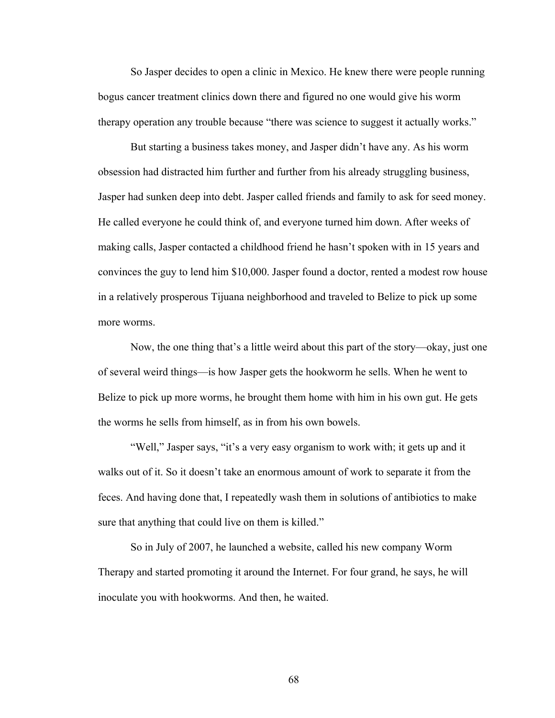So Jasper decides to open a clinic in Mexico. He knew there were people running bogus cancer treatment clinics down there and figured no one would give his worm therapy operation any trouble because "there was science to suggest it actually works."

But starting a business takes money, and Jasper didn't have any. As his worm obsession had distracted him further and further from his already struggling business, Jasper had sunken deep into debt. Jasper called friends and family to ask for seed money. He called everyone he could think of, and everyone turned him down. After weeks of making calls, Jasper contacted a childhood friend he hasn't spoken with in 15 years and convinces the guy to lend him \$10,000. Jasper found a doctor, rented a modest row house in a relatively prosperous Tijuana neighborhood and traveled to Belize to pick up some more worms.

Now, the one thing that's a little weird about this part of the story—okay, just one of several weird things—is how Jasper gets the hookworm he sells. When he went to Belize to pick up more worms, he brought them home with him in his own gut. He gets the worms he sells from himself, as in from his own bowels.

"Well," Jasper says, "it's a very easy organism to work with; it gets up and it walks out of it. So it doesn't take an enormous amount of work to separate it from the feces. And having done that, I repeatedly wash them in solutions of antibiotics to make sure that anything that could live on them is killed."

So in July of 2007, he launched a website, called his new company Worm Therapy and started promoting it around the Internet. For four grand, he says, he will inoculate you with hookworms. And then, he waited.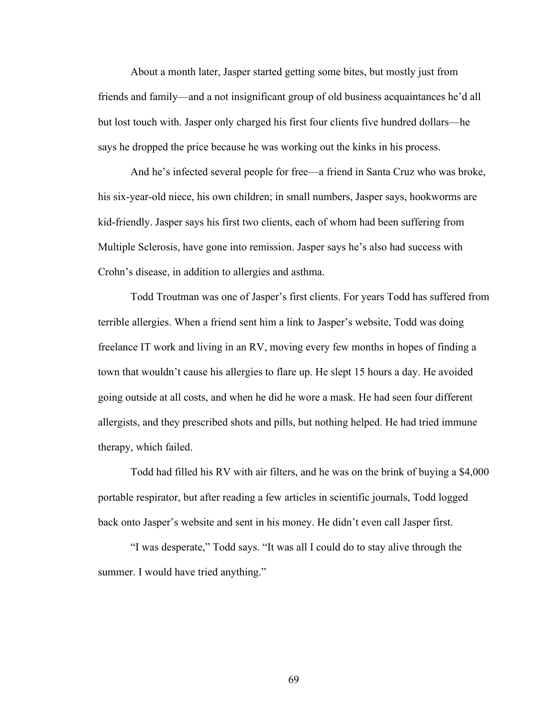About a month later, Jasper started getting some bites, but mostly just from friends and family—and a not insignificant group of old business acquaintances he'd all but lost touch with. Jasper only charged his first four clients five hundred dollars—he says he dropped the price because he was working out the kinks in his process.

And he's infected several people for free—a friend in Santa Cruz who was broke, his six-year-old niece, his own children; in small numbers, Jasper says, hookworms are kid-friendly. Jasper says his first two clients, each of whom had been suffering from Multiple Sclerosis, have gone into remission. Jasper says he's also had success with Crohn's disease, in addition to allergies and asthma.

Todd Troutman was one of Jasper's first clients. For years Todd has suffered from terrible allergies. When a friend sent him a link to Jasper's website, Todd was doing freelance IT work and living in an RV, moving every few months in hopes of finding a town that wouldn't cause his allergies to flare up. He slept 15 hours a day. He avoided going outside at all costs, and when he did he wore a mask. He had seen four different allergists, and they prescribed shots and pills, but nothing helped. He had tried immune therapy, which failed.

Todd had filled his RV with air filters, and he was on the brink of buying a \$4,000 portable respirator, but after reading a few articles in scientific journals, Todd logged back onto Jasper's website and sent in his money. He didn't even call Jasper first.

"I was desperate," Todd says. "It was all I could do to stay alive through the summer. I would have tried anything."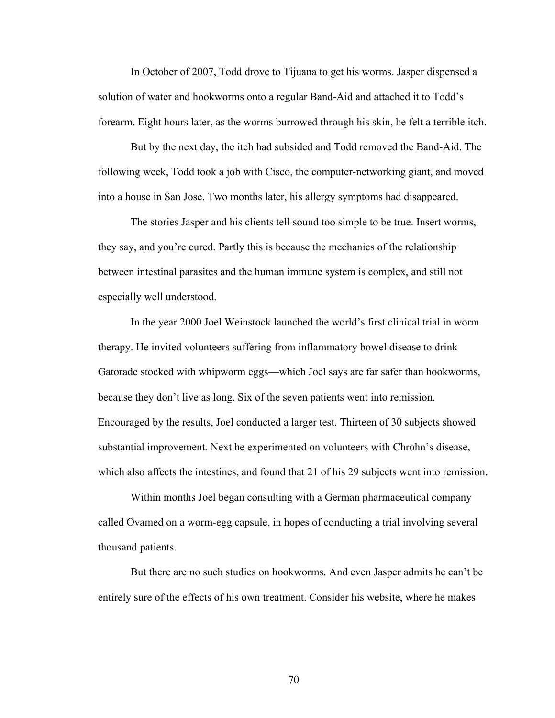In October of 2007, Todd drove to Tijuana to get his worms. Jasper dispensed a solution of water and hookworms onto a regular Band-Aid and attached it to Todd's forearm. Eight hours later, as the worms burrowed through his skin, he felt a terrible itch.

But by the next day, the itch had subsided and Todd removed the Band-Aid. The following week, Todd took a job with Cisco, the computer-networking giant, and moved into a house in San Jose. Two months later, his allergy symptoms had disappeared.

The stories Jasper and his clients tell sound too simple to be true. Insert worms, they say, and you're cured. Partly this is because the mechanics of the relationship between intestinal parasites and the human immune system is complex, and still not especially well understood.

In the year 2000 Joel Weinstock launched the world's first clinical trial in worm therapy. He invited volunteers suffering from inflammatory bowel disease to drink Gatorade stocked with whipworm eggs—which Joel says are far safer than hookworms, because they don't live as long. Six of the seven patients went into remission. Encouraged by the results, Joel conducted a larger test. Thirteen of 30 subjects showed substantial improvement. Next he experimented on volunteers with Chrohn's disease, which also affects the intestines, and found that 21 of his 29 subjects went into remission.

Within months Joel began consulting with a German pharmaceutical company called Ovamed on a worm-egg capsule, in hopes of conducting a trial involving several thousand patients.

But there are no such studies on hookworms. And even Jasper admits he can't be entirely sure of the effects of his own treatment. Consider his website, where he makes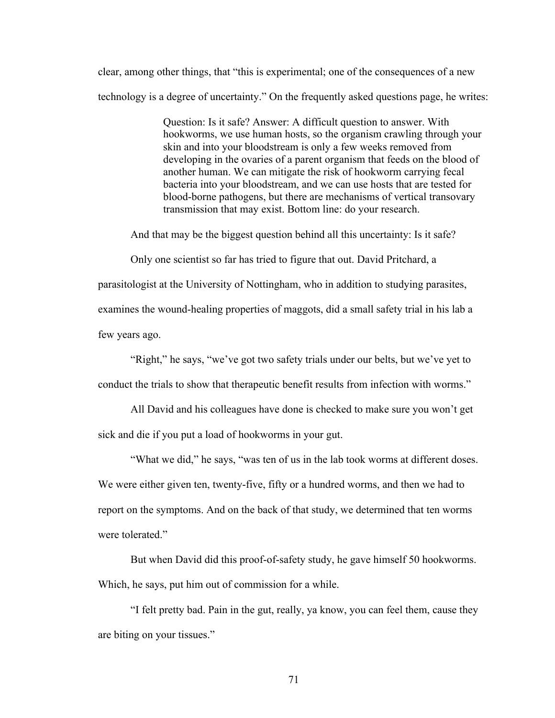clear, among other things, that "this is experimental; one of the consequences of a new technology is a degree of uncertainty." On the frequently asked questions page, he writes:

> Question: Is it safe? Answer: A difficult question to answer. With hookworms, we use human hosts, so the organism crawling through your skin and into your bloodstream is only a few weeks removed from developing in the ovaries of a parent organism that feeds on the blood of another human. We can mitigate the risk of hookworm carrying fecal bacteria into your bloodstream, and we can use hosts that are tested for blood-borne pathogens, but there are mechanisms of vertical transovary transmission that may exist. Bottom line: do your research.

And that may be the biggest question behind all this uncertainty: Is it safe?

Only one scientist so far has tried to figure that out. David Pritchard, a

parasitologist at the University of Nottingham, who in addition to studying parasites,

examines the wound-healing properties of maggots, did a small safety trial in his lab a

few years ago.

"Right," he says, "we've got two safety trials under our belts, but we've yet to conduct the trials to show that therapeutic benefit results from infection with worms."

All David and his colleagues have done is checked to make sure you won't get sick and die if you put a load of hookworms in your gut.

"What we did," he says, "was ten of us in the lab took worms at different doses. We were either given ten, twenty-five, fifty or a hundred worms, and then we had to report on the symptoms. And on the back of that study, we determined that ten worms were tolerated."

But when David did this proof-of-safety study, he gave himself 50 hookworms. Which, he says, put him out of commission for a while.

"I felt pretty bad. Pain in the gut, really, ya know, you can feel them, cause they are biting on your tissues."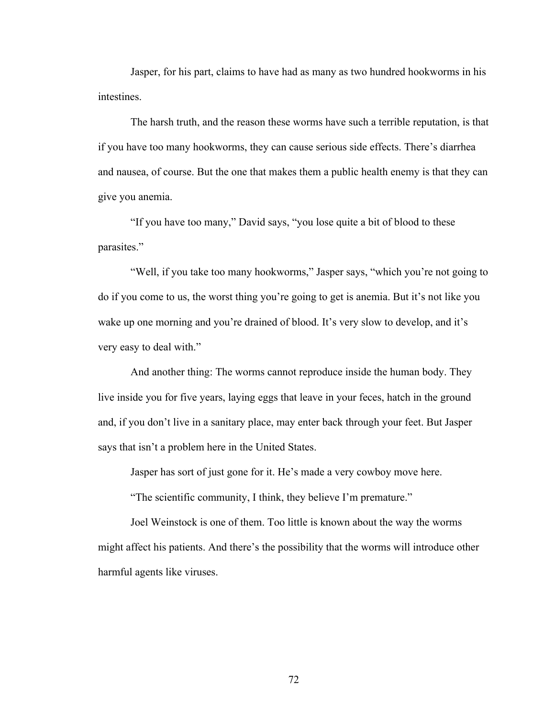Jasper, for his part, claims to have had as many as two hundred hookworms in his intestines.

The harsh truth, and the reason these worms have such a terrible reputation, is that if you have too many hookworms, they can cause serious side effects. There's diarrhea and nausea, of course. But the one that makes them a public health enemy is that they can give you anemia.

"If you have too many," David says, "you lose quite a bit of blood to these parasites."

"Well, if you take too many hookworms," Jasper says, "which you're not going to do if you come to us, the worst thing you're going to get is anemia. But it's not like you wake up one morning and you're drained of blood. It's very slow to develop, and it's very easy to deal with."

And another thing: The worms cannot reproduce inside the human body. They live inside you for five years, laying eggs that leave in your feces, hatch in the ground and, if you don't live in a sanitary place, may enter back through your feet. But Jasper says that isn't a problem here in the United States.

Jasper has sort of just gone for it. He's made a very cowboy move here.

"The scientific community, I think, they believe I'm premature."

Joel Weinstock is one of them. Too little is known about the way the worms might affect his patients. And there's the possibility that the worms will introduce other harmful agents like viruses.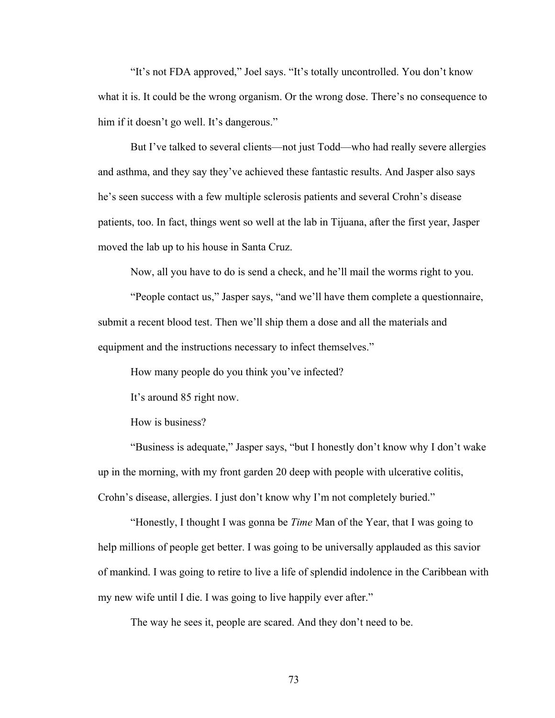"It's not FDA approved," Joel says. "It's totally uncontrolled. You don't know what it is. It could be the wrong organism. Or the wrong dose. There's no consequence to him if it doesn't go well. It's dangerous."

But I've talked to several clients—not just Todd—who had really severe allergies and asthma, and they say they've achieved these fantastic results. And Jasper also says he's seen success with a few multiple sclerosis patients and several Crohn's disease patients, too. In fact, things went so well at the lab in Tijuana, after the first year, Jasper moved the lab up to his house in Santa Cruz.

Now, all you have to do is send a check, and he'll mail the worms right to you.

"People contact us," Jasper says, "and we'll have them complete a questionnaire, submit a recent blood test. Then we'll ship them a dose and all the materials and equipment and the instructions necessary to infect themselves."

How many people do you think you've infected?

It's around 85 right now.

How is business?

"Business is adequate," Jasper says, "but I honestly don't know why I don't wake up in the morning, with my front garden 20 deep with people with ulcerative colitis, Crohn's disease, allergies. I just don't know why I'm not completely buried."

"Honestly, I thought I was gonna be *Time* Man of the Year, that I was going to help millions of people get better. I was going to be universally applauded as this savior of mankind. I was going to retire to live a life of splendid indolence in the Caribbean with my new wife until I die. I was going to live happily ever after."

The way he sees it, people are scared. And they don't need to be.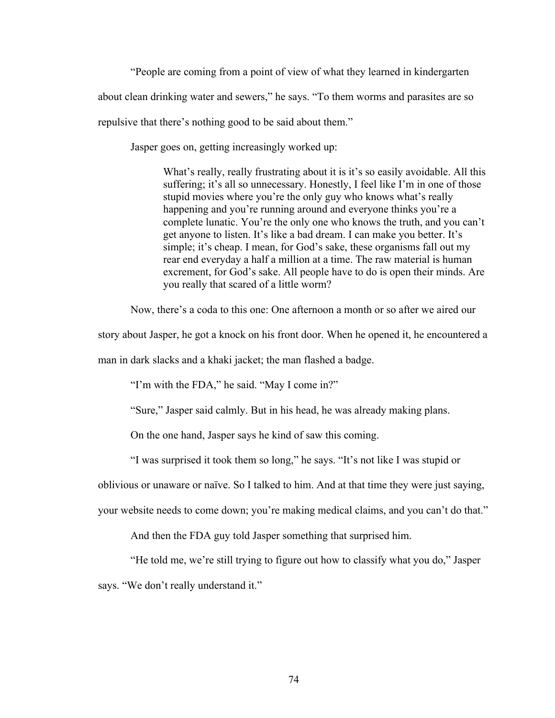"People are coming from a point of view of what they learned in kindergarten

about clean drinking water and sewers," he says. "To them worms and parasites are so

repulsive that there's nothing good to be said about them."

Jasper goes on, getting increasingly worked up:

What's really, really frustrating about it is it's so easily avoidable. All this suffering; it's all so unnecessary. Honestly, I feel like I'm in one of those stupid movies where you're the only guy who knows what's really happening and you're running around and everyone thinks you're a complete lunatic. You're the only one who knows the truth, and you can't get anyone to listen. It's like a bad dream. I can make you better. It's simple; it's cheap. I mean, for God's sake, these organisms fall out my rear end everyday a half a million at a time. The raw material is human excrement, for God's sake. All people have to do is open their minds. Are you really that scared of a little worm?

Now, there's a coda to this one: One afternoon a month or so after we aired our

story about Jasper, he got a knock on his front door. When he opened it, he encountered a

man in dark slacks and a khaki jacket; the man flashed a badge.

"I'm with the FDA," he said. "May I come in?"

"Sure," Jasper said calmly. But in his head, he was already making plans.

On the one hand, Jasper says he kind of saw this coming.

"I was surprised it took them so long," he says. "It's not like I was stupid or

oblivious or unaware or naïve. So I talked to him. And at that time they were just saying,

your website needs to come down; you're making medical claims, and you can't do that."

And then the FDA guy told Jasper something that surprised him.

"He told me, we're still trying to figure out how to classify what you do," Jasper

says. "We don't really understand it."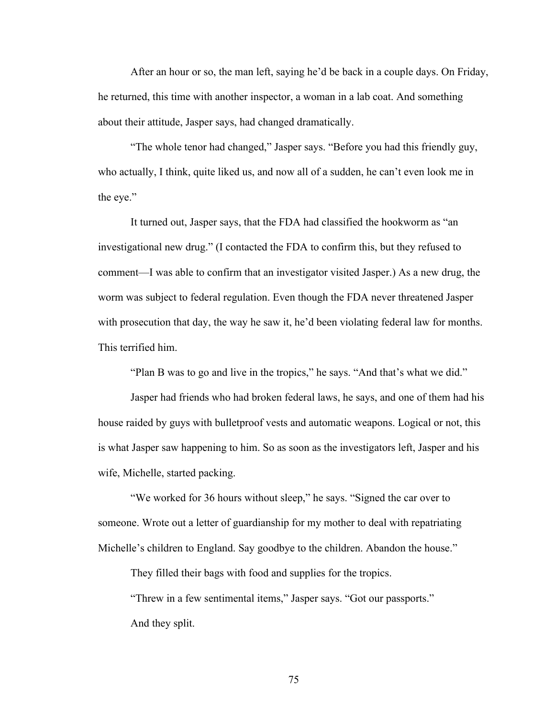After an hour or so, the man left, saying he'd be back in a couple days. On Friday, he returned, this time with another inspector, a woman in a lab coat. And something about their attitude, Jasper says, had changed dramatically.

"The whole tenor had changed," Jasper says. "Before you had this friendly guy, who actually, I think, quite liked us, and now all of a sudden, he can't even look me in the eye."

It turned out, Jasper says, that the FDA had classified the hookworm as "an investigational new drug." (I contacted the FDA to confirm this, but they refused to comment—I was able to confirm that an investigator visited Jasper.) As a new drug, the worm was subject to federal regulation. Even though the FDA never threatened Jasper with prosecution that day, the way he saw it, he'd been violating federal law for months. This terrified him.

"Plan B was to go and live in the tropics," he says. "And that's what we did."

Jasper had friends who had broken federal laws, he says, and one of them had his house raided by guys with bulletproof vests and automatic weapons. Logical or not, this is what Jasper saw happening to him. So as soon as the investigators left, Jasper and his wife, Michelle, started packing.

"We worked for 36 hours without sleep," he says. "Signed the car over to someone. Wrote out a letter of guardianship for my mother to deal with repatriating Michelle's children to England. Say goodbye to the children. Abandon the house."

They filled their bags with food and supplies for the tropics.

"Threw in a few sentimental items," Jasper says. "Got our passports." And they split.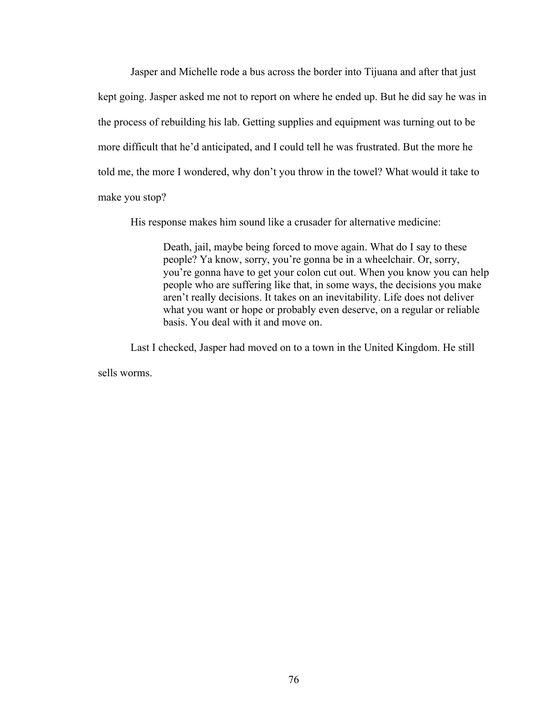Jasper and Michelle rode a bus across the border into Tijuana and after that just kept going. Jasper asked me not to report on where he ended up. But he did say he was in the process of rebuilding his lab. Getting supplies and equipment was turning out to be more difficult that he'd anticipated, and I could tell he was frustrated. But the more he told me, the more I wondered, why don't you throw in the towel? What would it take to make you stop?

His response makes him sound like a crusader for alternative medicine:

Death, jail, maybe being forced to move again. What do I say to these people? Ya know, sorry, you're gonna be in a wheelchair. Or, sorry, you're gonna have to get your colon cut out. When you know you can help people who are suffering like that, in some ways, the decisions you make aren't really decisions. It takes on an inevitability. Life does not deliver what you want or hope or probably even deserve, on a regular or reliable basis. You deal with it and move on.

Last I checked, Jasper had moved on to a town in the United Kingdom. He still

sells worms.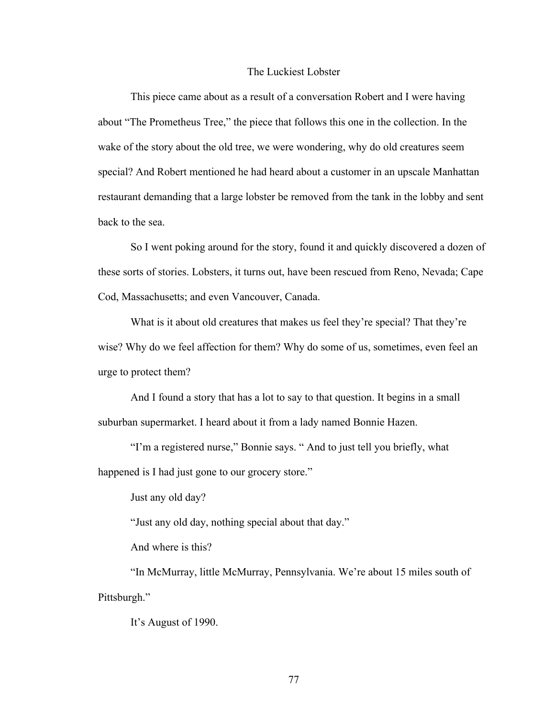## The Luckiest Lobster

This piece came about as a result of a conversation Robert and I were having about "The Prometheus Tree," the piece that follows this one in the collection. In the wake of the story about the old tree, we were wondering, why do old creatures seem special? And Robert mentioned he had heard about a customer in an upscale Manhattan restaurant demanding that a large lobster be removed from the tank in the lobby and sent back to the sea.

So I went poking around for the story, found it and quickly discovered a dozen of these sorts of stories. Lobsters, it turns out, have been rescued from Reno, Nevada; Cape Cod, Massachusetts; and even Vancouver, Canada.

What is it about old creatures that makes us feel they're special? That they're wise? Why do we feel affection for them? Why do some of us, sometimes, even feel an urge to protect them?

And I found a story that has a lot to say to that question. It begins in a small suburban supermarket. I heard about it from a lady named Bonnie Hazen.

"I'm a registered nurse," Bonnie says. " And to just tell you briefly, what happened is I had just gone to our grocery store."

Just any old day?

"Just any old day, nothing special about that day."

And where is this?

"In McMurray, little McMurray, Pennsylvania. We're about 15 miles south of Pittsburgh."

It's August of 1990.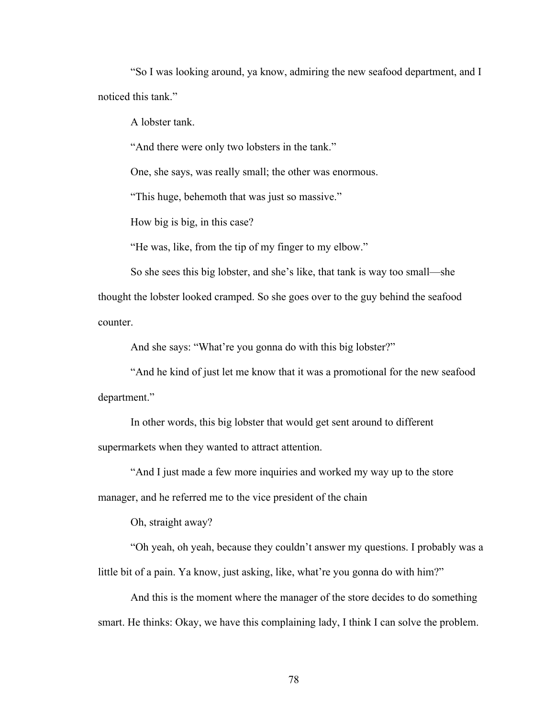"So I was looking around, ya know, admiring the new seafood department, and I noticed this tank."

A lobster tank.

"And there were only two lobsters in the tank."

One, she says, was really small; the other was enormous.

"This huge, behemoth that was just so massive."

How big is big, in this case?

"He was, like, from the tip of my finger to my elbow."

So she sees this big lobster, and she's like, that tank is way too small—she thought the lobster looked cramped. So she goes over to the guy behind the seafood counter.

And she says: "What're you gonna do with this big lobster?"

"And he kind of just let me know that it was a promotional for the new seafood department."

In other words, this big lobster that would get sent around to different supermarkets when they wanted to attract attention.

"And I just made a few more inquiries and worked my way up to the store manager, and he referred me to the vice president of the chain

Oh, straight away?

"Oh yeah, oh yeah, because they couldn't answer my questions. I probably was a little bit of a pain. Ya know, just asking, like, what're you gonna do with him?"

And this is the moment where the manager of the store decides to do something smart. He thinks: Okay, we have this complaining lady, I think I can solve the problem.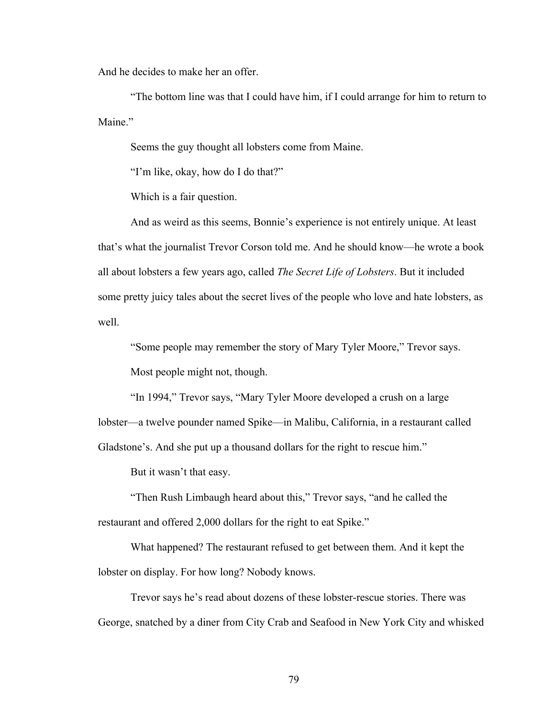And he decides to make her an offer.

"The bottom line was that I could have him, if I could arrange for him to return to Maine<sup>"</sup>

Seems the guy thought all lobsters come from Maine.

"I'm like, okay, how do I do that?"

Which is a fair question.

And as weird as this seems, Bonnie's experience is not entirely unique. At least that's what the journalist Trevor Corson told me. And he should know—he wrote a book all about lobsters a few years ago, called *The Secret Life of Lobsters*. But it included some pretty juicy tales about the secret lives of the people who love and hate lobsters, as well.

"Some people may remember the story of Mary Tyler Moore," Trevor says.

Most people might not, though.

"In 1994," Trevor says, "Mary Tyler Moore developed a crush on a large lobster—a twelve pounder named Spike—in Malibu, California, in a restaurant called Gladstone's. And she put up a thousand dollars for the right to rescue him."

But it wasn't that easy.

"Then Rush Limbaugh heard about this," Trevor says, "and he called the restaurant and offered 2,000 dollars for the right to eat Spike."

What happened? The restaurant refused to get between them. And it kept the lobster on display. For how long? Nobody knows.

Trevor says he's read about dozens of these lobster-rescue stories. There was George, snatched by a diner from City Crab and Seafood in New York City and whisked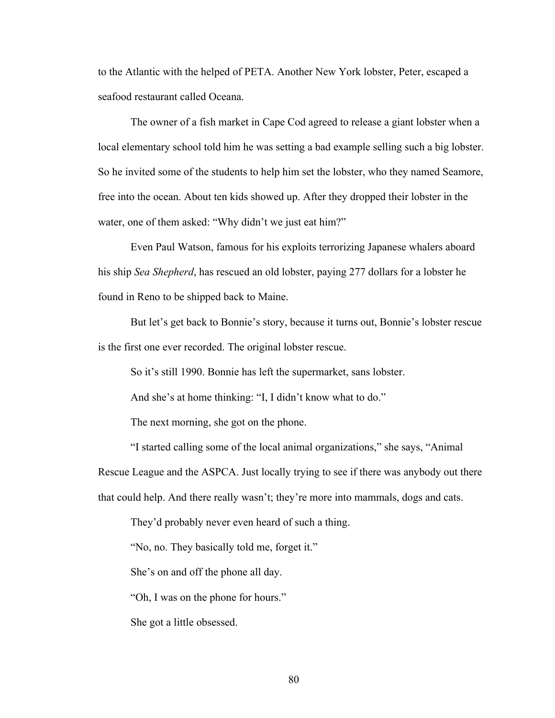to the Atlantic with the helped of PETA. Another New York lobster, Peter, escaped a seafood restaurant called Oceana.

The owner of a fish market in Cape Cod agreed to release a giant lobster when a local elementary school told him he was setting a bad example selling such a big lobster. So he invited some of the students to help him set the lobster, who they named Seamore, free into the ocean. About ten kids showed up. After they dropped their lobster in the water, one of them asked: "Why didn't we just eat him?"

Even Paul Watson, famous for his exploits terrorizing Japanese whalers aboard his ship *Sea Shepherd*, has rescued an old lobster, paying 277 dollars for a lobster he found in Reno to be shipped back to Maine.

But let's get back to Bonnie's story, because it turns out, Bonnie's lobster rescue is the first one ever recorded. The original lobster rescue.

So it's still 1990. Bonnie has left the supermarket, sans lobster.

And she's at home thinking: "I, I didn't know what to do."

The next morning, she got on the phone.

"I started calling some of the local animal organizations," she says, "Animal

Rescue League and the ASPCA. Just locally trying to see if there was anybody out there that could help. And there really wasn't; they're more into mammals, dogs and cats.

They'd probably never even heard of such a thing.

"No, no. They basically told me, forget it."

She's on and off the phone all day.

"Oh, I was on the phone for hours."

She got a little obsessed.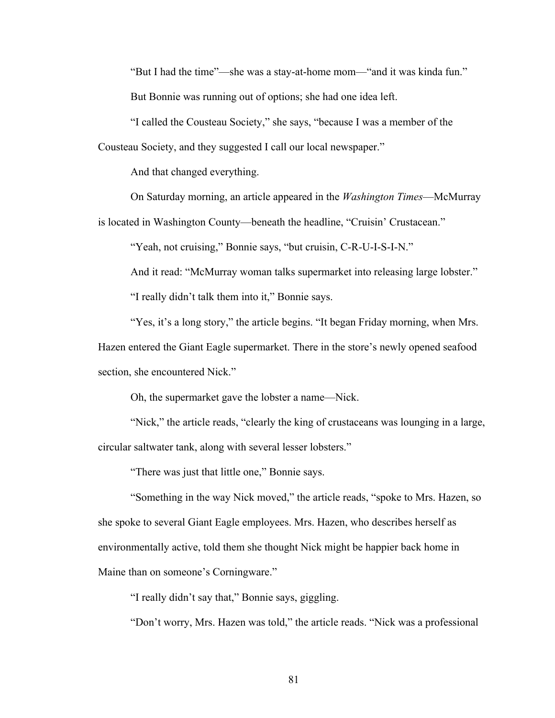"But I had the time"—she was a stay-at-home mom—"and it was kinda fun."

But Bonnie was running out of options; she had one idea left.

"I called the Cousteau Society," she says, "because I was a member of the Cousteau Society, and they suggested I call our local newspaper."

And that changed everything.

On Saturday morning, an article appeared in the *Washington Times*—McMurray

is located in Washington County—beneath the headline, "Cruisin' Crustacean."

"Yeah, not cruising," Bonnie says, "but cruisin, C-R-U-I-S-I-N."

And it read: "McMurray woman talks supermarket into releasing large lobster."

"I really didn't talk them into it," Bonnie says.

"Yes, it's a long story," the article begins. "It began Friday morning, when Mrs.

Hazen entered the Giant Eagle supermarket. There in the store's newly opened seafood section, she encountered Nick."

Oh, the supermarket gave the lobster a name—Nick.

"Nick," the article reads, "clearly the king of crustaceans was lounging in a large, circular saltwater tank, along with several lesser lobsters."

"There was just that little one," Bonnie says.

"Something in the way Nick moved," the article reads, "spoke to Mrs. Hazen, so she spoke to several Giant Eagle employees. Mrs. Hazen, who describes herself as environmentally active, told them she thought Nick might be happier back home in Maine than on someone's Corningware."

"I really didn't say that," Bonnie says, giggling.

"Don't worry, Mrs. Hazen was told," the article reads. "Nick was a professional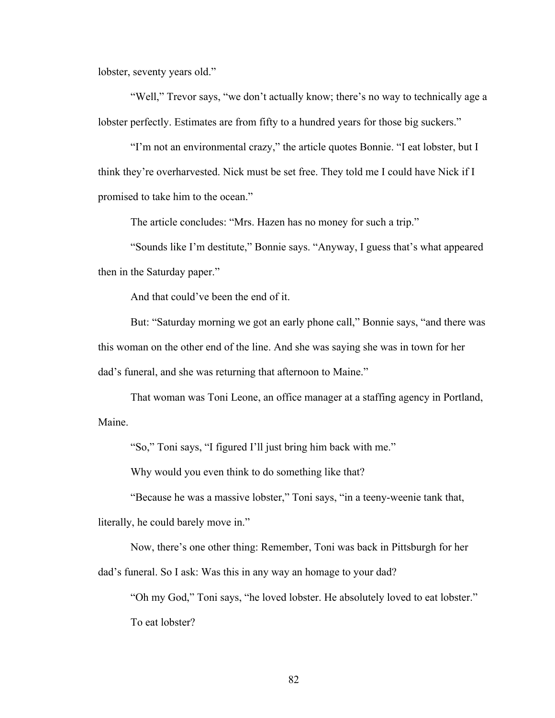lobster, seventy years old."

"Well," Trevor says, "we don't actually know; there's no way to technically age a lobster perfectly. Estimates are from fifty to a hundred years for those big suckers."

"I'm not an environmental crazy," the article quotes Bonnie. "I eat lobster, but I think they're overharvested. Nick must be set free. They told me I could have Nick if I promised to take him to the ocean."

The article concludes: "Mrs. Hazen has no money for such a trip."

"Sounds like I'm destitute," Bonnie says. "Anyway, I guess that's what appeared then in the Saturday paper."

And that could've been the end of it.

But: "Saturday morning we got an early phone call," Bonnie says, "and there was this woman on the other end of the line. And she was saying she was in town for her dad's funeral, and she was returning that afternoon to Maine."

That woman was Toni Leone, an office manager at a staffing agency in Portland, Maine.

"So," Toni says, "I figured I'll just bring him back with me."

Why would you even think to do something like that?

"Because he was a massive lobster," Toni says, "in a teeny-weenie tank that, literally, he could barely move in."

Now, there's one other thing: Remember, Toni was back in Pittsburgh for her

dad's funeral. So I ask: Was this in any way an homage to your dad?

"Oh my God," Toni says, "he loved lobster. He absolutely loved to eat lobster." To eat lobster?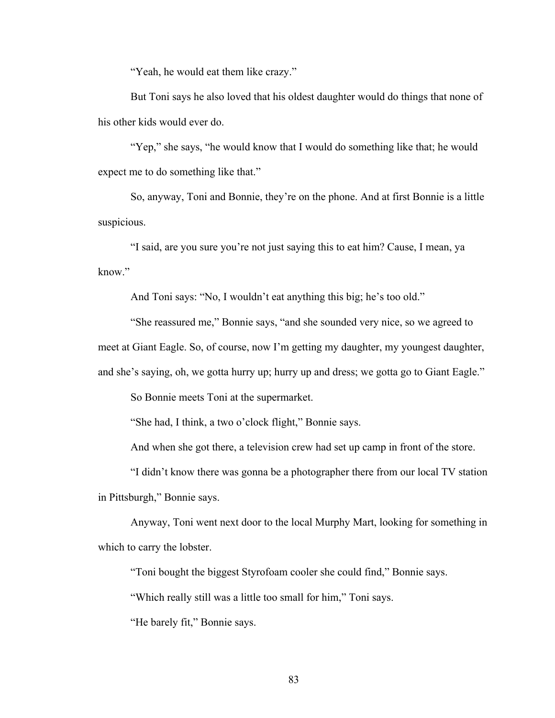"Yeah, he would eat them like crazy."

But Toni says he also loved that his oldest daughter would do things that none of his other kids would ever do.

"Yep," she says, "he would know that I would do something like that; he would expect me to do something like that."

So, anyway, Toni and Bonnie, they're on the phone. And at first Bonnie is a little suspicious.

"I said, are you sure you're not just saying this to eat him? Cause, I mean, ya know."

And Toni says: "No, I wouldn't eat anything this big; he's too old."

"She reassured me," Bonnie says, "and she sounded very nice, so we agreed to

meet at Giant Eagle. So, of course, now I'm getting my daughter, my youngest daughter,

and she's saying, oh, we gotta hurry up; hurry up and dress; we gotta go to Giant Eagle."

So Bonnie meets Toni at the supermarket.

"She had, I think, a two o'clock flight," Bonnie says.

And when she got there, a television crew had set up camp in front of the store.

"I didn't know there was gonna be a photographer there from our local TV station in Pittsburgh," Bonnie says.

Anyway, Toni went next door to the local Murphy Mart, looking for something in which to carry the lobster.

"Toni bought the biggest Styrofoam cooler she could find," Bonnie says.

"Which really still was a little too small for him," Toni says.

"He barely fit," Bonnie says.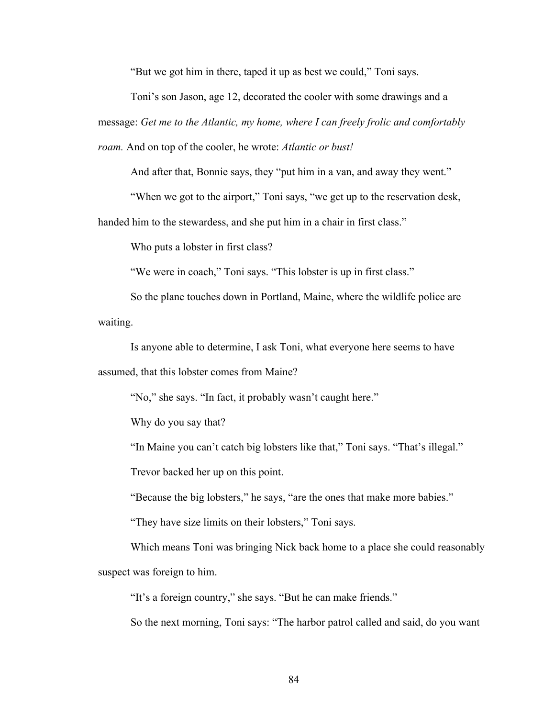"But we got him in there, taped it up as best we could," Toni says.

Toni's son Jason, age 12, decorated the cooler with some drawings and a message: *Get me to the Atlantic, my home, where I can freely frolic and comfortably roam.* And on top of the cooler, he wrote: *Atlantic or bust!*

And after that, Bonnie says, they "put him in a van, and away they went."

"When we got to the airport," Toni says, "we get up to the reservation desk,

handed him to the stewardess, and she put him in a chair in first class."

Who puts a lobster in first class?

"We were in coach," Toni says. "This lobster is up in first class."

So the plane touches down in Portland, Maine, where the wildlife police are waiting.

Is anyone able to determine, I ask Toni, what everyone here seems to have assumed, that this lobster comes from Maine?

"No," she says. "In fact, it probably wasn't caught here."

Why do you say that?

"In Maine you can't catch big lobsters like that," Toni says. "That's illegal."

Trevor backed her up on this point.

"Because the big lobsters," he says, "are the ones that make more babies."

"They have size limits on their lobsters," Toni says.

Which means Toni was bringing Nick back home to a place she could reasonably suspect was foreign to him.

"It's a foreign country," she says. "But he can make friends."

So the next morning, Toni says: "The harbor patrol called and said, do you want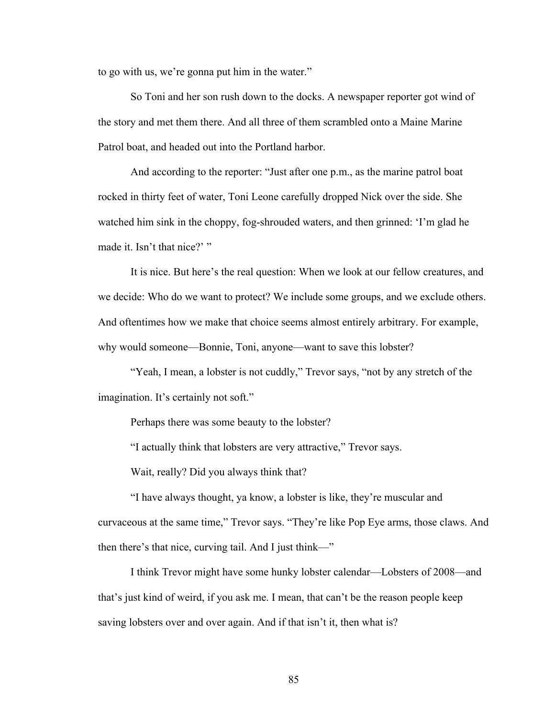to go with us, we're gonna put him in the water."

So Toni and her son rush down to the docks. A newspaper reporter got wind of the story and met them there. And all three of them scrambled onto a Maine Marine Patrol boat, and headed out into the Portland harbor.

And according to the reporter: "Just after one p.m., as the marine patrol boat rocked in thirty feet of water, Toni Leone carefully dropped Nick over the side. She watched him sink in the choppy, fog-shrouded waters, and then grinned: 'I'm glad he made it. Isn't that nice?' "

It is nice. But here's the real question: When we look at our fellow creatures, and we decide: Who do we want to protect? We include some groups, and we exclude others. And oftentimes how we make that choice seems almost entirely arbitrary. For example, why would someone—Bonnie, Toni, anyone—want to save this lobster?

"Yeah, I mean, a lobster is not cuddly," Trevor says, "not by any stretch of the imagination. It's certainly not soft."

Perhaps there was some beauty to the lobster?

"I actually think that lobsters are very attractive," Trevor says.

Wait, really? Did you always think that?

"I have always thought, ya know, a lobster is like, they're muscular and curvaceous at the same time," Trevor says. "They're like Pop Eye arms, those claws. And then there's that nice, curving tail. And I just think—"

I think Trevor might have some hunky lobster calendar—Lobsters of 2008—and that's just kind of weird, if you ask me. I mean, that can't be the reason people keep saving lobsters over and over again. And if that isn't it, then what is?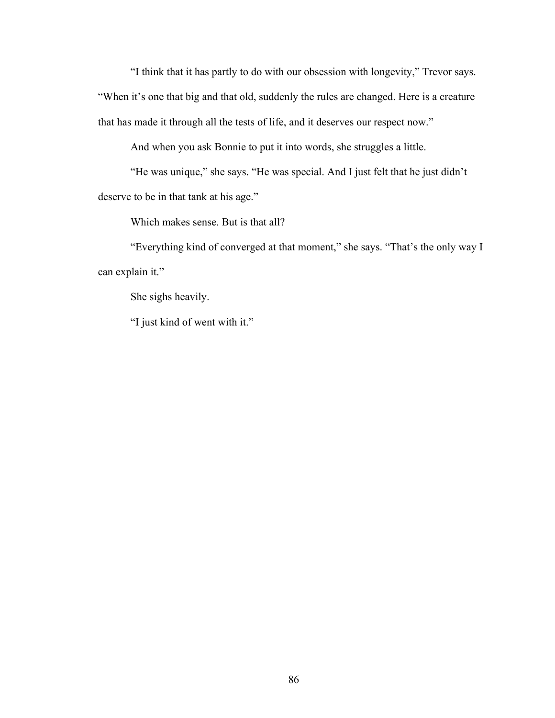"I think that it has partly to do with our obsession with longevity," Trevor says. "When it's one that big and that old, suddenly the rules are changed. Here is a creature that has made it through all the tests of life, and it deserves our respect now."

And when you ask Bonnie to put it into words, she struggles a little.

"He was unique," she says. "He was special. And I just felt that he just didn't deserve to be in that tank at his age."

Which makes sense. But is that all?

"Everything kind of converged at that moment," she says. "That's the only way I can explain it."

She sighs heavily.

"I just kind of went with it."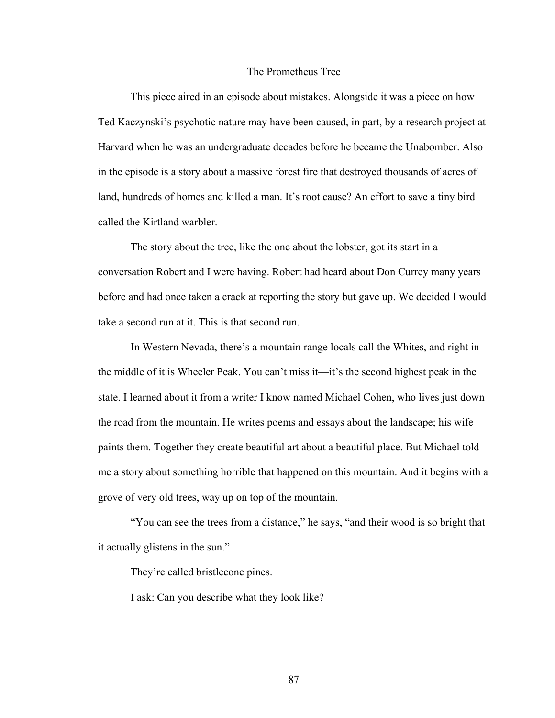## The Prometheus Tree

This piece aired in an episode about mistakes. Alongside it was a piece on how Ted Kaczynski's psychotic nature may have been caused, in part, by a research project at Harvard when he was an undergraduate decades before he became the Unabomber. Also in the episode is a story about a massive forest fire that destroyed thousands of acres of land, hundreds of homes and killed a man. It's root cause? An effort to save a tiny bird called the Kirtland warbler.

The story about the tree, like the one about the lobster, got its start in a conversation Robert and I were having. Robert had heard about Don Currey many years before and had once taken a crack at reporting the story but gave up. We decided I would take a second run at it. This is that second run.

In Western Nevada, there's a mountain range locals call the Whites, and right in the middle of it is Wheeler Peak. You can't miss it—it's the second highest peak in the state. I learned about it from a writer I know named Michael Cohen, who lives just down the road from the mountain. He writes poems and essays about the landscape; his wife paints them. Together they create beautiful art about a beautiful place. But Michael told me a story about something horrible that happened on this mountain. And it begins with a grove of very old trees, way up on top of the mountain.

"You can see the trees from a distance," he says, "and their wood is so bright that it actually glistens in the sun."

They're called bristlecone pines.

I ask: Can you describe what they look like?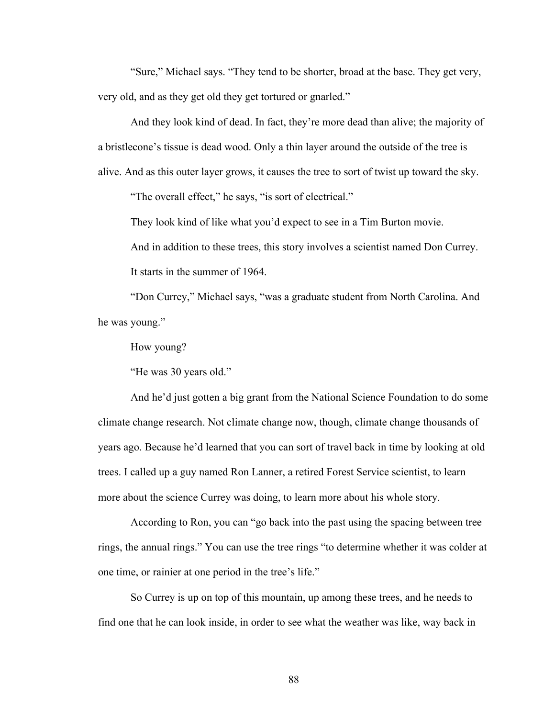"Sure," Michael says. "They tend to be shorter, broad at the base. They get very, very old, and as they get old they get tortured or gnarled."

And they look kind of dead. In fact, they're more dead than alive; the majority of a bristlecone's tissue is dead wood. Only a thin layer around the outside of the tree is alive. And as this outer layer grows, it causes the tree to sort of twist up toward the sky.

"The overall effect," he says, "is sort of electrical."

They look kind of like what you'd expect to see in a Tim Burton movie.

And in addition to these trees, this story involves a scientist named Don Currey. It starts in the summer of 1964.

"Don Currey," Michael says, "was a graduate student from North Carolina. And he was young."

How young?

"He was 30 years old."

And he'd just gotten a big grant from the National Science Foundation to do some climate change research. Not climate change now, though, climate change thousands of years ago. Because he'd learned that you can sort of travel back in time by looking at old trees. I called up a guy named Ron Lanner, a retired Forest Service scientist, to learn more about the science Currey was doing, to learn more about his whole story.

According to Ron, you can "go back into the past using the spacing between tree rings, the annual rings." You can use the tree rings "to determine whether it was colder at one time, or rainier at one period in the tree's life."

So Currey is up on top of this mountain, up among these trees, and he needs to find one that he can look inside, in order to see what the weather was like, way back in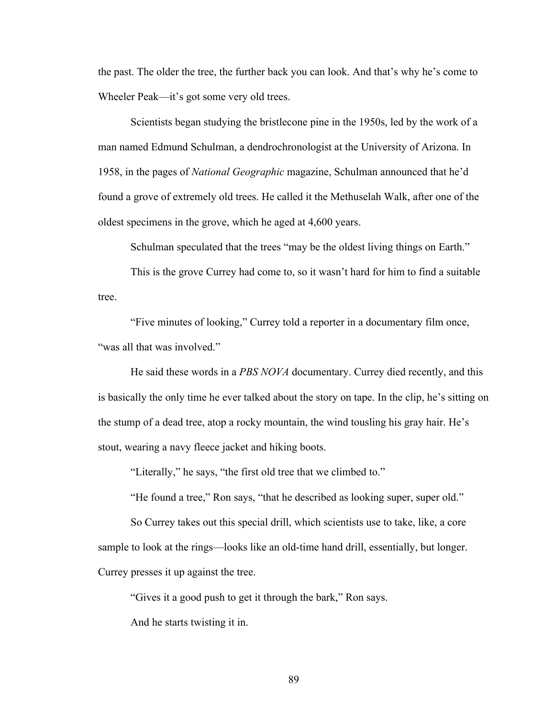the past. The older the tree, the further back you can look. And that's why he's come to Wheeler Peak—it's got some very old trees.

Scientists began studying the bristlecone pine in the 1950s, led by the work of a man named Edmund Schulman, a dendrochronologist at the University of Arizona. In 1958, in the pages of *National Geographic* magazine, Schulman announced that he'd found a grove of extremely old trees. He called it the Methuselah Walk, after one of the oldest specimens in the grove, which he aged at 4,600 years.

Schulman speculated that the trees "may be the oldest living things on Earth."

This is the grove Currey had come to, so it wasn't hard for him to find a suitable tree.

"Five minutes of looking," Currey told a reporter in a documentary film once, "was all that was involved."

He said these words in a *PBS NOVA* documentary. Currey died recently, and this is basically the only time he ever talked about the story on tape. In the clip, he's sitting on the stump of a dead tree, atop a rocky mountain, the wind tousling his gray hair. He's stout, wearing a navy fleece jacket and hiking boots.

"Literally," he says, "the first old tree that we climbed to."

"He found a tree," Ron says, "that he described as looking super, super old."

So Currey takes out this special drill, which scientists use to take, like, a core sample to look at the rings—looks like an old-time hand drill, essentially, but longer. Currey presses it up against the tree.

"Gives it a good push to get it through the bark," Ron says.

And he starts twisting it in.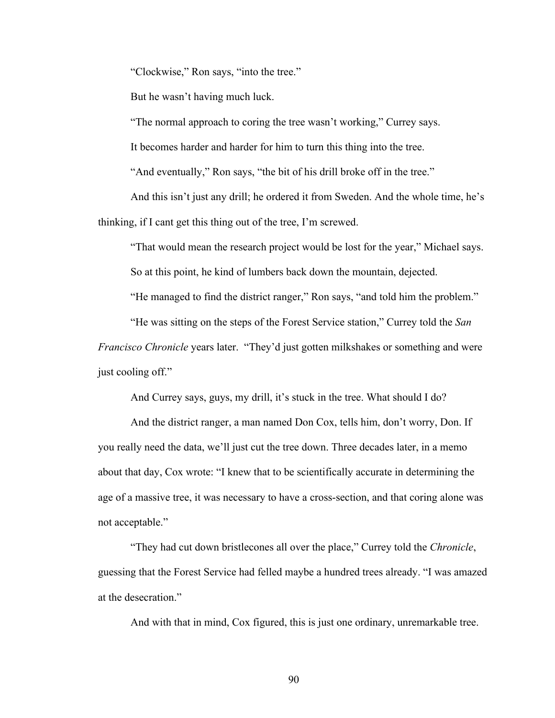"Clockwise," Ron says, "into the tree."

But he wasn't having much luck.

"The normal approach to coring the tree wasn't working," Currey says.

It becomes harder and harder for him to turn this thing into the tree.

"And eventually," Ron says, "the bit of his drill broke off in the tree."

And this isn't just any drill; he ordered it from Sweden. And the whole time, he's thinking, if I cant get this thing out of the tree, I'm screwed.

"That would mean the research project would be lost for the year," Michael says.

So at this point, he kind of lumbers back down the mountain, dejected.

"He managed to find the district ranger," Ron says, "and told him the problem."

"He was sitting on the steps of the Forest Service station," Currey told the *San* 

*Francisco Chronicle* years later. "They'd just gotten milkshakes or something and were just cooling off."

And Currey says, guys, my drill, it's stuck in the tree. What should I do?

And the district ranger, a man named Don Cox, tells him, don't worry, Don. If you really need the data, we'll just cut the tree down. Three decades later, in a memo about that day, Cox wrote: "I knew that to be scientifically accurate in determining the age of a massive tree, it was necessary to have a cross-section, and that coring alone was not acceptable."

"They had cut down bristlecones all over the place," Currey told the *Chronicle*, guessing that the Forest Service had felled maybe a hundred trees already. "I was amazed at the desecration."

And with that in mind, Cox figured, this is just one ordinary, unremarkable tree.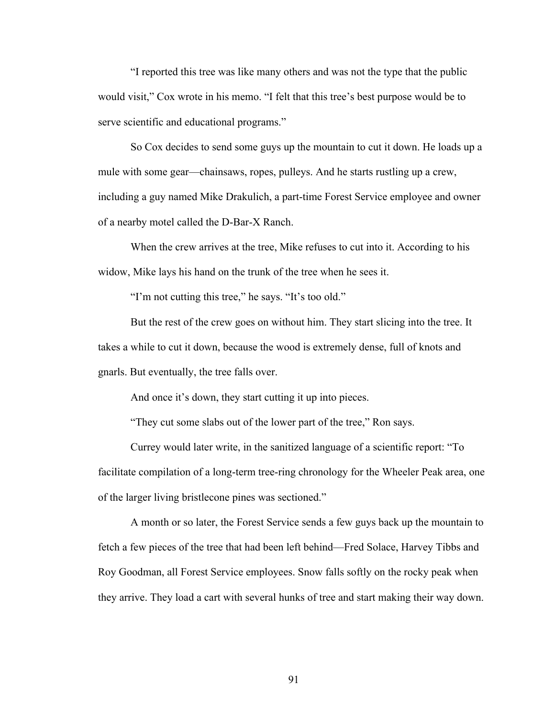"I reported this tree was like many others and was not the type that the public would visit," Cox wrote in his memo. "I felt that this tree's best purpose would be to serve scientific and educational programs."

So Cox decides to send some guys up the mountain to cut it down. He loads up a mule with some gear—chainsaws, ropes, pulleys. And he starts rustling up a crew, including a guy named Mike Drakulich, a part-time Forest Service employee and owner of a nearby motel called the D-Bar-X Ranch.

When the crew arrives at the tree, Mike refuses to cut into it. According to his widow, Mike lays his hand on the trunk of the tree when he sees it.

"I'm not cutting this tree," he says. "It's too old."

But the rest of the crew goes on without him. They start slicing into the tree. It takes a while to cut it down, because the wood is extremely dense, full of knots and gnarls. But eventually, the tree falls over.

And once it's down, they start cutting it up into pieces.

"They cut some slabs out of the lower part of the tree," Ron says.

Currey would later write, in the sanitized language of a scientific report: "To facilitate compilation of a long-term tree-ring chronology for the Wheeler Peak area, one of the larger living bristlecone pines was sectioned."

A month or so later, the Forest Service sends a few guys back up the mountain to fetch a few pieces of the tree that had been left behind—Fred Solace, Harvey Tibbs and Roy Goodman, all Forest Service employees. Snow falls softly on the rocky peak when they arrive. They load a cart with several hunks of tree and start making their way down.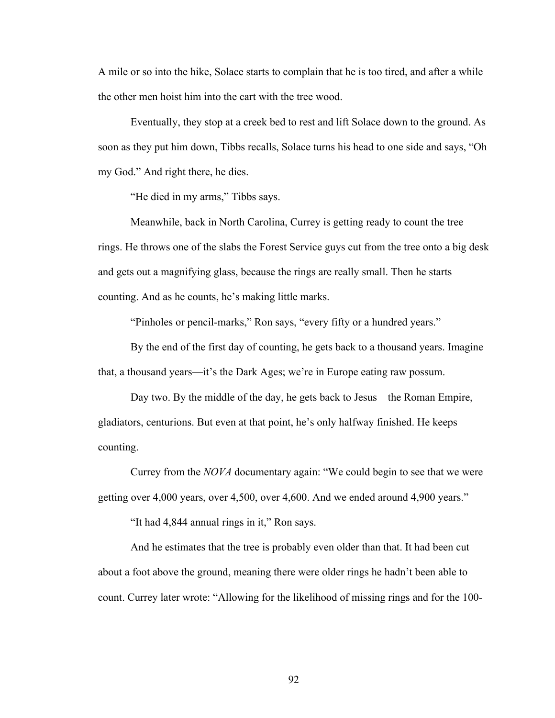A mile or so into the hike, Solace starts to complain that he is too tired, and after a while the other men hoist him into the cart with the tree wood.

Eventually, they stop at a creek bed to rest and lift Solace down to the ground. As soon as they put him down, Tibbs recalls, Solace turns his head to one side and says, "Oh my God." And right there, he dies.

"He died in my arms," Tibbs says.

Meanwhile, back in North Carolina, Currey is getting ready to count the tree rings. He throws one of the slabs the Forest Service guys cut from the tree onto a big desk and gets out a magnifying glass, because the rings are really small. Then he starts counting. And as he counts, he's making little marks.

"Pinholes or pencil-marks," Ron says, "every fifty or a hundred years."

By the end of the first day of counting, he gets back to a thousand years. Imagine that, a thousand years—it's the Dark Ages; we're in Europe eating raw possum.

Day two. By the middle of the day, he gets back to Jesus—the Roman Empire, gladiators, centurions. But even at that point, he's only halfway finished. He keeps counting.

Currey from the *NOVA* documentary again: "We could begin to see that we were getting over 4,000 years, over 4,500, over 4,600. And we ended around 4,900 years."

"It had 4,844 annual rings in it," Ron says.

And he estimates that the tree is probably even older than that. It had been cut about a foot above the ground, meaning there were older rings he hadn't been able to count. Currey later wrote: "Allowing for the likelihood of missing rings and for the 100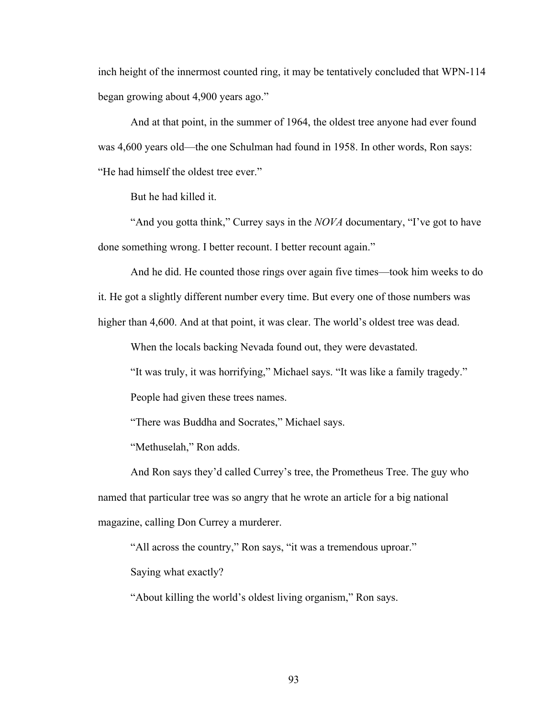inch height of the innermost counted ring, it may be tentatively concluded that WPN-114 began growing about 4,900 years ago."

And at that point, in the summer of 1964, the oldest tree anyone had ever found was 4,600 years old—the one Schulman had found in 1958. In other words, Ron says: "He had himself the oldest tree ever."

But he had killed it.

"And you gotta think," Currey says in the *NOVA* documentary, "I've got to have done something wrong. I better recount. I better recount again."

And he did. He counted those rings over again five times—took him weeks to do

it. He got a slightly different number every time. But every one of those numbers was

higher than 4,600. And at that point, it was clear. The world's oldest tree was dead.

When the locals backing Nevada found out, they were devastated.

"It was truly, it was horrifying," Michael says. "It was like a family tragedy."

People had given these trees names.

"There was Buddha and Socrates," Michael says.

"Methuselah," Ron adds.

And Ron says they'd called Currey's tree, the Prometheus Tree. The guy who named that particular tree was so angry that he wrote an article for a big national magazine, calling Don Currey a murderer.

"All across the country," Ron says, "it was a tremendous uproar."

Saying what exactly?

"About killing the world's oldest living organism," Ron says.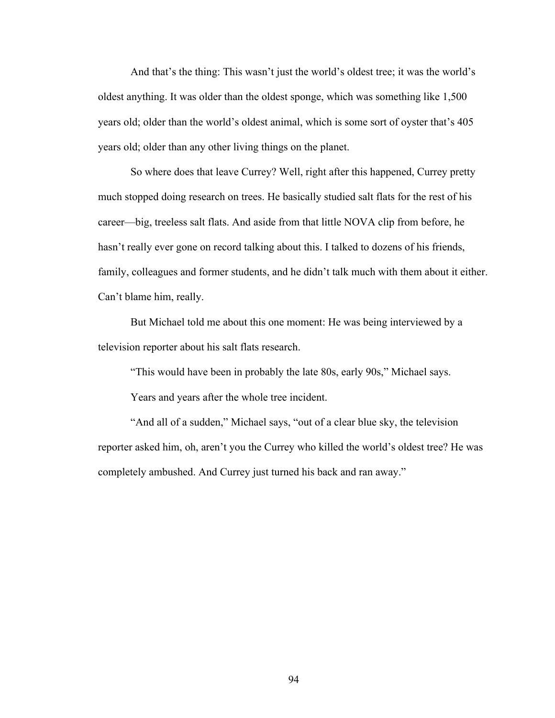And that's the thing: This wasn't just the world's oldest tree; it was the world's oldest anything. It was older than the oldest sponge, which was something like 1,500 years old; older than the world's oldest animal, which is some sort of oyster that's 405 years old; older than any other living things on the planet.

So where does that leave Currey? Well, right after this happened, Currey pretty much stopped doing research on trees. He basically studied salt flats for the rest of his career—big, treeless salt flats. And aside from that little NOVA clip from before, he hasn't really ever gone on record talking about this. I talked to dozens of his friends, family, colleagues and former students, and he didn't talk much with them about it either. Can't blame him, really.

But Michael told me about this one moment: He was being interviewed by a television reporter about his salt flats research.

"This would have been in probably the late 80s, early 90s," Michael says.

Years and years after the whole tree incident.

"And all of a sudden," Michael says, "out of a clear blue sky, the television reporter asked him, oh, aren't you the Currey who killed the world's oldest tree? He was completely ambushed. And Currey just turned his back and ran away."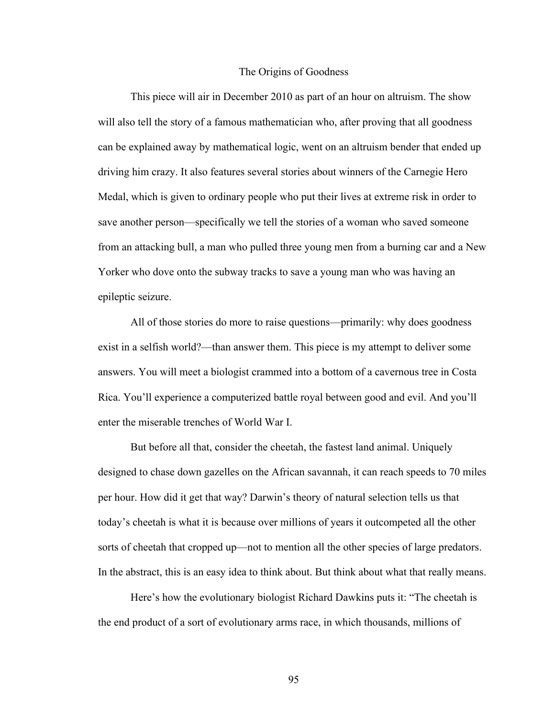## The Origins of Goodness

This piece will air in December 2010 as part of an hour on altruism. The show will also tell the story of a famous mathematician who, after proving that all goodness can be explained away by mathematical logic, went on an altruism bender that ended up driving him crazy. It also features several stories about winners of the Carnegie Hero Medal, which is given to ordinary people who put their lives at extreme risk in order to save another person—specifically we tell the stories of a woman who saved someone from an attacking bull, a man who pulled three young men from a burning car and a New Yorker who dove onto the subway tracks to save a young man who was having an epileptic seizure.

All of those stories do more to raise questions—primarily: why does goodness exist in a selfish world?—than answer them. This piece is my attempt to deliver some answers. You will meet a biologist crammed into a bottom of a cavernous tree in Costa Rica. You'll experience a computerized battle royal between good and evil. And you'll enter the miserable trenches of World War I.

But before all that, consider the cheetah, the fastest land animal. Uniquely designed to chase down gazelles on the African savannah, it can reach speeds to 70 miles per hour. How did it get that way? Darwin's theory of natural selection tells us that today's cheetah is what it is because over millions of years it outcompeted all the other sorts of cheetah that cropped up—not to mention all the other species of large predators. In the abstract, this is an easy idea to think about. But think about what that really means.

Here's how the evolutionary biologist Richard Dawkins puts it: "The cheetah is the end product of a sort of evolutionary arms race, in which thousands, millions of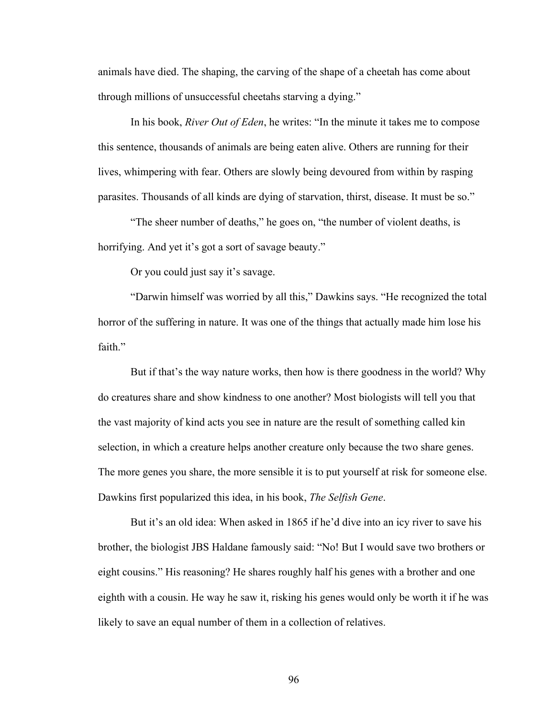animals have died. The shaping, the carving of the shape of a cheetah has come about through millions of unsuccessful cheetahs starving a dying."

In his book, *River Out of Eden*, he writes: "In the minute it takes me to compose this sentence, thousands of animals are being eaten alive. Others are running for their lives, whimpering with fear. Others are slowly being devoured from within by rasping parasites. Thousands of all kinds are dying of starvation, thirst, disease. It must be so."

"The sheer number of deaths," he goes on, "the number of violent deaths, is horrifying. And yet it's got a sort of savage beauty."

Or you could just say it's savage.

"Darwin himself was worried by all this," Dawkins says. "He recognized the total horror of the suffering in nature. It was one of the things that actually made him lose his faith."

But if that's the way nature works, then how is there goodness in the world? Why do creatures share and show kindness to one another? Most biologists will tell you that the vast majority of kind acts you see in nature are the result of something called kin selection, in which a creature helps another creature only because the two share genes. The more genes you share, the more sensible it is to put yourself at risk for someone else. Dawkins first popularized this idea, in his book, *The Selfish Gene*.

But it's an old idea: When asked in 1865 if he'd dive into an icy river to save his brother, the biologist JBS Haldane famously said: "No! But I would save two brothers or eight cousins." His reasoning? He shares roughly half his genes with a brother and one eighth with a cousin. He way he saw it, risking his genes would only be worth it if he was likely to save an equal number of them in a collection of relatives.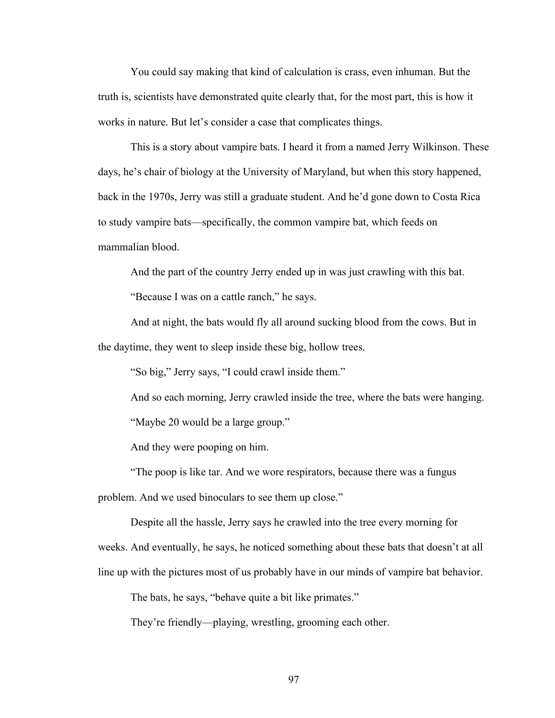You could say making that kind of calculation is crass, even inhuman. But the truth is, scientists have demonstrated quite clearly that, for the most part, this is how it works in nature. But let's consider a case that complicates things.

This is a story about vampire bats. I heard it from a named Jerry Wilkinson. These days, he's chair of biology at the University of Maryland, but when this story happened, back in the 1970s, Jerry was still a graduate student. And he'd gone down to Costa Rica to study vampire bats—specifically, the common vampire bat, which feeds on mammalian blood.

And the part of the country Jerry ended up in was just crawling with this bat.

"Because I was on a cattle ranch," he says.

And at night, the bats would fly all around sucking blood from the cows. But in the daytime, they went to sleep inside these big, hollow trees.

"So big," Jerry says, "I could crawl inside them."

And so each morning, Jerry crawled inside the tree, where the bats were hanging. "Maybe 20 would be a large group."

And they were pooping on him.

"The poop is like tar. And we wore respirators, because there was a fungus problem. And we used binoculars to see them up close."

Despite all the hassle, Jerry says he crawled into the tree every morning for weeks. And eventually, he says, he noticed something about these bats that doesn't at all line up with the pictures most of us probably have in our minds of vampire bat behavior.

The bats, he says, "behave quite a bit like primates."

They're friendly—playing, wrestling, grooming each other.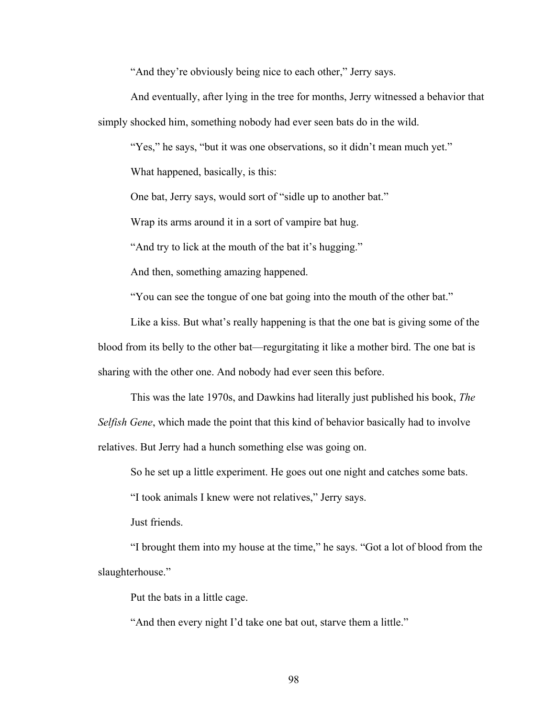"And they're obviously being nice to each other," Jerry says.

And eventually, after lying in the tree for months, Jerry witnessed a behavior that simply shocked him, something nobody had ever seen bats do in the wild.

"Yes," he says, "but it was one observations, so it didn't mean much yet."

What happened, basically, is this:

One bat, Jerry says, would sort of "sidle up to another bat."

Wrap its arms around it in a sort of vampire bat hug.

"And try to lick at the mouth of the bat it's hugging."

And then, something amazing happened.

"You can see the tongue of one bat going into the mouth of the other bat."

Like a kiss. But what's really happening is that the one bat is giving some of the blood from its belly to the other bat—regurgitating it like a mother bird. The one bat is sharing with the other one. And nobody had ever seen this before.

This was the late 1970s, and Dawkins had literally just published his book, *The Selfish Gene*, which made the point that this kind of behavior basically had to involve relatives. But Jerry had a hunch something else was going on.

So he set up a little experiment. He goes out one night and catches some bats.

"I took animals I knew were not relatives," Jerry says.

Just friends.

"I brought them into my house at the time," he says. "Got a lot of blood from the slaughterhouse."

Put the bats in a little cage.

"And then every night I'd take one bat out, starve them a little."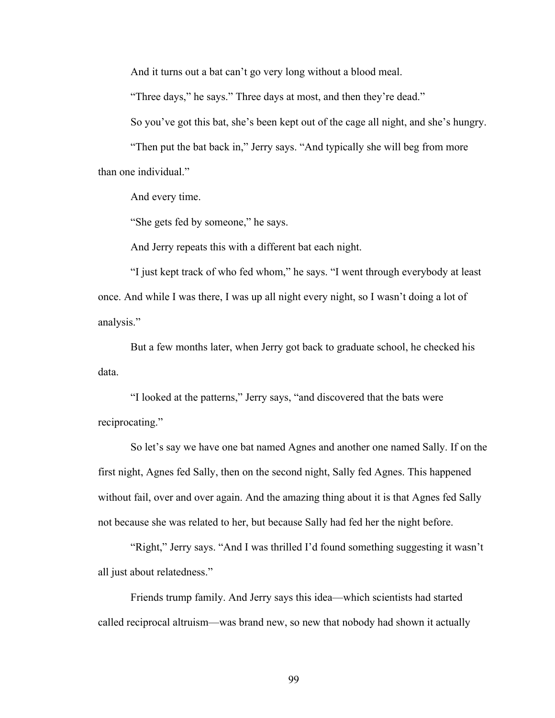And it turns out a bat can't go very long without a blood meal.

"Three days," he says." Three days at most, and then they're dead."

So you've got this bat, she's been kept out of the cage all night, and she's hungry.

"Then put the bat back in," Jerry says. "And typically she will beg from more than one individual."

And every time.

"She gets fed by someone," he says.

And Jerry repeats this with a different bat each night.

"I just kept track of who fed whom," he says. "I went through everybody at least once. And while I was there, I was up all night every night, so I wasn't doing a lot of analysis."

But a few months later, when Jerry got back to graduate school, he checked his data.

"I looked at the patterns," Jerry says, "and discovered that the bats were reciprocating."

So let's say we have one bat named Agnes and another one named Sally. If on the first night, Agnes fed Sally, then on the second night, Sally fed Agnes. This happened without fail, over and over again. And the amazing thing about it is that Agnes fed Sally not because she was related to her, but because Sally had fed her the night before.

"Right," Jerry says. "And I was thrilled I'd found something suggesting it wasn't all just about relatedness."

Friends trump family. And Jerry says this idea—which scientists had started called reciprocal altruism—was brand new, so new that nobody had shown it actually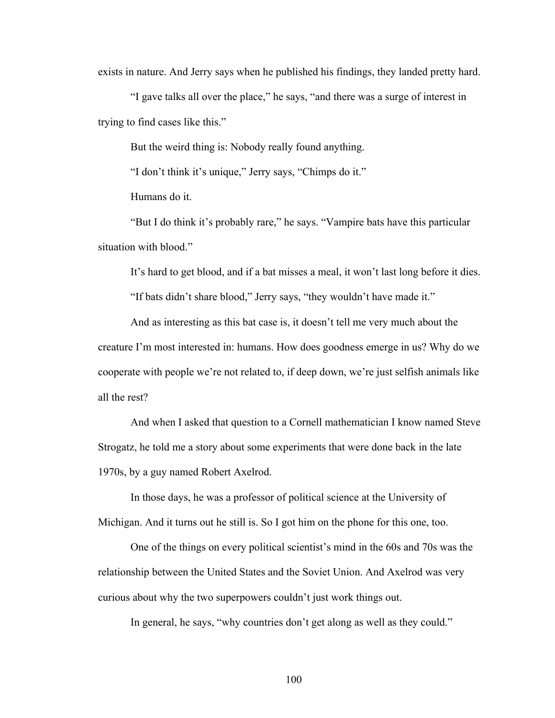exists in nature. And Jerry says when he published his findings, they landed pretty hard.

"I gave talks all over the place," he says, "and there was a surge of interest in trying to find cases like this."

But the weird thing is: Nobody really found anything.

"I don't think it's unique," Jerry says, "Chimps do it."

Humans do it.

"But I do think it's probably rare," he says. "Vampire bats have this particular situation with blood."

It's hard to get blood, and if a bat misses a meal, it won't last long before it dies.

"If bats didn't share blood," Jerry says, "they wouldn't have made it."

And as interesting as this bat case is, it doesn't tell me very much about the creature I'm most interested in: humans. How does goodness emerge in us? Why do we cooperate with people we're not related to, if deep down, we're just selfish animals like all the rest?

And when I asked that question to a Cornell mathematician I know named Steve Strogatz, he told me a story about some experiments that were done back in the late 1970s, by a guy named Robert Axelrod.

In those days, he was a professor of political science at the University of Michigan. And it turns out he still is. So I got him on the phone for this one, too.

One of the things on every political scientist's mind in the 60s and 70s was the relationship between the United States and the Soviet Union. And Axelrod was very curious about why the two superpowers couldn't just work things out.

In general, he says, "why countries don't get along as well as they could."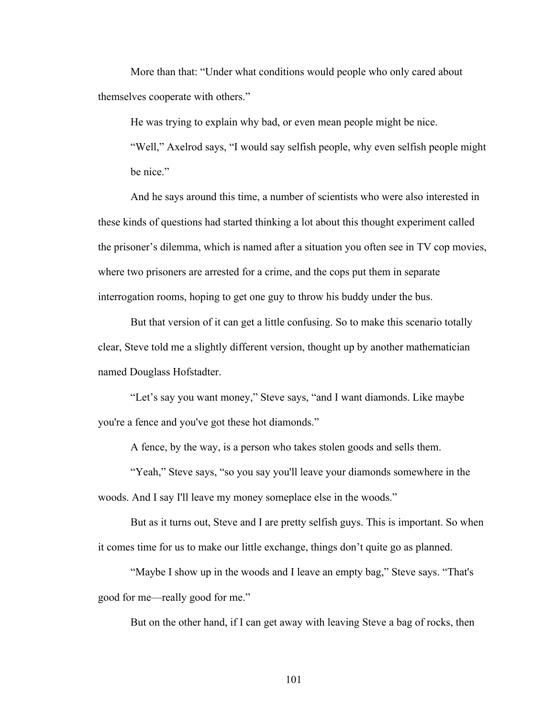More than that: "Under what conditions would people who only cared about themselves cooperate with others."

He was trying to explain why bad, or even mean people might be nice.

"Well," Axelrod says, "I would say selfish people, why even selfish people might be nice."

And he says around this time, a number of scientists who were also interested in these kinds of questions had started thinking a lot about this thought experiment called the prisoner's dilemma, which is named after a situation you often see in TV cop movies, where two prisoners are arrested for a crime, and the cops put them in separate interrogation rooms, hoping to get one guy to throw his buddy under the bus.

But that version of it can get a little confusing. So to make this scenario totally clear, Steve told me a slightly different version, thought up by another mathematician named Douglass Hofstadter.

"Let's say you want money," Steve says, "and I want diamonds. Like maybe you're a fence and you've got these hot diamonds."

A fence, by the way, is a person who takes stolen goods and sells them.

"Yeah," Steve says, "so you say you'll leave your diamonds somewhere in the woods. And I say I'll leave my money someplace else in the woods."

But as it turns out, Steve and I are pretty selfish guys. This is important. So when it comes time for us to make our little exchange, things don't quite go as planned.

"Maybe I show up in the woods and I leave an empty bag," Steve says. "That's good for me—really good for me."

But on the other hand, if I can get away with leaving Steve a bag of rocks, then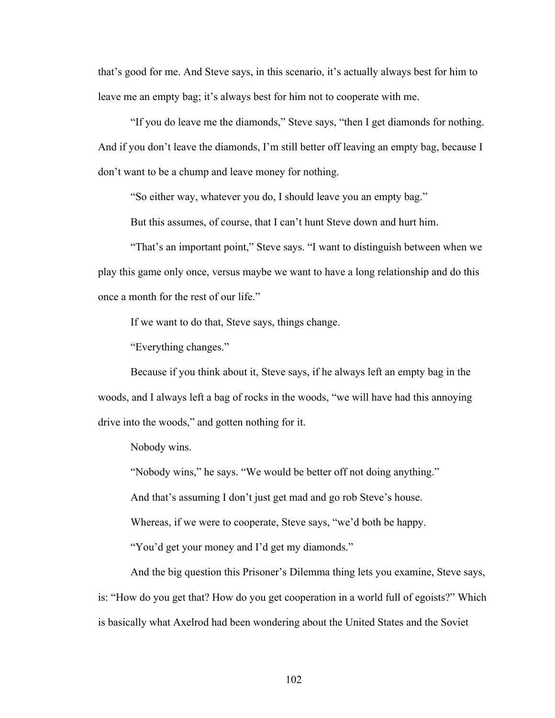that's good for me. And Steve says, in this scenario, it's actually always best for him to leave me an empty bag; it's always best for him not to cooperate with me.

"If you do leave me the diamonds," Steve says, "then I get diamonds for nothing. And if you don't leave the diamonds, I'm still better off leaving an empty bag, because I don't want to be a chump and leave money for nothing.

"So either way, whatever you do, I should leave you an empty bag."

But this assumes, of course, that I can't hunt Steve down and hurt him.

"That's an important point," Steve says. "I want to distinguish between when we play this game only once, versus maybe we want to have a long relationship and do this once a month for the rest of our life."

If we want to do that, Steve says, things change.

"Everything changes."

Because if you think about it, Steve says, if he always left an empty bag in the woods, and I always left a bag of rocks in the woods, "we will have had this annoying drive into the woods," and gotten nothing for it.

Nobody wins.

"Nobody wins," he says. "We would be better off not doing anything."

And that's assuming I don't just get mad and go rob Steve's house.

Whereas, if we were to cooperate, Steve says, "we'd both be happy.

"You'd get your money and I'd get my diamonds."

And the big question this Prisoner's Dilemma thing lets you examine, Steve says, is: "How do you get that? How do you get cooperation in a world full of egoists?" Which is basically what Axelrod had been wondering about the United States and the Soviet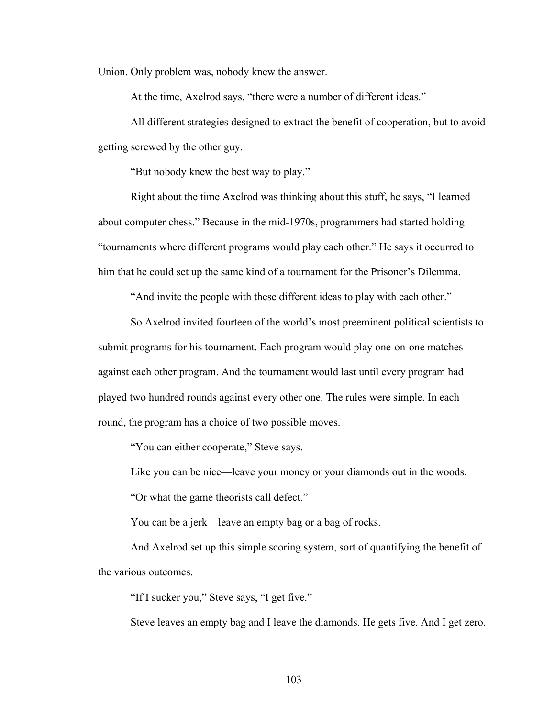Union. Only problem was, nobody knew the answer.

At the time, Axelrod says, "there were a number of different ideas."

All different strategies designed to extract the benefit of cooperation, but to avoid getting screwed by the other guy.

"But nobody knew the best way to play."

Right about the time Axelrod was thinking about this stuff, he says, "I learned about computer chess." Because in the mid-1970s, programmers had started holding "tournaments where different programs would play each other." He says it occurred to him that he could set up the same kind of a tournament for the Prisoner's Dilemma.

"And invite the people with these different ideas to play with each other."

So Axelrod invited fourteen of the world's most preeminent political scientists to submit programs for his tournament. Each program would play one-on-one matches against each other program. And the tournament would last until every program had played two hundred rounds against every other one. The rules were simple. In each round, the program has a choice of two possible moves.

"You can either cooperate," Steve says.

Like you can be nice—leave your money or your diamonds out in the woods.

"Or what the game theorists call defect."

You can be a jerk—leave an empty bag or a bag of rocks.

And Axelrod set up this simple scoring system, sort of quantifying the benefit of the various outcomes.

"If I sucker you," Steve says, "I get five."

Steve leaves an empty bag and I leave the diamonds. He gets five. And I get zero.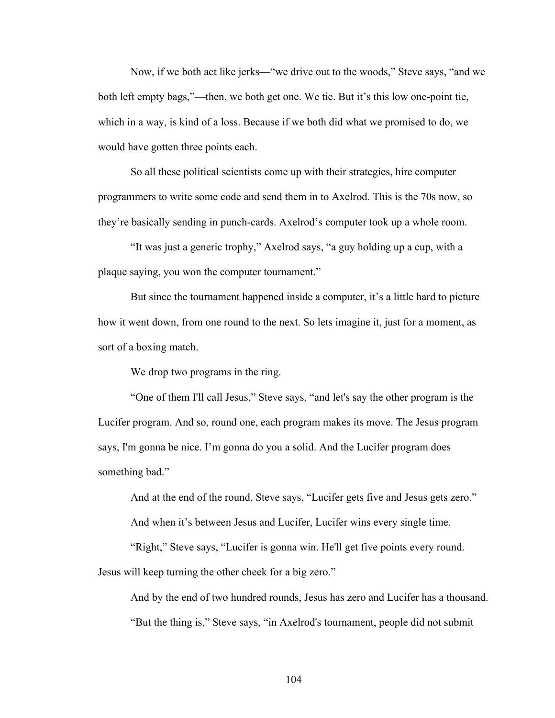Now, if we both act like jerks—"we drive out to the woods," Steve says, "and we both left empty bags,"—then, we both get one. We tie. But it's this low one-point tie, which in a way, is kind of a loss. Because if we both did what we promised to do, we would have gotten three points each.

So all these political scientists come up with their strategies, hire computer programmers to write some code and send them in to Axelrod. This is the 70s now, so they're basically sending in punch-cards. Axelrod's computer took up a whole room.

"It was just a generic trophy," Axelrod says, "a guy holding up a cup, with a plaque saying, you won the computer tournament."

But since the tournament happened inside a computer, it's a little hard to picture how it went down, from one round to the next. So lets imagine it, just for a moment, as sort of a boxing match.

We drop two programs in the ring.

"One of them I'll call Jesus," Steve says, "and let's say the other program is the Lucifer program. And so, round one, each program makes its move. The Jesus program says, I'm gonna be nice. I'm gonna do you a solid. And the Lucifer program does something bad."

And at the end of the round, Steve says, "Lucifer gets five and Jesus gets zero."

And when it's between Jesus and Lucifer, Lucifer wins every single time.

"Right," Steve says, "Lucifer is gonna win. He'll get five points every round.

Jesus will keep turning the other cheek for a big zero."

And by the end of two hundred rounds, Jesus has zero and Lucifer has a thousand. "But the thing is," Steve says, "in Axelrod's tournament, people did not submit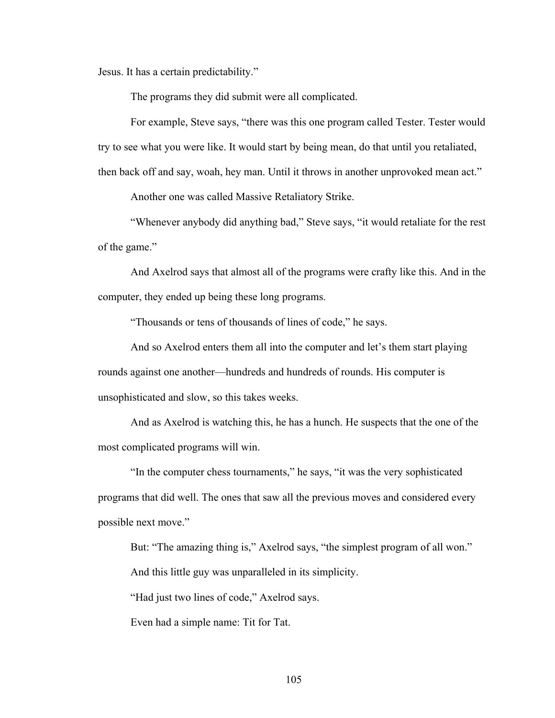Jesus. It has a certain predictability."

The programs they did submit were all complicated.

For example, Steve says, "there was this one program called Tester. Tester would try to see what you were like. It would start by being mean, do that until you retaliated, then back off and say, woah, hey man. Until it throws in another unprovoked mean act."

Another one was called Massive Retaliatory Strike.

"Whenever anybody did anything bad," Steve says, "it would retaliate for the rest of the game."

And Axelrod says that almost all of the programs were crafty like this. And in the computer, they ended up being these long programs.

"Thousands or tens of thousands of lines of code," he says.

And so Axelrod enters them all into the computer and let's them start playing rounds against one another—hundreds and hundreds of rounds. His computer is unsophisticated and slow, so this takes weeks.

And as Axelrod is watching this, he has a hunch. He suspects that the one of the most complicated programs will win.

"In the computer chess tournaments," he says, "it was the very sophisticated programs that did well. The ones that saw all the previous moves and considered every possible next move."

But: "The amazing thing is," Axelrod says, "the simplest program of all won." And this little guy was unparalleled in its simplicity.

"Had just two lines of code," Axelrod says.

Even had a simple name: Tit for Tat.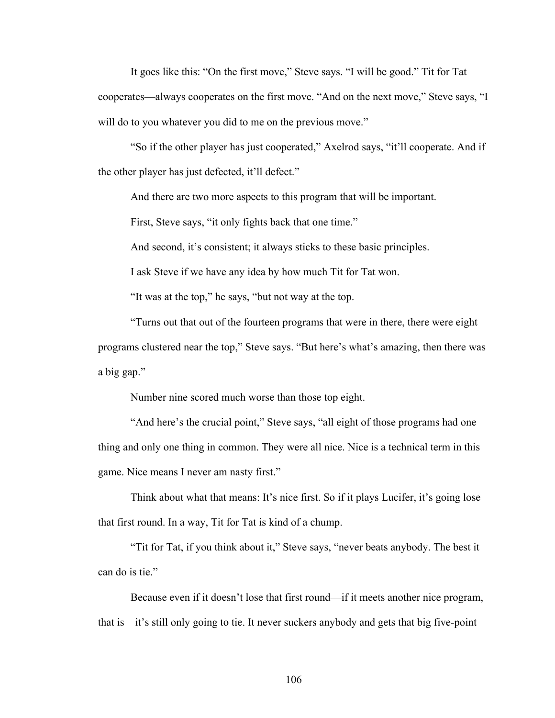It goes like this: "On the first move," Steve says. "I will be good." Tit for Tat cooperates—always cooperates on the first move. "And on the next move," Steve says, "I will do to you whatever you did to me on the previous move."

"So if the other player has just cooperated," Axelrod says, "it'll cooperate. And if the other player has just defected, it'll defect."

And there are two more aspects to this program that will be important.

First, Steve says, "it only fights back that one time."

And second, it's consistent; it always sticks to these basic principles.

I ask Steve if we have any idea by how much Tit for Tat won.

"It was at the top," he says, "but not way at the top.

"Turns out that out of the fourteen programs that were in there, there were eight programs clustered near the top," Steve says. "But here's what's amazing, then there was a big gap."

Number nine scored much worse than those top eight.

"And here's the crucial point," Steve says, "all eight of those programs had one thing and only one thing in common. They were all nice. Nice is a technical term in this game. Nice means I never am nasty first."

Think about what that means: It's nice first. So if it plays Lucifer, it's going lose that first round. In a way, Tit for Tat is kind of a chump.

"Tit for Tat, if you think about it," Steve says, "never beats anybody. The best it can do is tie."

Because even if it doesn't lose that first round—if it meets another nice program, that is—it's still only going to tie. It never suckers anybody and gets that big five-point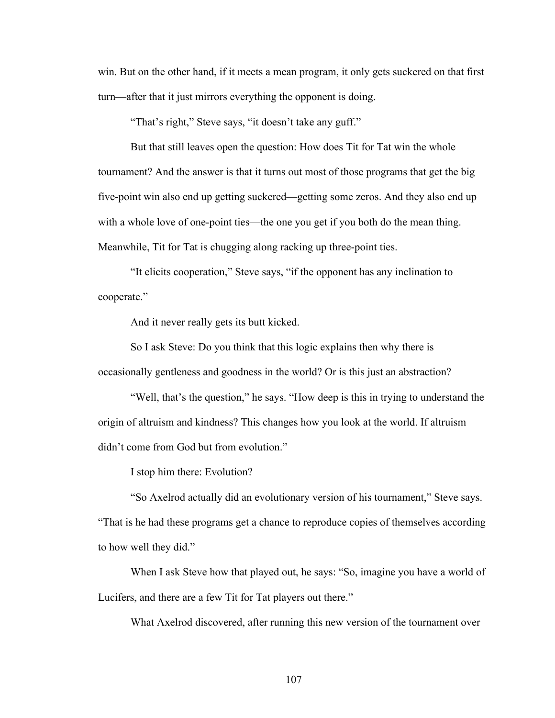win. But on the other hand, if it meets a mean program, it only gets suckered on that first turn—after that it just mirrors everything the opponent is doing.

"That's right," Steve says, "it doesn't take any guff."

But that still leaves open the question: How does Tit for Tat win the whole tournament? And the answer is that it turns out most of those programs that get the big five-point win also end up getting suckered—getting some zeros. And they also end up with a whole love of one-point ties—the one you get if you both do the mean thing. Meanwhile, Tit for Tat is chugging along racking up three-point ties.

"It elicits cooperation," Steve says, "if the opponent has any inclination to cooperate."

And it never really gets its butt kicked.

So I ask Steve: Do you think that this logic explains then why there is occasionally gentleness and goodness in the world? Or is this just an abstraction?

"Well, that's the question," he says. "How deep is this in trying to understand the origin of altruism and kindness? This changes how you look at the world. If altruism didn't come from God but from evolution."

I stop him there: Evolution?

"So Axelrod actually did an evolutionary version of his tournament," Steve says. "That is he had these programs get a chance to reproduce copies of themselves according to how well they did."

When I ask Steve how that played out, he says: "So, imagine you have a world of Lucifers, and there are a few Tit for Tat players out there."

What Axelrod discovered, after running this new version of the tournament over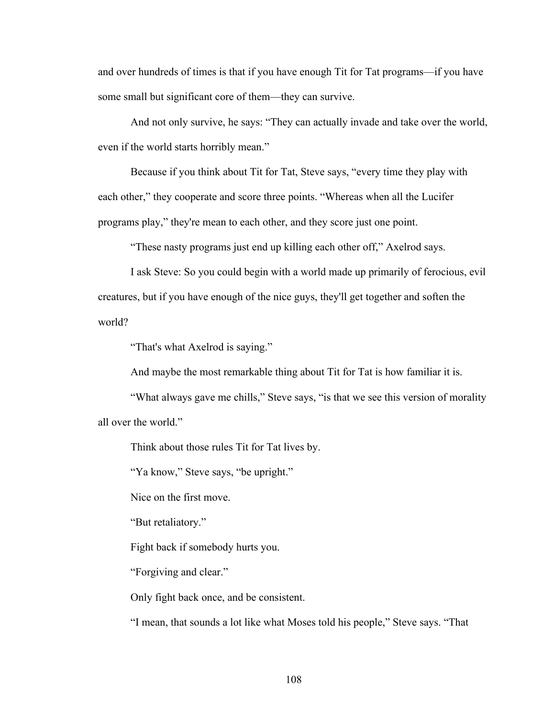and over hundreds of times is that if you have enough Tit for Tat programs—if you have some small but significant core of them—they can survive.

And not only survive, he says: "They can actually invade and take over the world, even if the world starts horribly mean."

Because if you think about Tit for Tat, Steve says, "every time they play with each other," they cooperate and score three points. "Whereas when all the Lucifer programs play," they're mean to each other, and they score just one point.

"These nasty programs just end up killing each other off," Axelrod says.

I ask Steve: So you could begin with a world made up primarily of ferocious, evil creatures, but if you have enough of the nice guys, they'll get together and soften the world?

"That's what Axelrod is saying."

And maybe the most remarkable thing about Tit for Tat is how familiar it is.

"What always gave me chills," Steve says, "is that we see this version of morality all over the world."

Think about those rules Tit for Tat lives by.

"Ya know," Steve says, "be upright."

Nice on the first move.

"But retaliatory."

Fight back if somebody hurts you.

"Forgiving and clear."

Only fight back once, and be consistent.

"I mean, that sounds a lot like what Moses told his people," Steve says. "That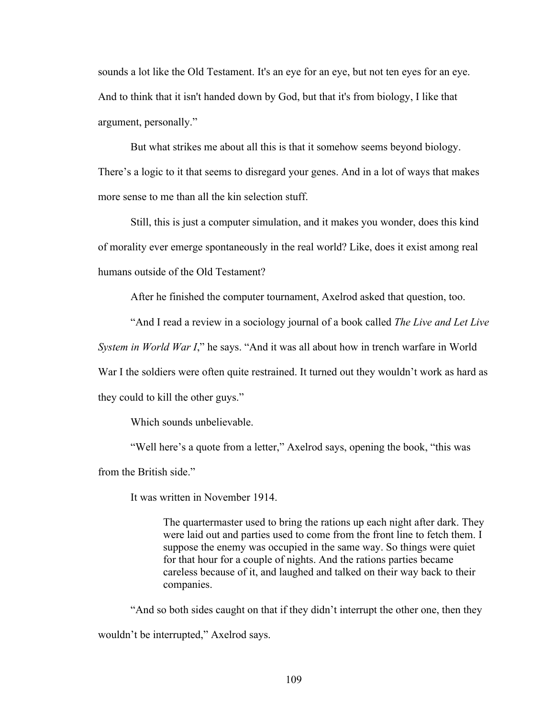sounds a lot like the Old Testament. It's an eye for an eye, but not ten eyes for an eye. And to think that it isn't handed down by God, but that it's from biology, I like that argument, personally."

But what strikes me about all this is that it somehow seems beyond biology. There's a logic to it that seems to disregard your genes. And in a lot of ways that makes more sense to me than all the kin selection stuff.

Still, this is just a computer simulation, and it makes you wonder, does this kind of morality ever emerge spontaneously in the real world? Like, does it exist among real humans outside of the Old Testament?

After he finished the computer tournament, Axelrod asked that question, too.

"And I read a review in a sociology journal of a book called *The Live and Let Live* 

*System in World War I*," he says. "And it was all about how in trench warfare in World

War I the soldiers were often quite restrained. It turned out they wouldn't work as hard as

they could to kill the other guys."

Which sounds unbelievable.

"Well here's a quote from a letter," Axelrod says, opening the book, "this was from the British side."

It was written in November 1914.

The quartermaster used to bring the rations up each night after dark. They were laid out and parties used to come from the front line to fetch them. I suppose the enemy was occupied in the same way. So things were quiet for that hour for a couple of nights. And the rations parties became careless because of it, and laughed and talked on their way back to their companies.

"And so both sides caught on that if they didn't interrupt the other one, then they wouldn't be interrupted," Axelrod says.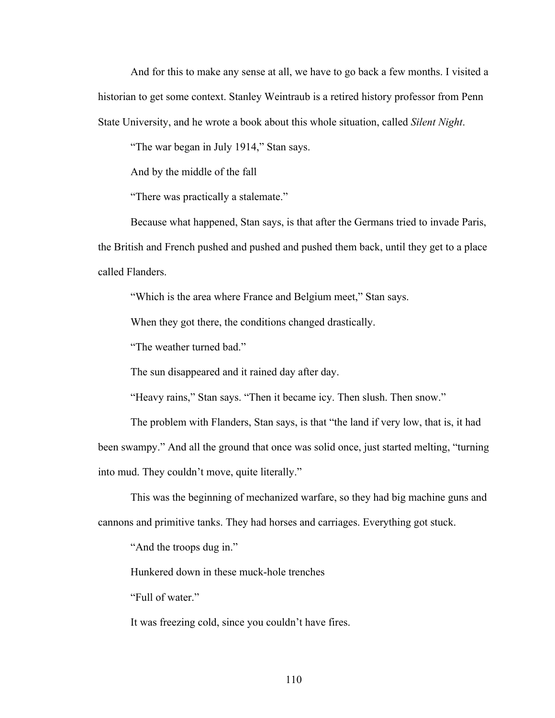And for this to make any sense at all, we have to go back a few months. I visited a historian to get some context. Stanley Weintraub is a retired history professor from Penn State University, and he wrote a book about this whole situation, called *Silent Night*.

"The war began in July 1914," Stan says.

And by the middle of the fall

"There was practically a stalemate."

Because what happened, Stan says, is that after the Germans tried to invade Paris, the British and French pushed and pushed and pushed them back, until they get to a place called Flanders.

"Which is the area where France and Belgium meet," Stan says.

When they got there, the conditions changed drastically.

"The weather turned bad."

The sun disappeared and it rained day after day.

"Heavy rains," Stan says. "Then it became icy. Then slush. Then snow."

The problem with Flanders, Stan says, is that "the land if very low, that is, it had been swampy." And all the ground that once was solid once, just started melting, "turning into mud. They couldn't move, quite literally."

This was the beginning of mechanized warfare, so they had big machine guns and cannons and primitive tanks. They had horses and carriages. Everything got stuck.

"And the troops dug in."

Hunkered down in these muck-hole trenches

"Full of water."

It was freezing cold, since you couldn't have fires.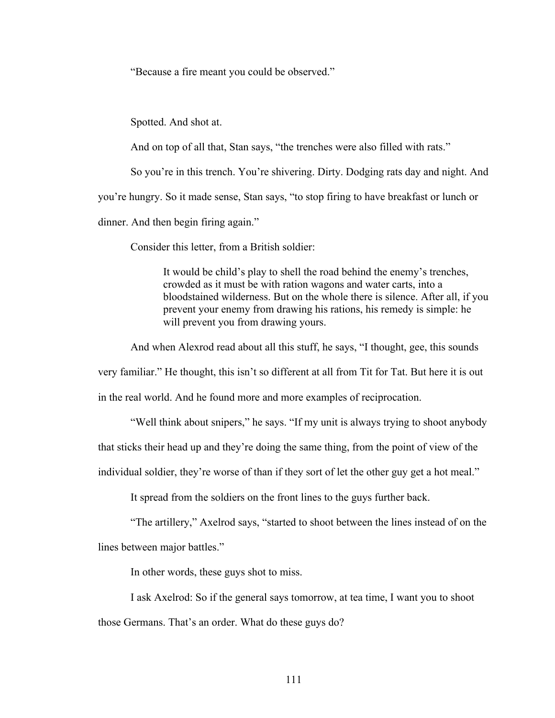"Because a fire meant you could be observed."

Spotted. And shot at.

And on top of all that, Stan says, "the trenches were also filled with rats."

So you're in this trench. You're shivering. Dirty. Dodging rats day and night. And

you're hungry. So it made sense, Stan says, "to stop firing to have breakfast or lunch or

dinner. And then begin firing again."

Consider this letter, from a British soldier:

It would be child's play to shell the road behind the enemy's trenches, crowded as it must be with ration wagons and water carts, into a bloodstained wilderness. But on the whole there is silence. After all, if you prevent your enemy from drawing his rations, his remedy is simple: he will prevent you from drawing yours.

And when Alexrod read about all this stuff, he says, "I thought, gee, this sounds

very familiar." He thought, this isn't so different at all from Tit for Tat. But here it is out

in the real world. And he found more and more examples of reciprocation.

"Well think about snipers," he says. "If my unit is always trying to shoot anybody

that sticks their head up and they're doing the same thing, from the point of view of the

individual soldier, they're worse of than if they sort of let the other guy get a hot meal."

It spread from the soldiers on the front lines to the guys further back.

"The artillery," Axelrod says, "started to shoot between the lines instead of on the

lines between major battles."

In other words, these guys shot to miss.

I ask Axelrod: So if the general says tomorrow, at tea time, I want you to shoot those Germans. That's an order. What do these guys do?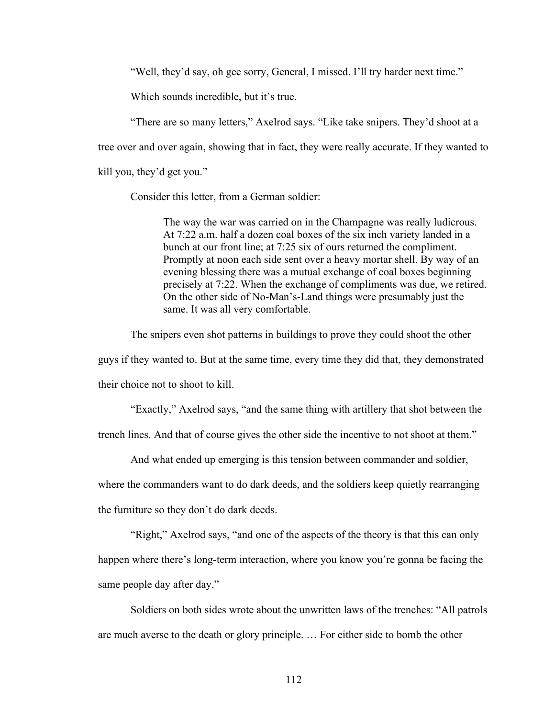"Well, they'd say, oh gee sorry, General, I missed. I'll try harder next time."

Which sounds incredible, but it's true.

"There are so many letters," Axelrod says. "Like take snipers. They'd shoot at a tree over and over again, showing that in fact, they were really accurate. If they wanted to kill you, they'd get you."

Consider this letter, from a German soldier:

The way the war was carried on in the Champagne was really ludicrous. At 7:22 a.m. half a dozen coal boxes of the six inch variety landed in a bunch at our front line; at 7:25 six of ours returned the compliment. Promptly at noon each side sent over a heavy mortar shell. By way of an evening blessing there was a mutual exchange of coal boxes beginning precisely at 7:22. When the exchange of compliments was due, we retired. On the other side of No-Man's-Land things were presumably just the same. It was all very comfortable.

The snipers even shot patterns in buildings to prove they could shoot the other guys if they wanted to. But at the same time, every time they did that, they demonstrated their choice not to shoot to kill.

"Exactly," Axelrod says, "and the same thing with artillery that shot between the

trench lines. And that of course gives the other side the incentive to not shoot at them."

And what ended up emerging is this tension between commander and soldier,

where the commanders want to do dark deeds, and the soldiers keep quietly rearranging

the furniture so they don't do dark deeds.

"Right," Axelrod says, "and one of the aspects of the theory is that this can only

happen where there's long-term interaction, where you know you're gonna be facing the

same people day after day."

Soldiers on both sides wrote about the unwritten laws of the trenches: "All patrols are much averse to the death or glory principle. … For either side to bomb the other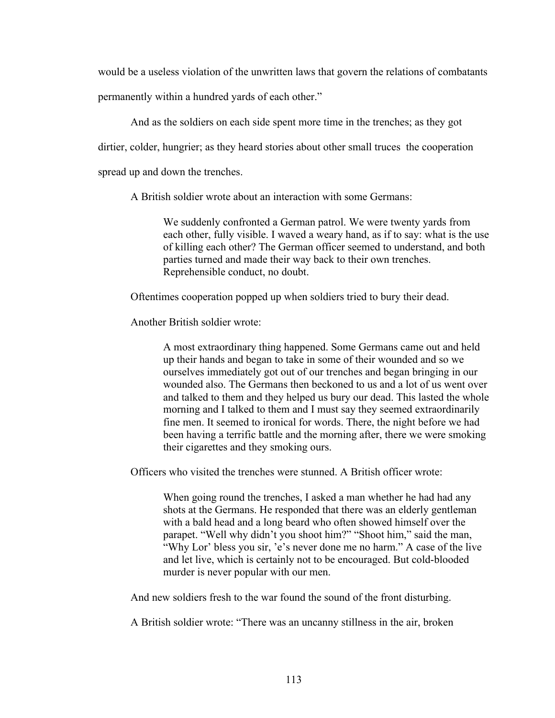would be a useless violation of the unwritten laws that govern the relations of combatants

permanently within a hundred yards of each other."

And as the soldiers on each side spent more time in the trenches; as they got

dirtier, colder, hungrier; as they heard stories about other small truces the cooperation

spread up and down the trenches.

A British soldier wrote about an interaction with some Germans:

We suddenly confronted a German patrol. We were twenty yards from each other, fully visible. I waved a weary hand, as if to say: what is the use of killing each other? The German officer seemed to understand, and both parties turned and made their way back to their own trenches. Reprehensible conduct, no doubt.

Oftentimes cooperation popped up when soldiers tried to bury their dead.

Another British soldier wrote:

A most extraordinary thing happened. Some Germans came out and held up their hands and began to take in some of their wounded and so we ourselves immediately got out of our trenches and began bringing in our wounded also. The Germans then beckoned to us and a lot of us went over and talked to them and they helped us bury our dead. This lasted the whole morning and I talked to them and I must say they seemed extraordinarily fine men. It seemed to ironical for words. There, the night before we had been having a terrific battle and the morning after, there we were smoking their cigarettes and they smoking ours.

Officers who visited the trenches were stunned. A British officer wrote:

When going round the trenches, I asked a man whether he had had any shots at the Germans. He responded that there was an elderly gentleman with a bald head and a long beard who often showed himself over the parapet. "Well why didn't you shoot him?" "Shoot him," said the man, "Why Lor' bless you sir, 'e's never done me no harm." A case of the live and let live, which is certainly not to be encouraged. But cold-blooded murder is never popular with our men.

And new soldiers fresh to the war found the sound of the front disturbing.

A British soldier wrote: "There was an uncanny stillness in the air, broken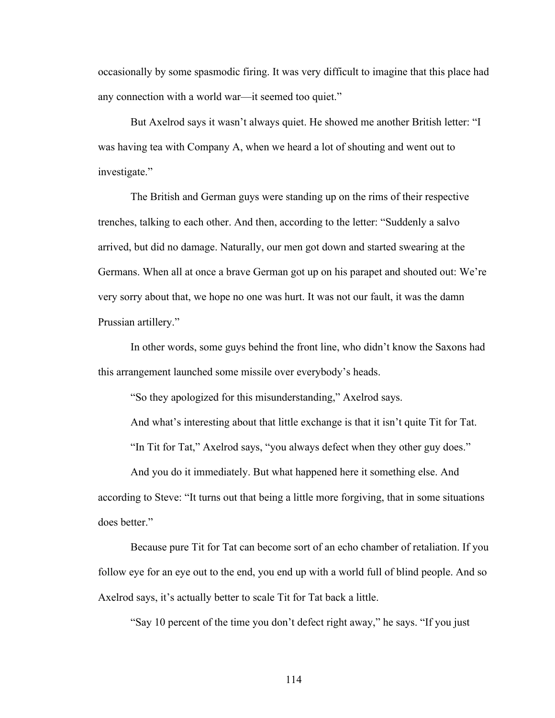occasionally by some spasmodic firing. It was very difficult to imagine that this place had any connection with a world war—it seemed too quiet."

But Axelrod says it wasn't always quiet. He showed me another British letter: "I was having tea with Company A, when we heard a lot of shouting and went out to investigate."

The British and German guys were standing up on the rims of their respective trenches, talking to each other. And then, according to the letter: "Suddenly a salvo arrived, but did no damage. Naturally, our men got down and started swearing at the Germans. When all at once a brave German got up on his parapet and shouted out: We're very sorry about that, we hope no one was hurt. It was not our fault, it was the damn Prussian artillery."

In other words, some guys behind the front line, who didn't know the Saxons had this arrangement launched some missile over everybody's heads.

"So they apologized for this misunderstanding," Axelrod says.

And what's interesting about that little exchange is that it isn't quite Tit for Tat.

"In Tit for Tat," Axelrod says, "you always defect when they other guy does."

And you do it immediately. But what happened here it something else. And according to Steve: "It turns out that being a little more forgiving, that in some situations does better."

Because pure Tit for Tat can become sort of an echo chamber of retaliation. If you follow eye for an eye out to the end, you end up with a world full of blind people. And so Axelrod says, it's actually better to scale Tit for Tat back a little.

"Say 10 percent of the time you don't defect right away," he says. "If you just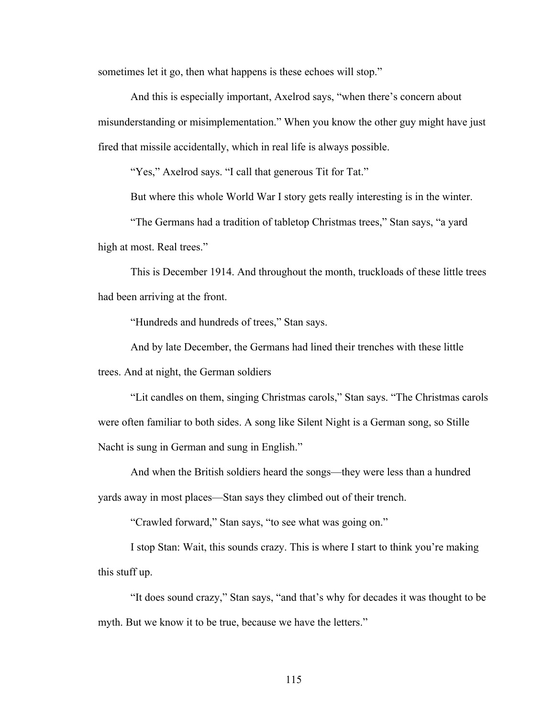sometimes let it go, then what happens is these echoes will stop."

And this is especially important, Axelrod says, "when there's concern about misunderstanding or misimplementation." When you know the other guy might have just fired that missile accidentally, which in real life is always possible.

"Yes," Axelrod says. "I call that generous Tit for Tat."

But where this whole World War I story gets really interesting is in the winter.

"The Germans had a tradition of tabletop Christmas trees," Stan says, "a yard high at most. Real trees."

This is December 1914. And throughout the month, truckloads of these little trees had been arriving at the front.

"Hundreds and hundreds of trees," Stan says.

And by late December, the Germans had lined their trenches with these little trees. And at night, the German soldiers

"Lit candles on them, singing Christmas carols," Stan says. "The Christmas carols were often familiar to both sides. A song like Silent Night is a German song, so Stille Nacht is sung in German and sung in English."

And when the British soldiers heard the songs—they were less than a hundred yards away in most places—Stan says they climbed out of their trench.

"Crawled forward," Stan says, "to see what was going on."

I stop Stan: Wait, this sounds crazy. This is where I start to think you're making this stuff up.

"It does sound crazy," Stan says, "and that's why for decades it was thought to be myth. But we know it to be true, because we have the letters."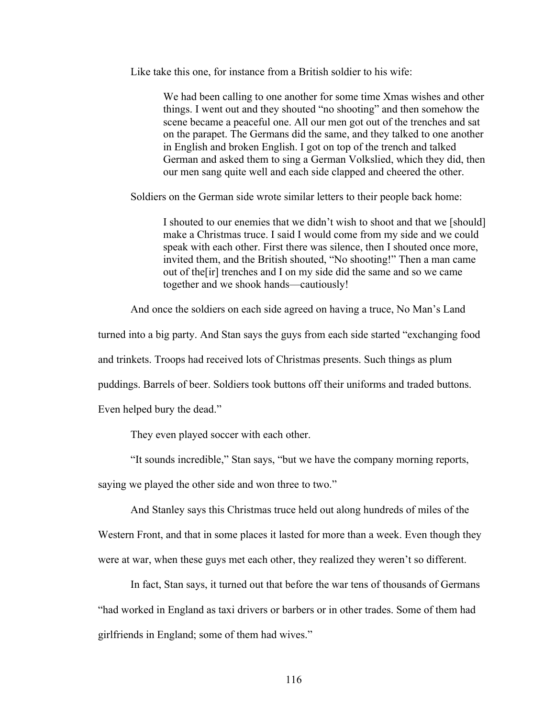Like take this one, for instance from a British soldier to his wife:

We had been calling to one another for some time Xmas wishes and other things. I went out and they shouted "no shooting" and then somehow the scene became a peaceful one. All our men got out of the trenches and sat on the parapet. The Germans did the same, and they talked to one another in English and broken English. I got on top of the trench and talked German and asked them to sing a German Volkslied, which they did, then our men sang quite well and each side clapped and cheered the other.

Soldiers on the German side wrote similar letters to their people back home:

I shouted to our enemies that we didn't wish to shoot and that we [should] make a Christmas truce. I said I would come from my side and we could speak with each other. First there was silence, then I shouted once more, invited them, and the British shouted, "No shooting!" Then a man came out of the[ir] trenches and I on my side did the same and so we came together and we shook hands—cautiously!

And once the soldiers on each side agreed on having a truce, No Man's Land

turned into a big party. And Stan says the guys from each side started "exchanging food

and trinkets. Troops had received lots of Christmas presents. Such things as plum

puddings. Barrels of beer. Soldiers took buttons off their uniforms and traded buttons.

Even helped bury the dead."

They even played soccer with each other.

"It sounds incredible," Stan says, "but we have the company morning reports,

saying we played the other side and won three to two."

And Stanley says this Christmas truce held out along hundreds of miles of the

Western Front, and that in some places it lasted for more than a week. Even though they were at war, when these guys met each other, they realized they weren't so different.

In fact, Stan says, it turned out that before the war tens of thousands of Germans "had worked in England as taxi drivers or barbers or in other trades. Some of them had girlfriends in England; some of them had wives."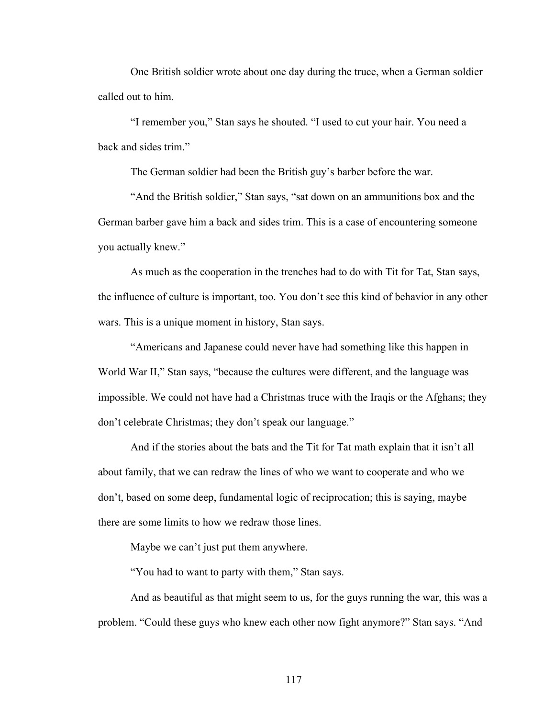One British soldier wrote about one day during the truce, when a German soldier called out to him.

"I remember you," Stan says he shouted. "I used to cut your hair. You need a back and sides trim."

The German soldier had been the British guy's barber before the war.

"And the British soldier," Stan says, "sat down on an ammunitions box and the German barber gave him a back and sides trim. This is a case of encountering someone you actually knew."

As much as the cooperation in the trenches had to do with Tit for Tat, Stan says, the influence of culture is important, too. You don't see this kind of behavior in any other wars. This is a unique moment in history, Stan says.

"Americans and Japanese could never have had something like this happen in World War II," Stan says, "because the cultures were different, and the language was impossible. We could not have had a Christmas truce with the Iraqis or the Afghans; they don't celebrate Christmas; they don't speak our language."

And if the stories about the bats and the Tit for Tat math explain that it isn't all about family, that we can redraw the lines of who we want to cooperate and who we don't, based on some deep, fundamental logic of reciprocation; this is saying, maybe there are some limits to how we redraw those lines.

Maybe we can't just put them anywhere.

"You had to want to party with them," Stan says.

And as beautiful as that might seem to us, for the guys running the war, this was a problem. "Could these guys who knew each other now fight anymore?" Stan says. "And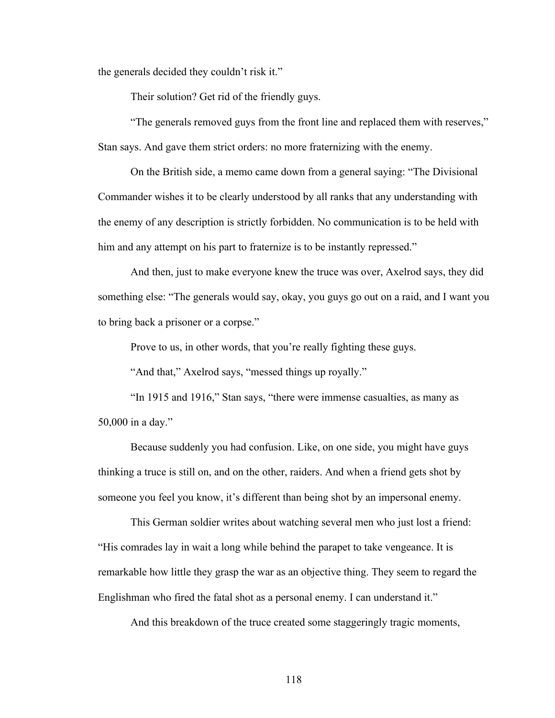the generals decided they couldn't risk it."

Their solution? Get rid of the friendly guys.

"The generals removed guys from the front line and replaced them with reserves," Stan says. And gave them strict orders: no more fraternizing with the enemy.

On the British side, a memo came down from a general saying: "The Divisional Commander wishes it to be clearly understood by all ranks that any understanding with the enemy of any description is strictly forbidden. No communication is to be held with him and any attempt on his part to fraternize is to be instantly repressed."

And then, just to make everyone knew the truce was over, Axelrod says, they did something else: "The generals would say, okay, you guys go out on a raid, and I want you to bring back a prisoner or a corpse."

Prove to us, in other words, that you're really fighting these guys.

"And that," Axelrod says, "messed things up royally."

"In 1915 and 1916," Stan says, "there were immense casualties, as many as 50,000 in a day."

Because suddenly you had confusion. Like, on one side, you might have guys thinking a truce is still on, and on the other, raiders. And when a friend gets shot by someone you feel you know, it's different than being shot by an impersonal enemy.

This German soldier writes about watching several men who just lost a friend: "His comrades lay in wait a long while behind the parapet to take vengeance. It is remarkable how little they grasp the war as an objective thing. They seem to regard the Englishman who fired the fatal shot as a personal enemy. I can understand it."

And this breakdown of the truce created some staggeringly tragic moments,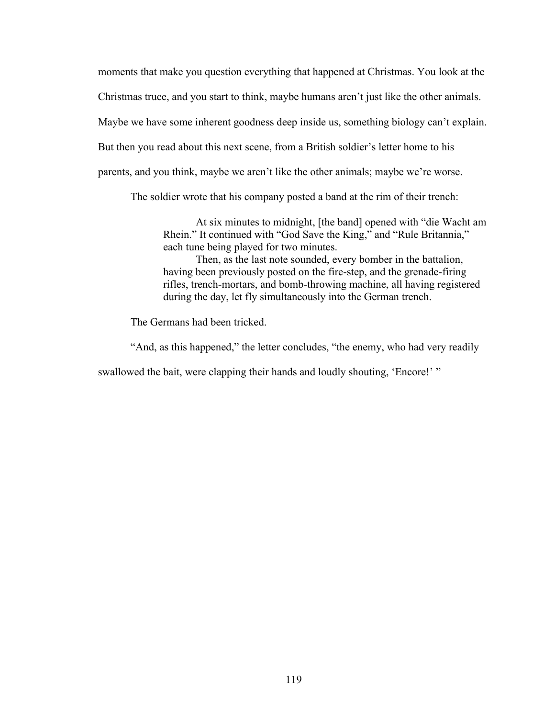moments that make you question everything that happened at Christmas. You look at the Christmas truce, and you start to think, maybe humans aren't just like the other animals. Maybe we have some inherent goodness deep inside us, something biology can't explain. But then you read about this next scene, from a British soldier's letter home to his parents, and you think, maybe we aren't like the other animals; maybe we're worse.

The soldier wrote that his company posted a band at the rim of their trench:

At six minutes to midnight, [the band] opened with "die Wacht am Rhein." It continued with "God Save the King," and "Rule Britannia," each tune being played for two minutes.

Then, as the last note sounded, every bomber in the battalion, having been previously posted on the fire-step, and the grenade-firing rifles, trench-mortars, and bomb-throwing machine, all having registered during the day, let fly simultaneously into the German trench.

The Germans had been tricked.

"And, as this happened," the letter concludes, "the enemy, who had very readily

swallowed the bait, were clapping their hands and loudly shouting, 'Encore!' "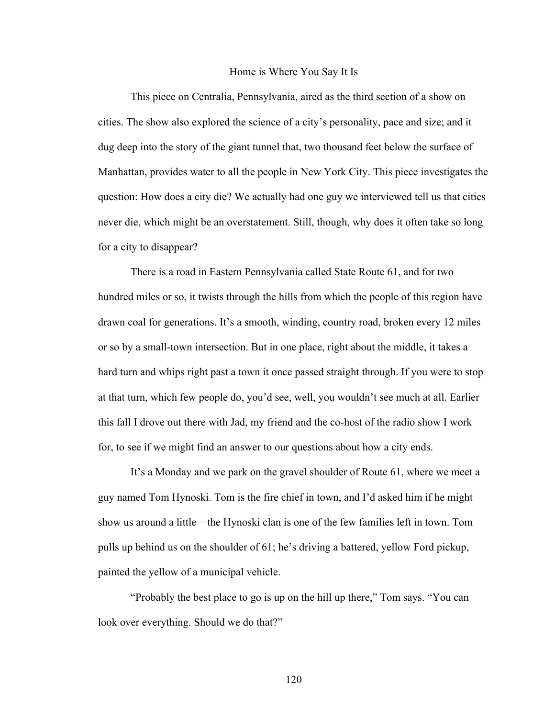## Home is Where You Say It Is

This piece on Centralia, Pennsylvania, aired as the third section of a show on cities. The show also explored the science of a city's personality, pace and size; and it dug deep into the story of the giant tunnel that, two thousand feet below the surface of Manhattan, provides water to all the people in New York City. This piece investigates the question: How does a city die? We actually had one guy we interviewed tell us that cities never die, which might be an overstatement. Still, though, why does it often take so long for a city to disappear?

There is a road in Eastern Pennsylvania called State Route 61, and for two hundred miles or so, it twists through the hills from which the people of this region have drawn coal for generations. It's a smooth, winding, country road, broken every 12 miles or so by a small-town intersection. But in one place, right about the middle, it takes a hard turn and whips right past a town it once passed straight through. If you were to stop at that turn, which few people do, you'd see, well, you wouldn't see much at all. Earlier this fall I drove out there with Jad, my friend and the co-host of the radio show I work for, to see if we might find an answer to our questions about how a city ends.

It's a Monday and we park on the gravel shoulder of Route 61, where we meet a guy named Tom Hynoski. Tom is the fire chief in town, and I'd asked him if he might show us around a little—the Hynoski clan is one of the few families left in town. Tom pulls up behind us on the shoulder of 61; he's driving a battered, yellow Ford pickup, painted the yellow of a municipal vehicle.

"Probably the best place to go is up on the hill up there," Tom says. "You can look over everything. Should we do that?"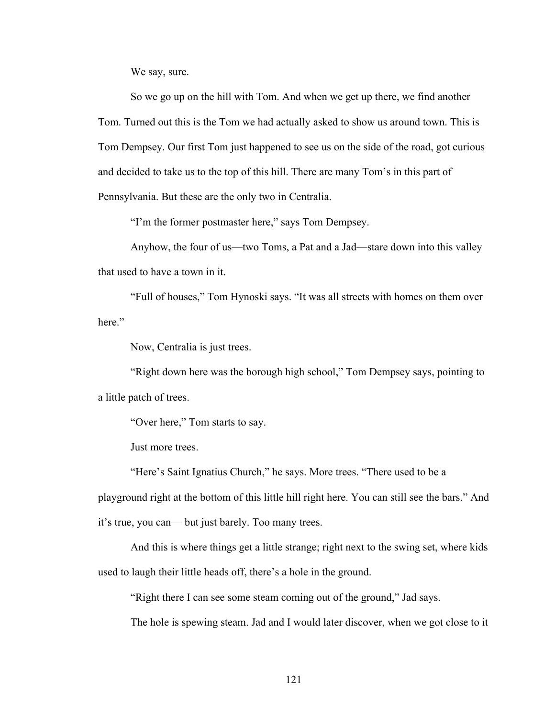We say, sure.

So we go up on the hill with Tom. And when we get up there, we find another Tom. Turned out this is the Tom we had actually asked to show us around town. This is Tom Dempsey. Our first Tom just happened to see us on the side of the road, got curious and decided to take us to the top of this hill. There are many Tom's in this part of Pennsylvania. But these are the only two in Centralia.

"I'm the former postmaster here," says Tom Dempsey.

Anyhow, the four of us—two Toms, a Pat and a Jad—stare down into this valley that used to have a town in it.

"Full of houses," Tom Hynoski says. "It was all streets with homes on them over here."

Now, Centralia is just trees.

"Right down here was the borough high school," Tom Dempsey says, pointing to a little patch of trees.

"Over here," Tom starts to say.

Just more trees.

"Here's Saint Ignatius Church," he says. More trees. "There used to be a playground right at the bottom of this little hill right here. You can still see the bars." And it's true, you can— but just barely. Too many trees.

And this is where things get a little strange; right next to the swing set, where kids used to laugh their little heads off, there's a hole in the ground.

"Right there I can see some steam coming out of the ground," Jad says.

The hole is spewing steam. Jad and I would later discover, when we got close to it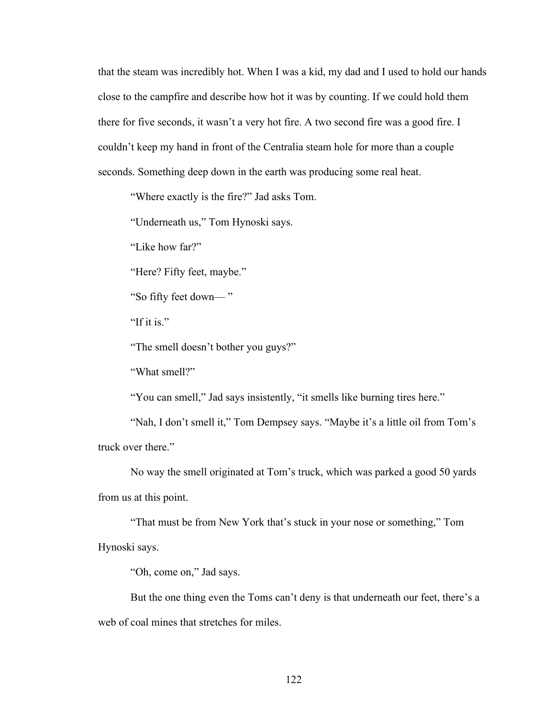that the steam was incredibly hot. When I was a kid, my dad and I used to hold our hands close to the campfire and describe how hot it was by counting. If we could hold them there for five seconds, it wasn't a very hot fire. A two second fire was a good fire. I couldn't keep my hand in front of the Centralia steam hole for more than a couple seconds. Something deep down in the earth was producing some real heat.

"Where exactly is the fire?" Jad asks Tom.

"Underneath us," Tom Hynoski says.

"Like how far?"

"Here? Fifty feet, maybe."

"So fifty feet down— "

"If it is."

"The smell doesn't bother you guys?"

"What smell?"

"You can smell," Jad says insistently, "it smells like burning tires here."

"Nah, I don't smell it," Tom Dempsey says. "Maybe it's a little oil from Tom's truck over there."

No way the smell originated at Tom's truck, which was parked a good 50 yards from us at this point.

"That must be from New York that's stuck in your nose or something," Tom Hynoski says.

"Oh, come on," Jad says.

But the one thing even the Toms can't deny is that underneath our feet, there's a web of coal mines that stretches for miles.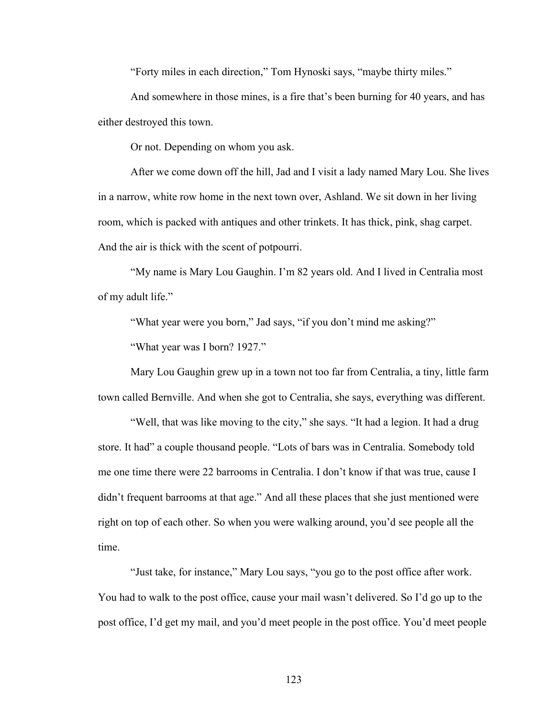"Forty miles in each direction," Tom Hynoski says, "maybe thirty miles."

And somewhere in those mines, is a fire that's been burning for 40 years, and has either destroyed this town.

Or not. Depending on whom you ask.

After we come down off the hill, Jad and I visit a lady named Mary Lou. She lives in a narrow, white row home in the next town over, Ashland. We sit down in her living room, which is packed with antiques and other trinkets. It has thick, pink, shag carpet. And the air is thick with the scent of potpourri.

"My name is Mary Lou Gaughin. I'm 82 years old. And I lived in Centralia most of my adult life."

"What year were you born," Jad says, "if you don't mind me asking?"

"What year was I born? 1927."

Mary Lou Gaughin grew up in a town not too far from Centralia, a tiny, little farm town called Bernville. And when she got to Centralia, she says, everything was different.

"Well, that was like moving to the city," she says. "It had a legion. It had a drug store. It had" a couple thousand people. "Lots of bars was in Centralia. Somebody told me one time there were 22 barrooms in Centralia. I don't know if that was true, cause I didn't frequent barrooms at that age." And all these places that she just mentioned were right on top of each other. So when you were walking around, you'd see people all the time.

"Just take, for instance," Mary Lou says, "you go to the post office after work. You had to walk to the post office, cause your mail wasn't delivered. So I'd go up to the post office, I'd get my mail, and you'd meet people in the post office. You'd meet people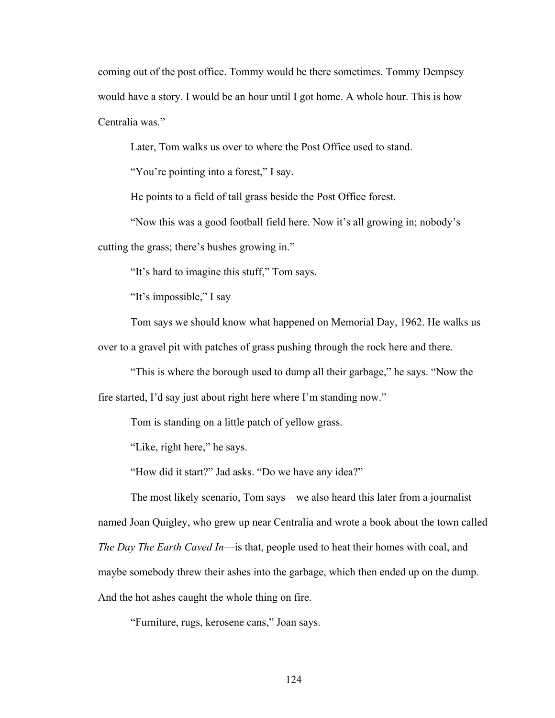coming out of the post office. Tommy would be there sometimes. Tommy Dempsey would have a story. I would be an hour until I got home. A whole hour. This is how Centralia was."

Later, Tom walks us over to where the Post Office used to stand.

"You're pointing into a forest," I say.

He points to a field of tall grass beside the Post Office forest.

"Now this was a good football field here. Now it's all growing in; nobody's cutting the grass; there's bushes growing in."

"It's hard to imagine this stuff," Tom says.

"It's impossible," I say

Tom says we should know what happened on Memorial Day, 1962. He walks us over to a gravel pit with patches of grass pushing through the rock here and there.

"This is where the borough used to dump all their garbage," he says. "Now the fire started, I'd say just about right here where I'm standing now."

Tom is standing on a little patch of yellow grass.

"Like, right here," he says.

"How did it start?" Jad asks. "Do we have any idea?"

The most likely scenario, Tom says—we also heard this later from a journalist named Joan Quigley, who grew up near Centralia and wrote a book about the town called *The Day The Earth Caved In*—is that, people used to heat their homes with coal, and maybe somebody threw their ashes into the garbage, which then ended up on the dump. And the hot ashes caught the whole thing on fire.

"Furniture, rugs, kerosene cans," Joan says.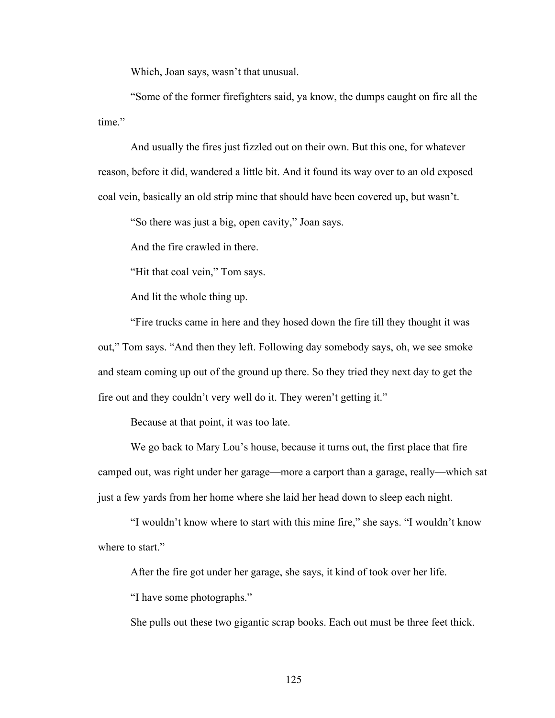Which, Joan says, wasn't that unusual.

"Some of the former firefighters said, ya know, the dumps caught on fire all the time."

And usually the fires just fizzled out on their own. But this one, for whatever reason, before it did, wandered a little bit. And it found its way over to an old exposed coal vein, basically an old strip mine that should have been covered up, but wasn't.

"So there was just a big, open cavity," Joan says.

And the fire crawled in there.

"Hit that coal vein," Tom says.

And lit the whole thing up.

"Fire trucks came in here and they hosed down the fire till they thought it was out," Tom says. "And then they left. Following day somebody says, oh, we see smoke and steam coming up out of the ground up there. So they tried they next day to get the fire out and they couldn't very well do it. They weren't getting it."

Because at that point, it was too late.

We go back to Mary Lou's house, because it turns out, the first place that fire camped out, was right under her garage—more a carport than a garage, really—which sat just a few yards from her home where she laid her head down to sleep each night.

"I wouldn't know where to start with this mine fire," she says. "I wouldn't know where to start."

After the fire got under her garage, she says, it kind of took over her life.

"I have some photographs."

She pulls out these two gigantic scrap books. Each out must be three feet thick.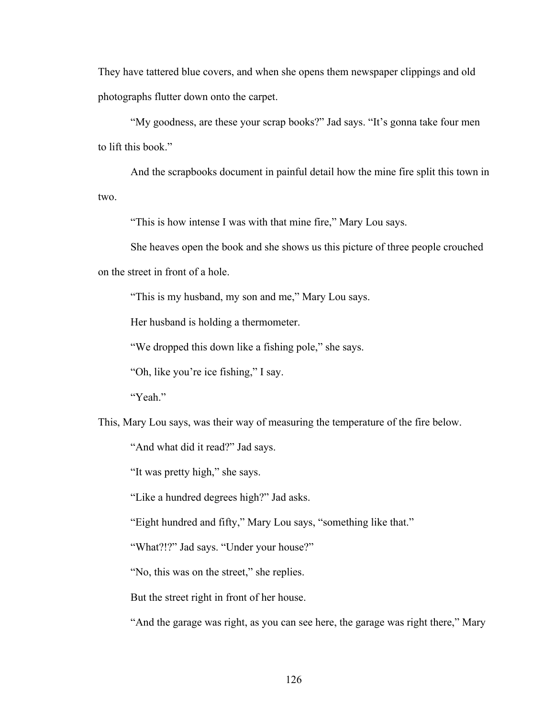They have tattered blue covers, and when she opens them newspaper clippings and old photographs flutter down onto the carpet.

"My goodness, are these your scrap books?" Jad says. "It's gonna take four men to lift this book."

And the scrapbooks document in painful detail how the mine fire split this town in two.

"This is how intense I was with that mine fire," Mary Lou says.

She heaves open the book and she shows us this picture of three people crouched on the street in front of a hole.

"This is my husband, my son and me," Mary Lou says.

Her husband is holding a thermometer.

"We dropped this down like a fishing pole," she says.

"Oh, like you're ice fishing," I say.

"Yeah."

This, Mary Lou says, was their way of measuring the temperature of the fire below.

"And what did it read?" Jad says.

"It was pretty high," she says.

"Like a hundred degrees high?" Jad asks.

"Eight hundred and fifty," Mary Lou says, "something like that."

"What?!?" Jad says. "Under your house?"

"No, this was on the street," she replies.

But the street right in front of her house.

"And the garage was right, as you can see here, the garage was right there," Mary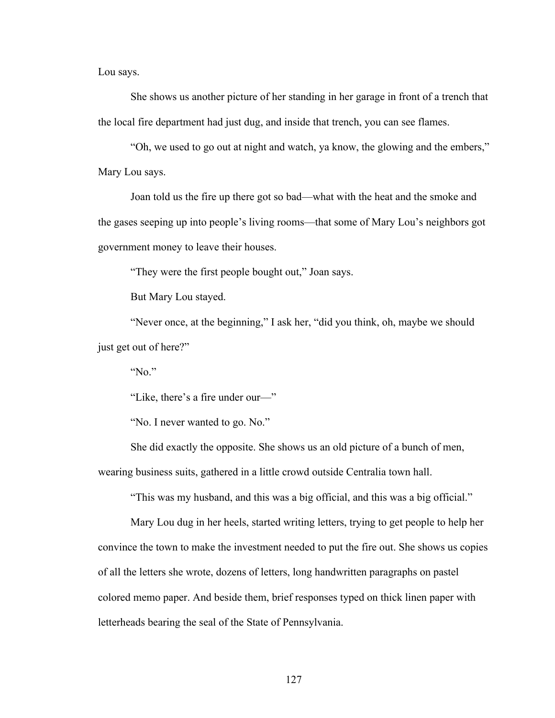Lou says.

She shows us another picture of her standing in her garage in front of a trench that the local fire department had just dug, and inside that trench, you can see flames.

"Oh, we used to go out at night and watch, ya know, the glowing and the embers," Mary Lou says.

Joan told us the fire up there got so bad—what with the heat and the smoke and the gases seeping up into people's living rooms—that some of Mary Lou's neighbors got government money to leave their houses.

"They were the first people bought out," Joan says.

But Mary Lou stayed.

"Never once, at the beginning," I ask her, "did you think, oh, maybe we should just get out of here?"

" $No$ "

"Like, there's a fire under our—"

"No. I never wanted to go. No."

She did exactly the opposite. She shows us an old picture of a bunch of men, wearing business suits, gathered in a little crowd outside Centralia town hall.

"This was my husband, and this was a big official, and this was a big official."

Mary Lou dug in her heels, started writing letters, trying to get people to help her convince the town to make the investment needed to put the fire out. She shows us copies of all the letters she wrote, dozens of letters, long handwritten paragraphs on pastel colored memo paper. And beside them, brief responses typed on thick linen paper with letterheads bearing the seal of the State of Pennsylvania.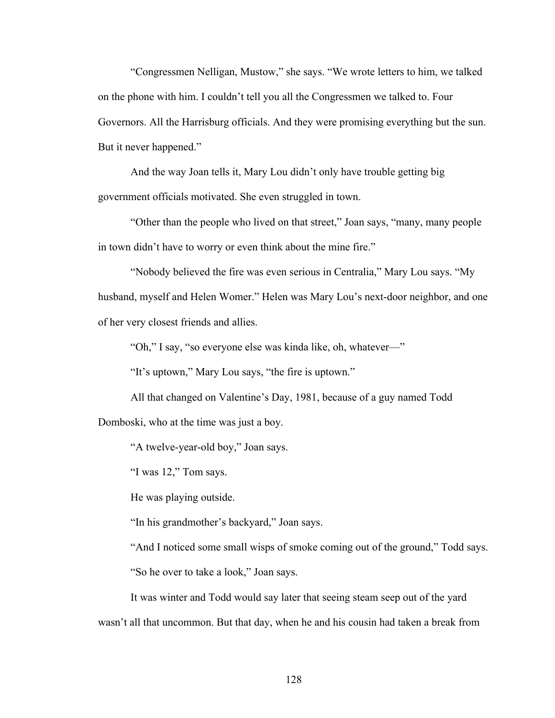"Congressmen Nelligan, Mustow," she says. "We wrote letters to him, we talked on the phone with him. I couldn't tell you all the Congressmen we talked to. Four Governors. All the Harrisburg officials. And they were promising everything but the sun. But it never happened."

And the way Joan tells it, Mary Lou didn't only have trouble getting big government officials motivated. She even struggled in town.

"Other than the people who lived on that street," Joan says, "many, many people in town didn't have to worry or even think about the mine fire."

"Nobody believed the fire was even serious in Centralia," Mary Lou says. "My husband, myself and Helen Womer." Helen was Mary Lou's next-door neighbor, and one of her very closest friends and allies.

"Oh," I say, "so everyone else was kinda like, oh, whatever—"

"It's uptown," Mary Lou says, "the fire is uptown."

All that changed on Valentine's Day, 1981, because of a guy named Todd Domboski, who at the time was just a boy.

"A twelve-year-old boy," Joan says.

"I was 12," Tom says.

He was playing outside.

"In his grandmother's backyard," Joan says.

"And I noticed some small wisps of smoke coming out of the ground," Todd says. "So he over to take a look," Joan says.

It was winter and Todd would say later that seeing steam seep out of the yard wasn't all that uncommon. But that day, when he and his cousin had taken a break from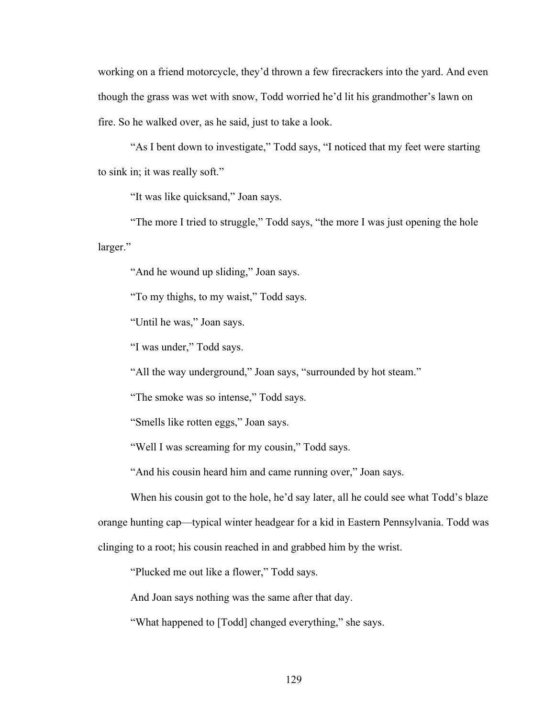working on a friend motorcycle, they'd thrown a few firecrackers into the yard. And even though the grass was wet with snow, Todd worried he'd lit his grandmother's lawn on fire. So he walked over, as he said, just to take a look.

"As I bent down to investigate," Todd says, "I noticed that my feet were starting to sink in; it was really soft."

"It was like quicksand," Joan says.

"The more I tried to struggle," Todd says, "the more I was just opening the hole larger."

"And he wound up sliding," Joan says.

"To my thighs, to my waist," Todd says.

"Until he was," Joan says.

"I was under," Todd says.

"All the way underground," Joan says, "surrounded by hot steam."

"The smoke was so intense," Todd says.

"Smells like rotten eggs," Joan says.

"Well I was screaming for my cousin," Todd says.

"And his cousin heard him and came running over," Joan says.

When his cousin got to the hole, he'd say later, all he could see what Todd's blaze orange hunting cap—typical winter headgear for a kid in Eastern Pennsylvania. Todd was clinging to a root; his cousin reached in and grabbed him by the wrist.

"Plucked me out like a flower," Todd says.

And Joan says nothing was the same after that day.

"What happened to [Todd] changed everything," she says.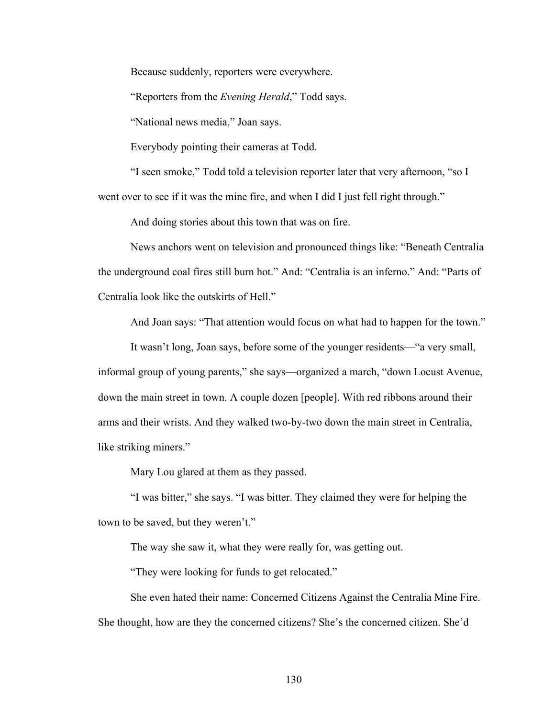Because suddenly, reporters were everywhere.

"Reporters from the *Evening Herald*," Todd says.

"National news media," Joan says.

Everybody pointing their cameras at Todd.

"I seen smoke," Todd told a television reporter later that very afternoon, "so I went over to see if it was the mine fire, and when I did I just fell right through."

And doing stories about this town that was on fire.

News anchors went on television and pronounced things like: "Beneath Centralia the underground coal fires still burn hot." And: "Centralia is an inferno." And: "Parts of Centralia look like the outskirts of Hell."

And Joan says: "That attention would focus on what had to happen for the town."

It wasn't long, Joan says, before some of the younger residents—"a very small, informal group of young parents," she says—organized a march, "down Locust Avenue, down the main street in town. A couple dozen [people]. With red ribbons around their arms and their wrists. And they walked two-by-two down the main street in Centralia, like striking miners."

Mary Lou glared at them as they passed.

"I was bitter," she says. "I was bitter. They claimed they were for helping the town to be saved, but they weren't."

The way she saw it, what they were really for, was getting out.

"They were looking for funds to get relocated."

She even hated their name: Concerned Citizens Against the Centralia Mine Fire. She thought, how are they the concerned citizens? She's the concerned citizen. She'd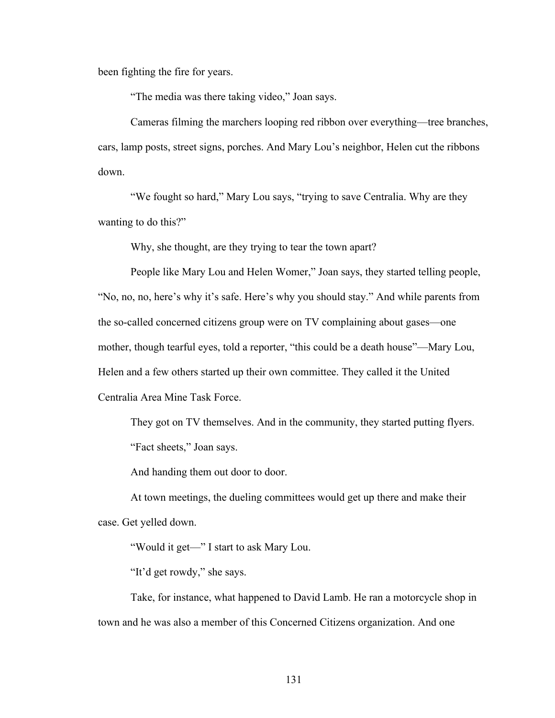been fighting the fire for years.

"The media was there taking video," Joan says.

Cameras filming the marchers looping red ribbon over everything—tree branches, cars, lamp posts, street signs, porches. And Mary Lou's neighbor, Helen cut the ribbons down.

"We fought so hard," Mary Lou says, "trying to save Centralia. Why are they wanting to do this?"

Why, she thought, are they trying to tear the town apart?

People like Mary Lou and Helen Womer," Joan says, they started telling people, "No, no, no, here's why it's safe. Here's why you should stay." And while parents from the so-called concerned citizens group were on TV complaining about gases—one mother, though tearful eyes, told a reporter, "this could be a death house"—Mary Lou, Helen and a few others started up their own committee. They called it the United Centralia Area Mine Task Force.

They got on TV themselves. And in the community, they started putting flyers. "Fact sheets," Joan says.

And handing them out door to door.

At town meetings, the dueling committees would get up there and make their case. Get yelled down.

"Would it get—" I start to ask Mary Lou.

"It'd get rowdy," she says.

Take, for instance, what happened to David Lamb. He ran a motorcycle shop in town and he was also a member of this Concerned Citizens organization. And one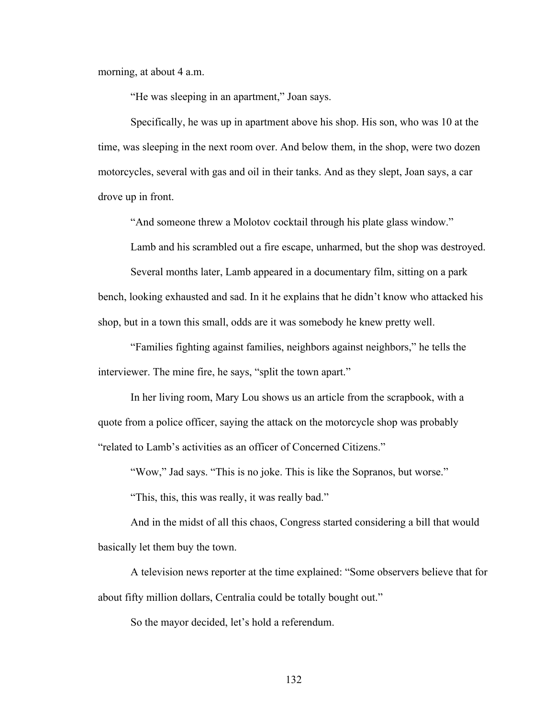morning, at about 4 a.m.

"He was sleeping in an apartment," Joan says.

Specifically, he was up in apartment above his shop. His son, who was 10 at the time, was sleeping in the next room over. And below them, in the shop, were two dozen motorcycles, several with gas and oil in their tanks. And as they slept, Joan says, a car drove up in front.

"And someone threw a Molotov cocktail through his plate glass window."

Lamb and his scrambled out a fire escape, unharmed, but the shop was destroyed.

Several months later, Lamb appeared in a documentary film, sitting on a park bench, looking exhausted and sad. In it he explains that he didn't know who attacked his shop, but in a town this small, odds are it was somebody he knew pretty well.

"Families fighting against families, neighbors against neighbors," he tells the interviewer. The mine fire, he says, "split the town apart."

In her living room, Mary Lou shows us an article from the scrapbook, with a quote from a police officer, saying the attack on the motorcycle shop was probably "related to Lamb's activities as an officer of Concerned Citizens."

"Wow," Jad says. "This is no joke. This is like the Sopranos, but worse."

"This, this, this was really, it was really bad."

And in the midst of all this chaos, Congress started considering a bill that would basically let them buy the town.

A television news reporter at the time explained: "Some observers believe that for about fifty million dollars, Centralia could be totally bought out."

So the mayor decided, let's hold a referendum.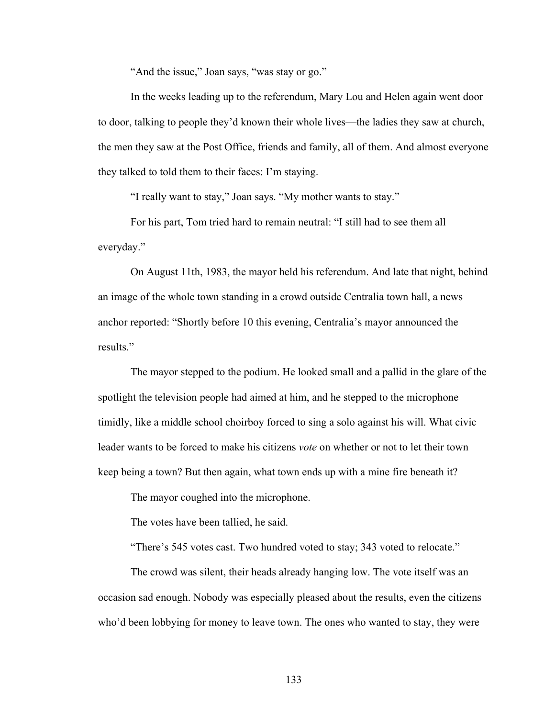"And the issue," Joan says, "was stay or go."

In the weeks leading up to the referendum, Mary Lou and Helen again went door to door, talking to people they'd known their whole lives—the ladies they saw at church, the men they saw at the Post Office, friends and family, all of them. And almost everyone they talked to told them to their faces: I'm staying.

"I really want to stay," Joan says. "My mother wants to stay."

For his part, Tom tried hard to remain neutral: "I still had to see them all everyday."

On August 11th, 1983, the mayor held his referendum. And late that night, behind an image of the whole town standing in a crowd outside Centralia town hall, a news anchor reported: "Shortly before 10 this evening, Centralia's mayor announced the results."

The mayor stepped to the podium. He looked small and a pallid in the glare of the spotlight the television people had aimed at him, and he stepped to the microphone timidly, like a middle school choirboy forced to sing a solo against his will. What civic leader wants to be forced to make his citizens *vote* on whether or not to let their town keep being a town? But then again, what town ends up with a mine fire beneath it?

The mayor coughed into the microphone.

The votes have been tallied, he said.

"There's 545 votes cast. Two hundred voted to stay; 343 voted to relocate."

The crowd was silent, their heads already hanging low. The vote itself was an occasion sad enough. Nobody was especially pleased about the results, even the citizens who'd been lobbying for money to leave town. The ones who wanted to stay, they were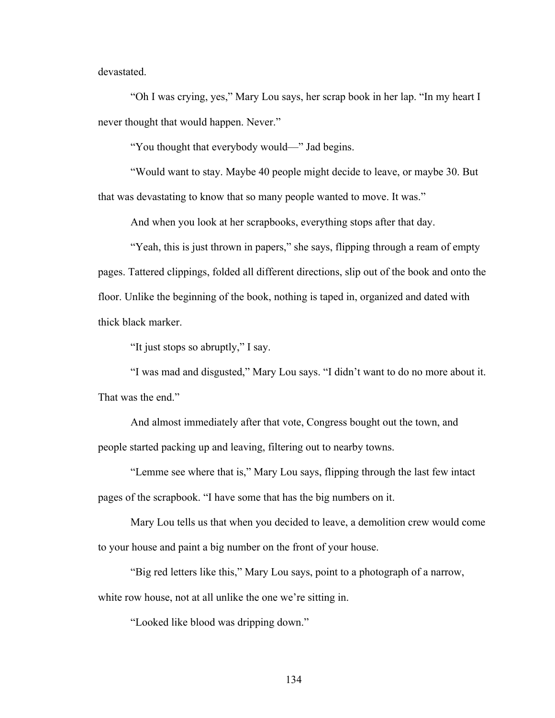devastated.

"Oh I was crying, yes," Mary Lou says, her scrap book in her lap. "In my heart I never thought that would happen. Never."

"You thought that everybody would—" Jad begins.

"Would want to stay. Maybe 40 people might decide to leave, or maybe 30. But that was devastating to know that so many people wanted to move. It was."

And when you look at her scrapbooks, everything stops after that day.

"Yeah, this is just thrown in papers," she says, flipping through a ream of empty pages. Tattered clippings, folded all different directions, slip out of the book and onto the floor. Unlike the beginning of the book, nothing is taped in, organized and dated with thick black marker.

"It just stops so abruptly," I say.

"I was mad and disgusted," Mary Lou says. "I didn't want to do no more about it. That was the end."

And almost immediately after that vote, Congress bought out the town, and people started packing up and leaving, filtering out to nearby towns.

"Lemme see where that is," Mary Lou says, flipping through the last few intact pages of the scrapbook. "I have some that has the big numbers on it.

Mary Lou tells us that when you decided to leave, a demolition crew would come to your house and paint a big number on the front of your house.

"Big red letters like this," Mary Lou says, point to a photograph of a narrow, white row house, not at all unlike the one we're sitting in.

"Looked like blood was dripping down."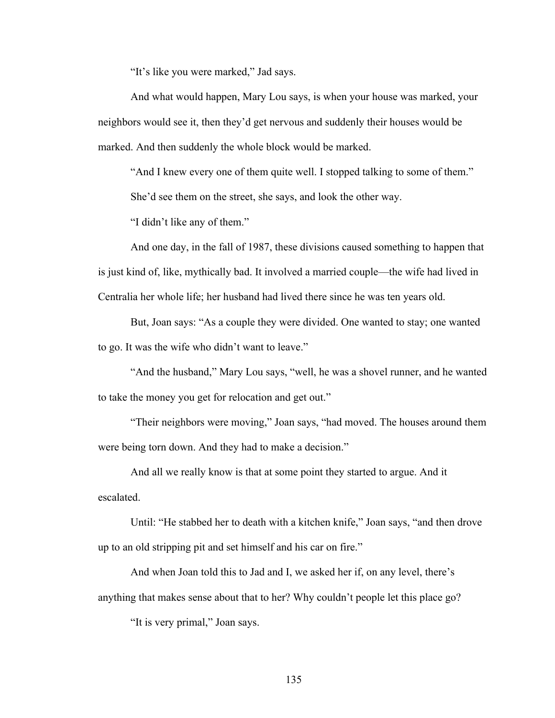"It's like you were marked," Jad says.

And what would happen, Mary Lou says, is when your house was marked, your neighbors would see it, then they'd get nervous and suddenly their houses would be marked. And then suddenly the whole block would be marked.

"And I knew every one of them quite well. I stopped talking to some of them."

She'd see them on the street, she says, and look the other way.

"I didn't like any of them."

And one day, in the fall of 1987, these divisions caused something to happen that is just kind of, like, mythically bad. It involved a married couple—the wife had lived in Centralia her whole life; her husband had lived there since he was ten years old.

But, Joan says: "As a couple they were divided. One wanted to stay; one wanted to go. It was the wife who didn't want to leave."

"And the husband," Mary Lou says, "well, he was a shovel runner, and he wanted to take the money you get for relocation and get out."

"Their neighbors were moving," Joan says, "had moved. The houses around them were being torn down. And they had to make a decision."

And all we really know is that at some point they started to argue. And it escalated.

Until: "He stabbed her to death with a kitchen knife," Joan says, "and then drove up to an old stripping pit and set himself and his car on fire."

And when Joan told this to Jad and I, we asked her if, on any level, there's anything that makes sense about that to her? Why couldn't people let this place go?

"It is very primal," Joan says.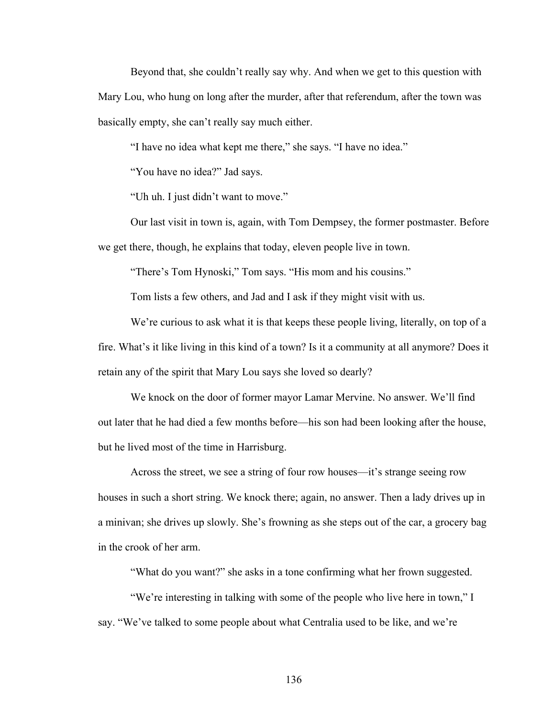Beyond that, she couldn't really say why. And when we get to this question with Mary Lou, who hung on long after the murder, after that referendum, after the town was basically empty, she can't really say much either.

"I have no idea what kept me there," she says. "I have no idea."

"You have no idea?" Jad says.

"Uh uh. I just didn't want to move."

Our last visit in town is, again, with Tom Dempsey, the former postmaster. Before we get there, though, he explains that today, eleven people live in town.

"There's Tom Hynoski," Tom says. "His mom and his cousins."

Tom lists a few others, and Jad and I ask if they might visit with us.

We're curious to ask what it is that keeps these people living, literally, on top of a fire. What's it like living in this kind of a town? Is it a community at all anymore? Does it retain any of the spirit that Mary Lou says she loved so dearly?

We knock on the door of former mayor Lamar Mervine. No answer. We'll find out later that he had died a few months before—his son had been looking after the house, but he lived most of the time in Harrisburg.

Across the street, we see a string of four row houses—it's strange seeing row houses in such a short string. We knock there; again, no answer. Then a lady drives up in a minivan; she drives up slowly. She's frowning as she steps out of the car, a grocery bag in the crook of her arm.

"What do you want?" she asks in a tone confirming what her frown suggested.

"We're interesting in talking with some of the people who live here in town," I say. "We've talked to some people about what Centralia used to be like, and we're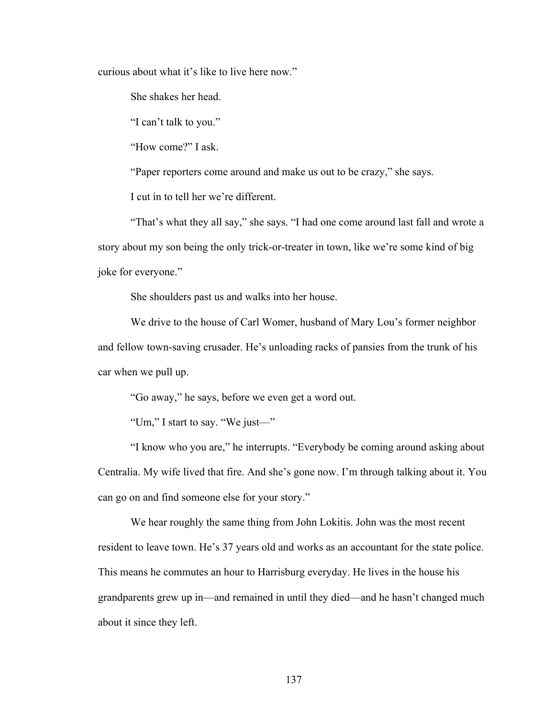curious about what it's like to live here now."

She shakes her head.

"I can't talk to you."

"How come?" I ask.

"Paper reporters come around and make us out to be crazy," she says.

I cut in to tell her we're different.

"That's what they all say," she says. "I had one come around last fall and wrote a story about my son being the only trick-or-treater in town, like we're some kind of big joke for everyone."

She shoulders past us and walks into her house.

We drive to the house of Carl Womer, husband of Mary Lou's former neighbor and fellow town-saving crusader. He's unloading racks of pansies from the trunk of his car when we pull up.

"Go away," he says, before we even get a word out.

"Um," I start to say. "We just—"

"I know who you are," he interrupts. "Everybody be coming around asking about Centralia. My wife lived that fire. And she's gone now. I'm through talking about it. You can go on and find someone else for your story."

We hear roughly the same thing from John Lokitis. John was the most recent resident to leave town. He's 37 years old and works as an accountant for the state police. This means he commutes an hour to Harrisburg everyday. He lives in the house his grandparents grew up in—and remained in until they died—and he hasn't changed much about it since they left.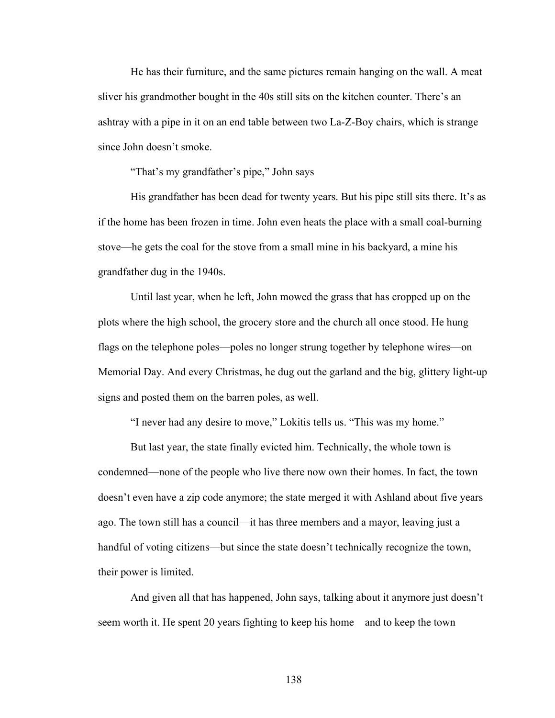He has their furniture, and the same pictures remain hanging on the wall. A meat sliver his grandmother bought in the 40s still sits on the kitchen counter. There's an ashtray with a pipe in it on an end table between two La-Z-Boy chairs, which is strange since John doesn't smoke.

"That's my grandfather's pipe," John says

His grandfather has been dead for twenty years. But his pipe still sits there. It's as if the home has been frozen in time. John even heats the place with a small coal-burning stove—he gets the coal for the stove from a small mine in his backyard, a mine his grandfather dug in the 1940s.

Until last year, when he left, John mowed the grass that has cropped up on the plots where the high school, the grocery store and the church all once stood. He hung flags on the telephone poles—poles no longer strung together by telephone wires—on Memorial Day. And every Christmas, he dug out the garland and the big, glittery light-up signs and posted them on the barren poles, as well.

"I never had any desire to move," Lokitis tells us. "This was my home."

But last year, the state finally evicted him. Technically, the whole town is condemned—none of the people who live there now own their homes. In fact, the town doesn't even have a zip code anymore; the state merged it with Ashland about five years ago. The town still has a council—it has three members and a mayor, leaving just a handful of voting citizens—but since the state doesn't technically recognize the town, their power is limited.

And given all that has happened, John says, talking about it anymore just doesn't seem worth it. He spent 20 years fighting to keep his home—and to keep the town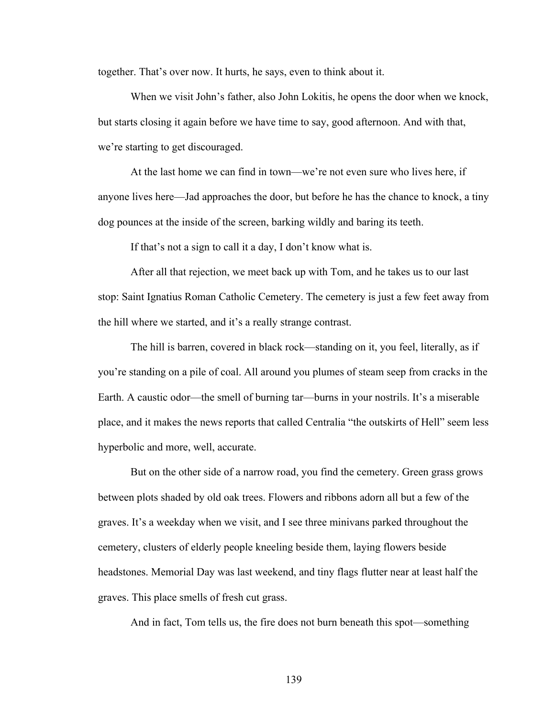together. That's over now. It hurts, he says, even to think about it.

When we visit John's father, also John Lokitis, he opens the door when we knock, but starts closing it again before we have time to say, good afternoon. And with that, we're starting to get discouraged.

At the last home we can find in town—we're not even sure who lives here, if anyone lives here—Jad approaches the door, but before he has the chance to knock, a tiny dog pounces at the inside of the screen, barking wildly and baring its teeth.

If that's not a sign to call it a day, I don't know what is.

After all that rejection, we meet back up with Tom, and he takes us to our last stop: Saint Ignatius Roman Catholic Cemetery. The cemetery is just a few feet away from the hill where we started, and it's a really strange contrast.

The hill is barren, covered in black rock—standing on it, you feel, literally, as if you're standing on a pile of coal. All around you plumes of steam seep from cracks in the Earth. A caustic odor—the smell of burning tar—burns in your nostrils. It's a miserable place, and it makes the news reports that called Centralia "the outskirts of Hell" seem less hyperbolic and more, well, accurate.

But on the other side of a narrow road, you find the cemetery. Green grass grows between plots shaded by old oak trees. Flowers and ribbons adorn all but a few of the graves. It's a weekday when we visit, and I see three minivans parked throughout the cemetery, clusters of elderly people kneeling beside them, laying flowers beside headstones. Memorial Day was last weekend, and tiny flags flutter near at least half the graves. This place smells of fresh cut grass.

And in fact, Tom tells us, the fire does not burn beneath this spot—something

139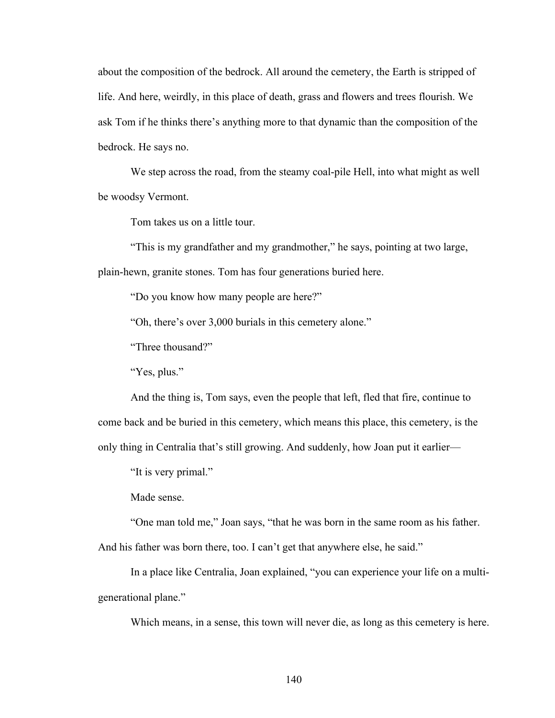about the composition of the bedrock. All around the cemetery, the Earth is stripped of life. And here, weirdly, in this place of death, grass and flowers and trees flourish. We ask Tom if he thinks there's anything more to that dynamic than the composition of the bedrock. He says no.

We step across the road, from the steamy coal-pile Hell, into what might as well be woodsy Vermont.

Tom takes us on a little tour.

"This is my grandfather and my grandmother," he says, pointing at two large, plain-hewn, granite stones. Tom has four generations buried here.

"Do you know how many people are here?"

"Oh, there's over 3,000 burials in this cemetery alone."

"Three thousand?"

"Yes, plus."

And the thing is, Tom says, even the people that left, fled that fire, continue to come back and be buried in this cemetery, which means this place, this cemetery, is the only thing in Centralia that's still growing. And suddenly, how Joan put it earlier—

"It is very primal."

Made sense.

"One man told me," Joan says, "that he was born in the same room as his father.

And his father was born there, too. I can't get that anywhere else, he said."

In a place like Centralia, Joan explained, "you can experience your life on a multigenerational plane."

Which means, in a sense, this town will never die, as long as this cemetery is here.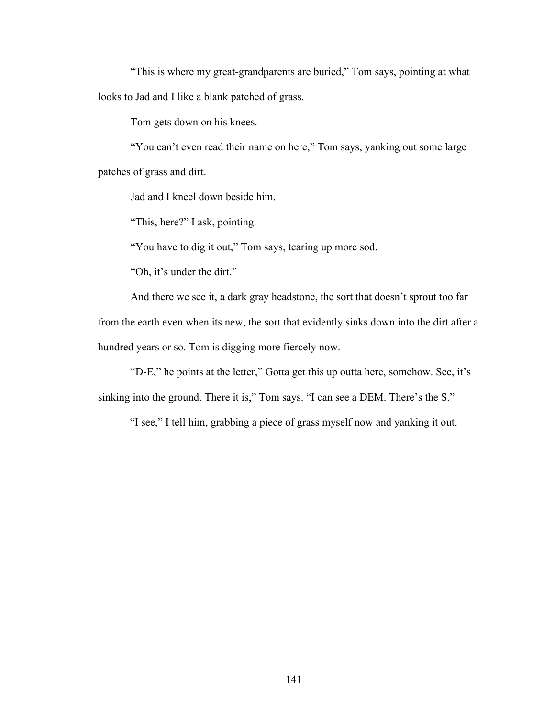"This is where my great-grandparents are buried," Tom says, pointing at what looks to Jad and I like a blank patched of grass.

Tom gets down on his knees.

"You can't even read their name on here," Tom says, yanking out some large patches of grass and dirt.

Jad and I kneel down beside him.

"This, here?" I ask, pointing.

"You have to dig it out," Tom says, tearing up more sod.

"Oh, it's under the dirt."

And there we see it, a dark gray headstone, the sort that doesn't sprout too far from the earth even when its new, the sort that evidently sinks down into the dirt after a hundred years or so. Tom is digging more fiercely now.

"D-E," he points at the letter," Gotta get this up outta here, somehow. See, it's sinking into the ground. There it is," Tom says. "I can see a DEM. There's the S."

"I see," I tell him, grabbing a piece of grass myself now and yanking it out.